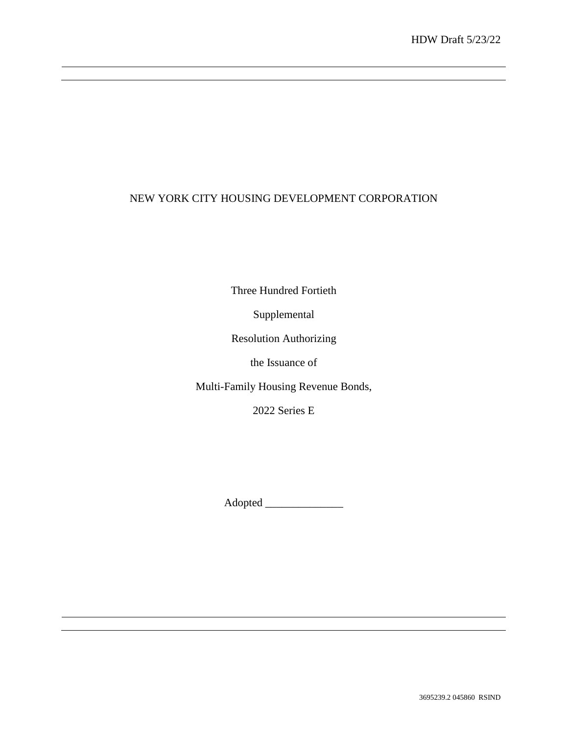# NEW YORK CITY HOUSING DEVELOPMENT CORPORATION

Three Hundred Fortieth

Supplemental

Resolution Authorizing

the Issuance of

Multi-Family Housing Revenue Bonds,

2022 Series E

Adopted \_\_\_\_\_\_\_\_\_\_\_\_\_\_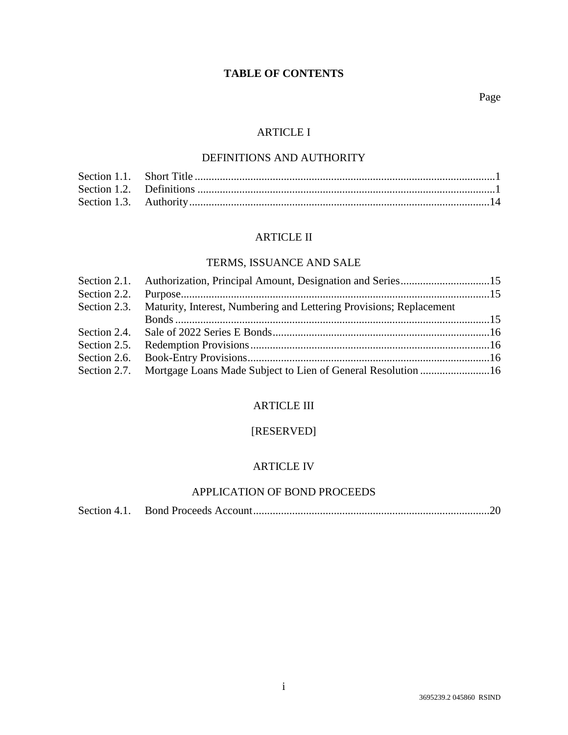# **TABLE OF CONTENTS**

# ARTICLE I

### DEFINITIONS AND AUTHORITY

### ARTICLE II

# TERMS, ISSUANCE AND SALE

| Section 2.1. Authorization, Principal Amount, Designation and Series15           |  |
|----------------------------------------------------------------------------------|--|
|                                                                                  |  |
| Section 2.3. Maturity, Interest, Numbering and Lettering Provisions; Replacement |  |
|                                                                                  |  |
|                                                                                  |  |
|                                                                                  |  |
|                                                                                  |  |
| Section 2.7. Mortgage Loans Made Subject to Lien of General Resolution 16        |  |

### ARTICLE III

# [RESERVED]

# ARTICLE IV

# APPLICATION OF BOND PROCEEDS

|--|--|--|--|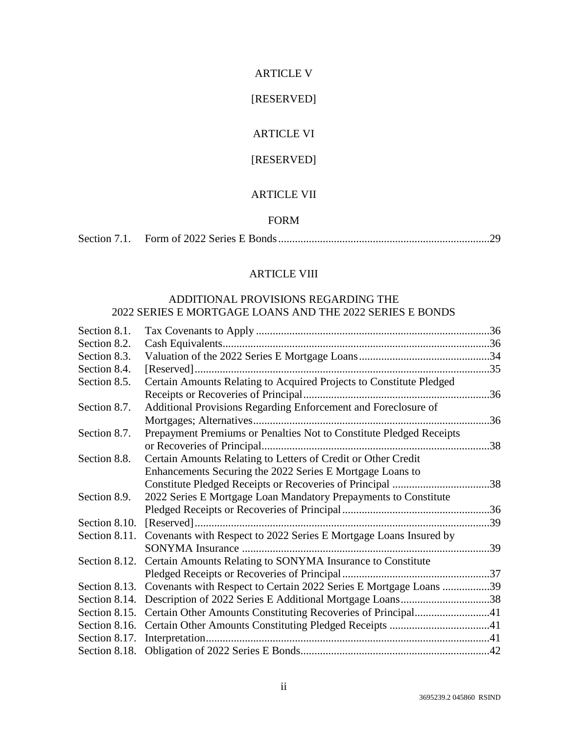#### ARTICLE V

# [RESERVED]

## ARTICLE VI

# [RESERVED]

### ARTICLE VII

### FORM

|--|--|--|--|

# ARTICLE VIII

## ADDITIONAL PROVISIONS REGARDING THE 2022 SERIES E MORTGAGE LOANS AND THE 2022 SERIES E BONDS

| Section 8.1.  |                                                                                 |  |
|---------------|---------------------------------------------------------------------------------|--|
| Section 8.2.  |                                                                                 |  |
| Section 8.3.  |                                                                                 |  |
| Section 8.4.  |                                                                                 |  |
| Section 8.5.  | Certain Amounts Relating to Acquired Projects to Constitute Pledged             |  |
|               |                                                                                 |  |
| Section 8.7.  | Additional Provisions Regarding Enforcement and Foreclosure of                  |  |
|               |                                                                                 |  |
| Section 8.7.  | Prepayment Premiums or Penalties Not to Constitute Pledged Receipts             |  |
|               |                                                                                 |  |
| Section 8.8.  | Certain Amounts Relating to Letters of Credit or Other Credit                   |  |
|               | Enhancements Securing the 2022 Series E Mortgage Loans to                       |  |
|               | Constitute Pledged Receipts or Recoveries of Principal 38                       |  |
| Section 8.9.  | 2022 Series E Mortgage Loan Mandatory Prepayments to Constitute                 |  |
|               |                                                                                 |  |
| Section 8.10. |                                                                                 |  |
|               | Section 8.11. Covenants with Respect to 2022 Series E Mortgage Loans Insured by |  |
|               |                                                                                 |  |
|               | Section 8.12. Certain Amounts Relating to SONYMA Insurance to Constitute        |  |
|               |                                                                                 |  |
|               | Section 8.13. Covenants with Respect to Certain 2022 Series E Mortgage Loans 39 |  |
|               | Section 8.14. Description of 2022 Series E Additional Mortgage Loans38          |  |
|               | Section 8.15. Certain Other Amounts Constituting Recoveries of Principal41      |  |
|               | Section 8.16. Certain Other Amounts Constituting Pledged Receipts 41            |  |
|               |                                                                                 |  |
|               |                                                                                 |  |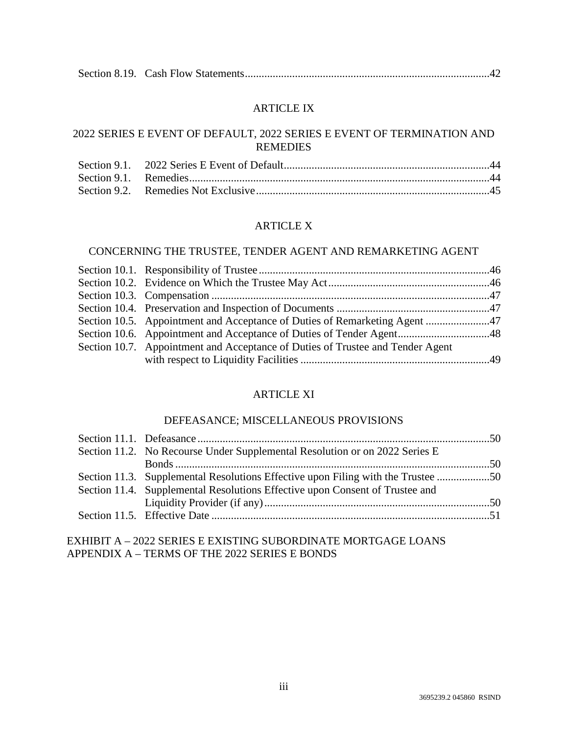|--|--|--|

### ARTICLE IX

## 2022 SERIES E EVENT OF DEFAULT, 2022 SERIES E EVENT OF TERMINATION AND REMEDIES

#### ARTICLE X

## CONCERNING THE TRUSTEE, TENDER AGENT AND REMARKETING AGENT

| Section 10.5. Appointment and Acceptance of Duties of Remarketing Agent 47     |  |
|--------------------------------------------------------------------------------|--|
|                                                                                |  |
| Section 10.7. Appointment and Acceptance of Duties of Trustee and Tender Agent |  |
|                                                                                |  |

### ARTICLE XI

#### DEFEASANCE; MISCELLANEOUS PROVISIONS

| Section 11.2. No Recourse Under Supplemental Resolution or on 2022 Series E      |  |
|----------------------------------------------------------------------------------|--|
|                                                                                  |  |
| Section 11.3. Supplemental Resolutions Effective upon Filing with the Trustee 50 |  |
| Section 11.4. Supplemental Resolutions Effective upon Consent of Trustee and     |  |
|                                                                                  |  |
|                                                                                  |  |
|                                                                                  |  |

### EXHIBIT A – 2022 SERIES E EXISTING SUBORDINATE MORTGAGE LOANS APPENDIX A – TERMS OF THE 2022 SERIES E BONDS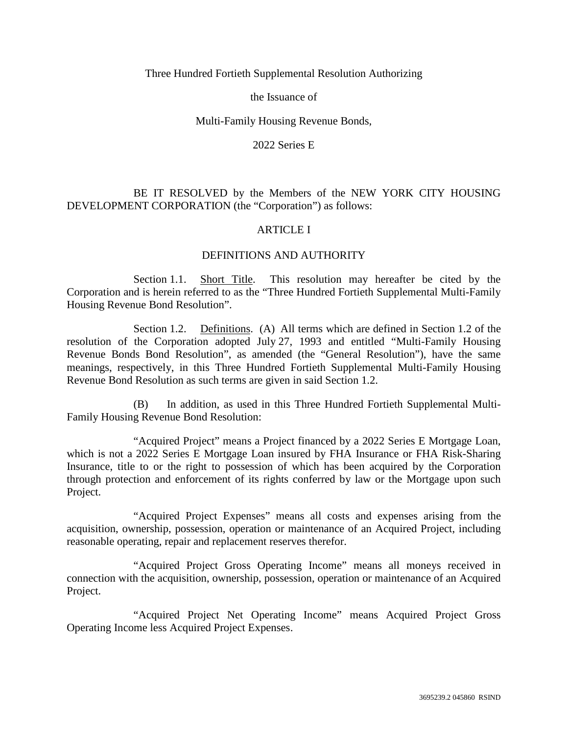#### Three Hundred Fortieth Supplemental Resolution Authorizing

the Issuance of

#### Multi-Family Housing Revenue Bonds,

2022 Series E

### BE IT RESOLVED by the Members of the NEW YORK CITY HOUSING DEVELOPMENT CORPORATION (the "Corporation") as follows:

### ARTICLE I

### DEFINITIONS AND AUTHORITY

Section 1.1. Short Title. This resolution may hereafter be cited by the Corporation and is herein referred to as the "Three Hundred Fortieth Supplemental Multi-Family Housing Revenue Bond Resolution".

Section 1.2. Definitions. (A) All terms which are defined in Section 1.2 of the resolution of the Corporation adopted July 27, 1993 and entitled "Multi-Family Housing Revenue Bonds Bond Resolution", as amended (the "General Resolution"), have the same meanings, respectively, in this Three Hundred Fortieth Supplemental Multi-Family Housing Revenue Bond Resolution as such terms are given in said Section 1.2.

(B) In addition, as used in this Three Hundred Fortieth Supplemental Multi-Family Housing Revenue Bond Resolution:

"Acquired Project" means a Project financed by a 2022 Series E Mortgage Loan, which is not a 2022 Series E Mortgage Loan insured by FHA Insurance or FHA Risk-Sharing Insurance, title to or the right to possession of which has been acquired by the Corporation through protection and enforcement of its rights conferred by law or the Mortgage upon such Project.

"Acquired Project Expenses" means all costs and expenses arising from the acquisition, ownership, possession, operation or maintenance of an Acquired Project, including reasonable operating, repair and replacement reserves therefor.

"Acquired Project Gross Operating Income" means all moneys received in connection with the acquisition, ownership, possession, operation or maintenance of an Acquired Project.

"Acquired Project Net Operating Income" means Acquired Project Gross Operating Income less Acquired Project Expenses.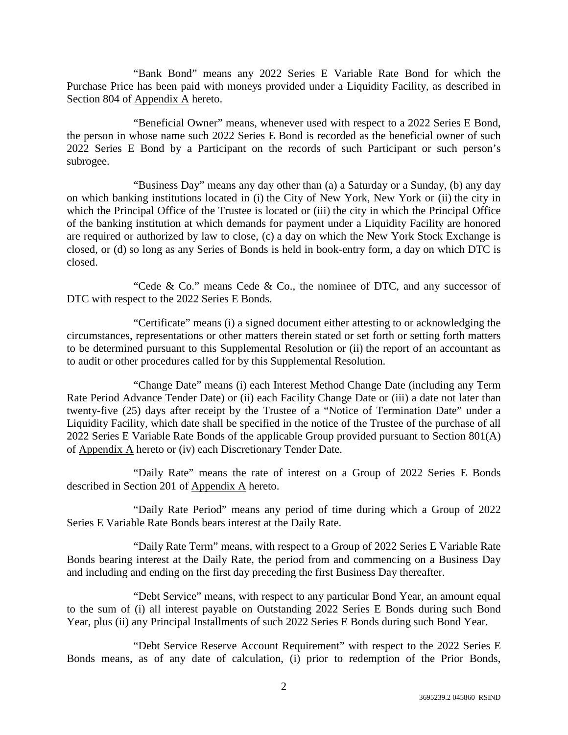"Bank Bond" means any 2022 Series E Variable Rate Bond for which the Purchase Price has been paid with moneys provided under a Liquidity Facility, as described in Section 804 of Appendix A hereto.

"Beneficial Owner" means, whenever used with respect to a 2022 Series E Bond, the person in whose name such 2022 Series E Bond is recorded as the beneficial owner of such 2022 Series E Bond by a Participant on the records of such Participant or such person's subrogee.

"Business Day" means any day other than (a) a Saturday or a Sunday, (b) any day on which banking institutions located in (i) the City of New York, New York or (ii) the city in which the Principal Office of the Trustee is located or (iii) the city in which the Principal Office of the banking institution at which demands for payment under a Liquidity Facility are honored are required or authorized by law to close, (c) a day on which the New York Stock Exchange is closed, or (d) so long as any Series of Bonds is held in book-entry form, a day on which DTC is closed.

"Cede & Co." means Cede & Co., the nominee of DTC, and any successor of DTC with respect to the 2022 Series E Bonds.

"Certificate" means (i) a signed document either attesting to or acknowledging the circumstances, representations or other matters therein stated or set forth or setting forth matters to be determined pursuant to this Supplemental Resolution or (ii) the report of an accountant as to audit or other procedures called for by this Supplemental Resolution.

"Change Date" means (i) each Interest Method Change Date (including any Term Rate Period Advance Tender Date) or (ii) each Facility Change Date or (iii) a date not later than twenty-five (25) days after receipt by the Trustee of a "Notice of Termination Date" under a Liquidity Facility, which date shall be specified in the notice of the Trustee of the purchase of all 2022 Series E Variable Rate Bonds of the applicable Group provided pursuant to Section 801(A) of Appendix A hereto or (iv) each Discretionary Tender Date.

"Daily Rate" means the rate of interest on a Group of 2022 Series E Bonds described in Section 201 of  $\Delta$ ppendix  $\Delta$  hereto.

"Daily Rate Period" means any period of time during which a Group of 2022 Series E Variable Rate Bonds bears interest at the Daily Rate.

"Daily Rate Term" means, with respect to a Group of 2022 Series E Variable Rate Bonds bearing interest at the Daily Rate, the period from and commencing on a Business Day and including and ending on the first day preceding the first Business Day thereafter.

"Debt Service" means, with respect to any particular Bond Year, an amount equal to the sum of (i) all interest payable on Outstanding 2022 Series E Bonds during such Bond Year, plus (ii) any Principal Installments of such 2022 Series E Bonds during such Bond Year.

"Debt Service Reserve Account Requirement" with respect to the 2022 Series E Bonds means, as of any date of calculation, (i) prior to redemption of the Prior Bonds,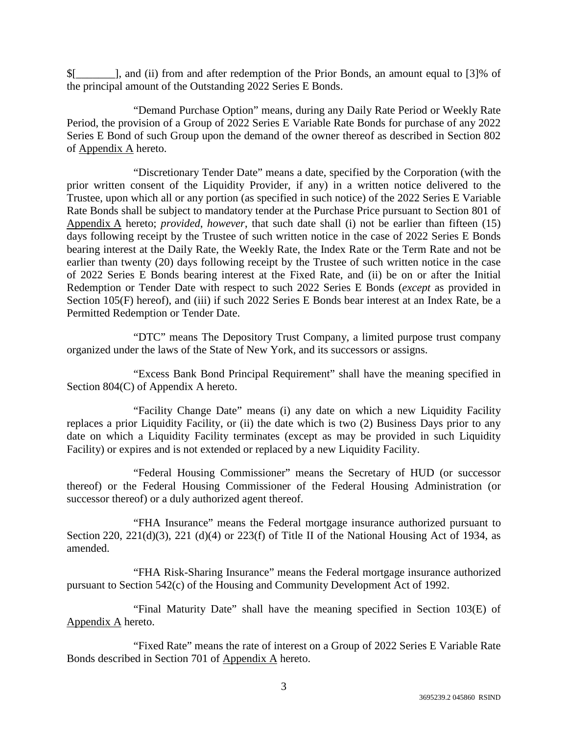\$[\_\_\_\_\_\_\_], and (ii) from and after redemption of the Prior Bonds, an amount equal to [3]% of the principal amount of the Outstanding 2022 Series E Bonds.

"Demand Purchase Option" means, during any Daily Rate Period or Weekly Rate Period, the provision of a Group of 2022 Series E Variable Rate Bonds for purchase of any 2022 Series E Bond of such Group upon the demand of the owner thereof as described in Section 802 of Appendix A hereto.

"Discretionary Tender Date" means a date, specified by the Corporation (with the prior written consent of the Liquidity Provider, if any) in a written notice delivered to the Trustee, upon which all or any portion (as specified in such notice) of the 2022 Series E Variable Rate Bonds shall be subject to mandatory tender at the Purchase Price pursuant to Section 801 of Appendix A hereto; *provided*, *however*, that such date shall (i) not be earlier than fifteen (15) days following receipt by the Trustee of such written notice in the case of 2022 Series E Bonds bearing interest at the Daily Rate, the Weekly Rate, the Index Rate or the Term Rate and not be earlier than twenty (20) days following receipt by the Trustee of such written notice in the case of 2022 Series E Bonds bearing interest at the Fixed Rate, and (ii) be on or after the Initial Redemption or Tender Date with respect to such 2022 Series E Bonds (*except* as provided in Section 105(F) hereof), and (iii) if such 2022 Series E Bonds bear interest at an Index Rate, be a Permitted Redemption or Tender Date.

"DTC" means The Depository Trust Company, a limited purpose trust company organized under the laws of the State of New York, and its successors or assigns.

"Excess Bank Bond Principal Requirement" shall have the meaning specified in Section 804(C) of Appendix A hereto.

"Facility Change Date" means (i) any date on which a new Liquidity Facility replaces a prior Liquidity Facility, or (ii) the date which is two (2) Business Days prior to any date on which a Liquidity Facility terminates (except as may be provided in such Liquidity Facility) or expires and is not extended or replaced by a new Liquidity Facility.

"Federal Housing Commissioner" means the Secretary of HUD (or successor thereof) or the Federal Housing Commissioner of the Federal Housing Administration (or successor thereof) or a duly authorized agent thereof.

"FHA Insurance" means the Federal mortgage insurance authorized pursuant to Section 220, 221(d)(3), 221 (d)(4) or 223(f) of Title II of the National Housing Act of 1934, as amended.

"FHA Risk-Sharing Insurance" means the Federal mortgage insurance authorized pursuant to Section 542(c) of the Housing and Community Development Act of 1992.

"Final Maturity Date" shall have the meaning specified in Section 103(E) of Appendix A hereto.

"Fixed Rate" means the rate of interest on a Group of 2022 Series E Variable Rate Bonds described in Section 701 of Appendix A hereto.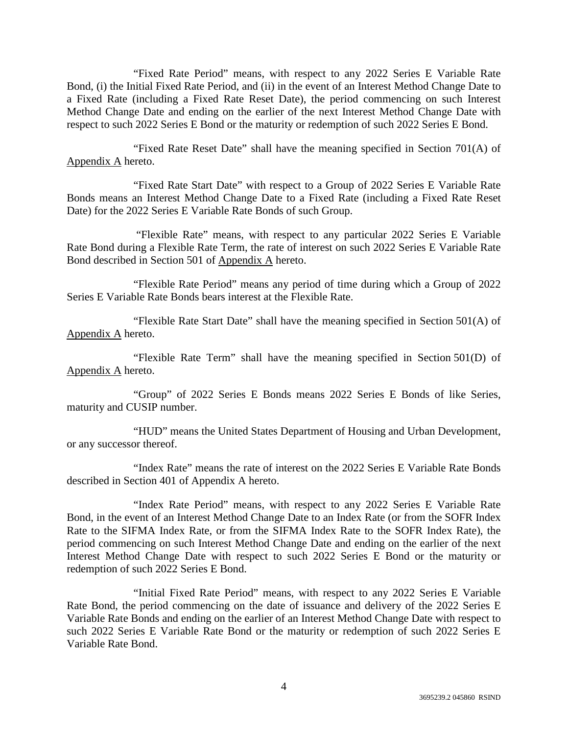"Fixed Rate Period" means, with respect to any 2022 Series E Variable Rate Bond, (i) the Initial Fixed Rate Period, and (ii) in the event of an Interest Method Change Date to a Fixed Rate (including a Fixed Rate Reset Date), the period commencing on such Interest Method Change Date and ending on the earlier of the next Interest Method Change Date with respect to such 2022 Series E Bond or the maturity or redemption of such 2022 Series E Bond.

"Fixed Rate Reset Date" shall have the meaning specified in Section 701(A) of Appendix A hereto.

"Fixed Rate Start Date" with respect to a Group of 2022 Series E Variable Rate Bonds means an Interest Method Change Date to a Fixed Rate (including a Fixed Rate Reset Date) for the 2022 Series E Variable Rate Bonds of such Group.

 "Flexible Rate" means, with respect to any particular 2022 Series E Variable Rate Bond during a Flexible Rate Term, the rate of interest on such 2022 Series E Variable Rate Bond described in Section 501 of Appendix A hereto.

"Flexible Rate Period" means any period of time during which a Group of 2022 Series E Variable Rate Bonds bears interest at the Flexible Rate.

"Flexible Rate Start Date" shall have the meaning specified in Section 501(A) of Appendix A hereto.

"Flexible Rate Term" shall have the meaning specified in Section 501(D) of Appendix A hereto.

"Group" of 2022 Series E Bonds means 2022 Series E Bonds of like Series, maturity and CUSIP number.

"HUD" means the United States Department of Housing and Urban Development, or any successor thereof.

"Index Rate" means the rate of interest on the 2022 Series E Variable Rate Bonds described in Section 401 of Appendix A hereto.

"Index Rate Period" means, with respect to any 2022 Series E Variable Rate Bond, in the event of an Interest Method Change Date to an Index Rate (or from the SOFR Index Rate to the SIFMA Index Rate, or from the SIFMA Index Rate to the SOFR Index Rate), the period commencing on such Interest Method Change Date and ending on the earlier of the next Interest Method Change Date with respect to such 2022 Series E Bond or the maturity or redemption of such 2022 Series E Bond.

"Initial Fixed Rate Period" means, with respect to any 2022 Series E Variable Rate Bond, the period commencing on the date of issuance and delivery of the 2022 Series E Variable Rate Bonds and ending on the earlier of an Interest Method Change Date with respect to such 2022 Series E Variable Rate Bond or the maturity or redemption of such 2022 Series E Variable Rate Bond.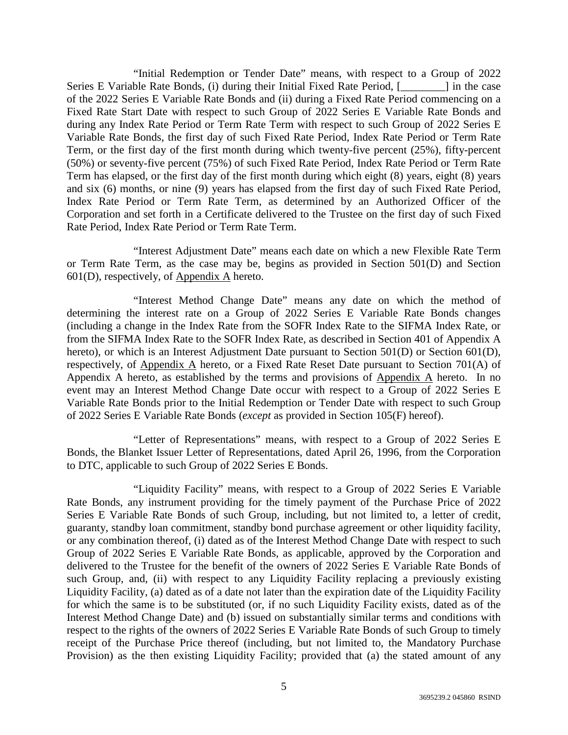"Initial Redemption or Tender Date" means, with respect to a Group of 2022 Series E Variable Rate Bonds, (i) during their Initial Fixed Rate Period, [\_\_\_\_\_\_\_\_] in the case of the 2022 Series E Variable Rate Bonds and (ii) during a Fixed Rate Period commencing on a Fixed Rate Start Date with respect to such Group of 2022 Series E Variable Rate Bonds and during any Index Rate Period or Term Rate Term with respect to such Group of 2022 Series E Variable Rate Bonds, the first day of such Fixed Rate Period, Index Rate Period or Term Rate Term, or the first day of the first month during which twenty-five percent (25%), fifty-percent (50%) or seventy-five percent (75%) of such Fixed Rate Period, Index Rate Period or Term Rate Term has elapsed, or the first day of the first month during which eight (8) years, eight (8) years and six (6) months, or nine (9) years has elapsed from the first day of such Fixed Rate Period, Index Rate Period or Term Rate Term, as determined by an Authorized Officer of the Corporation and set forth in a Certificate delivered to the Trustee on the first day of such Fixed Rate Period, Index Rate Period or Term Rate Term.

"Interest Adjustment Date" means each date on which a new Flexible Rate Term or Term Rate Term, as the case may be, begins as provided in Section 501(D) and Section 601(D), respectively, of Appendix A hereto.

"Interest Method Change Date" means any date on which the method of determining the interest rate on a Group of 2022 Series E Variable Rate Bonds changes (including a change in the Index Rate from the SOFR Index Rate to the SIFMA Index Rate, or from the SIFMA Index Rate to the SOFR Index Rate, as described in Section 401 of Appendix A hereto), or which is an Interest Adjustment Date pursuant to Section 501(D) or Section 601(D), respectively, of Appendix A hereto, or a Fixed Rate Reset Date pursuant to Section 701(A) of Appendix A hereto, as established by the terms and provisions of Appendix A hereto. In no event may an Interest Method Change Date occur with respect to a Group of 2022 Series E Variable Rate Bonds prior to the Initial Redemption or Tender Date with respect to such Group of 2022 Series E Variable Rate Bonds (*except* as provided in Section 105(F) hereof).

"Letter of Representations" means, with respect to a Group of 2022 Series E Bonds, the Blanket Issuer Letter of Representations, dated April 26, 1996, from the Corporation to DTC, applicable to such Group of 2022 Series E Bonds.

"Liquidity Facility" means, with respect to a Group of 2022 Series E Variable Rate Bonds, any instrument providing for the timely payment of the Purchase Price of 2022 Series E Variable Rate Bonds of such Group, including, but not limited to, a letter of credit, guaranty, standby loan commitment, standby bond purchase agreement or other liquidity facility, or any combination thereof, (i) dated as of the Interest Method Change Date with respect to such Group of 2022 Series E Variable Rate Bonds, as applicable, approved by the Corporation and delivered to the Trustee for the benefit of the owners of 2022 Series E Variable Rate Bonds of such Group, and, (ii) with respect to any Liquidity Facility replacing a previously existing Liquidity Facility, (a) dated as of a date not later than the expiration date of the Liquidity Facility for which the same is to be substituted (or, if no such Liquidity Facility exists, dated as of the Interest Method Change Date) and (b) issued on substantially similar terms and conditions with respect to the rights of the owners of 2022 Series E Variable Rate Bonds of such Group to timely receipt of the Purchase Price thereof (including, but not limited to, the Mandatory Purchase Provision) as the then existing Liquidity Facility; provided that (a) the stated amount of any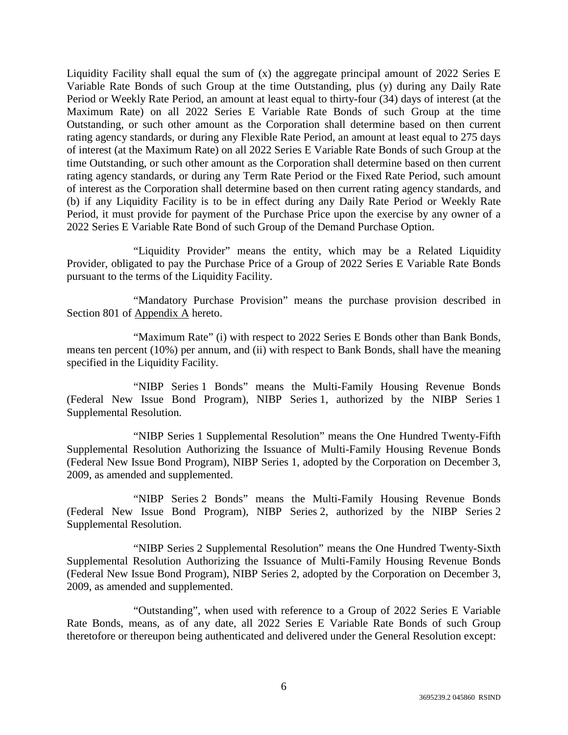Liquidity Facility shall equal the sum of (x) the aggregate principal amount of 2022 Series E Variable Rate Bonds of such Group at the time Outstanding, plus (y) during any Daily Rate Period or Weekly Rate Period, an amount at least equal to thirty-four (34) days of interest (at the Maximum Rate) on all 2022 Series E Variable Rate Bonds of such Group at the time Outstanding, or such other amount as the Corporation shall determine based on then current rating agency standards, or during any Flexible Rate Period, an amount at least equal to 275 days of interest (at the Maximum Rate) on all 2022 Series E Variable Rate Bonds of such Group at the time Outstanding, or such other amount as the Corporation shall determine based on then current rating agency standards, or during any Term Rate Period or the Fixed Rate Period, such amount of interest as the Corporation shall determine based on then current rating agency standards, and (b) if any Liquidity Facility is to be in effect during any Daily Rate Period or Weekly Rate Period, it must provide for payment of the Purchase Price upon the exercise by any owner of a 2022 Series E Variable Rate Bond of such Group of the Demand Purchase Option.

"Liquidity Provider" means the entity, which may be a Related Liquidity Provider, obligated to pay the Purchase Price of a Group of 2022 Series E Variable Rate Bonds pursuant to the terms of the Liquidity Facility.

"Mandatory Purchase Provision" means the purchase provision described in Section 801 of Appendix A hereto.

"Maximum Rate" (i) with respect to 2022 Series E Bonds other than Bank Bonds, means ten percent (10%) per annum, and (ii) with respect to Bank Bonds, shall have the meaning specified in the Liquidity Facility.

"NIBP Series 1 Bonds" means the Multi-Family Housing Revenue Bonds (Federal New Issue Bond Program), NIBP Series 1, authorized by the NIBP Series 1 Supplemental Resolution.

"NIBP Series 1 Supplemental Resolution" means the One Hundred Twenty-Fifth Supplemental Resolution Authorizing the Issuance of Multi-Family Housing Revenue Bonds (Federal New Issue Bond Program), NIBP Series 1, adopted by the Corporation on December 3, 2009, as amended and supplemented.

"NIBP Series 2 Bonds" means the Multi-Family Housing Revenue Bonds (Federal New Issue Bond Program), NIBP Series 2, authorized by the NIBP Series 2 Supplemental Resolution.

"NIBP Series 2 Supplemental Resolution" means the One Hundred Twenty-Sixth Supplemental Resolution Authorizing the Issuance of Multi-Family Housing Revenue Bonds (Federal New Issue Bond Program), NIBP Series 2, adopted by the Corporation on December 3, 2009, as amended and supplemented.

"Outstanding", when used with reference to a Group of 2022 Series E Variable Rate Bonds, means, as of any date, all 2022 Series E Variable Rate Bonds of such Group theretofore or thereupon being authenticated and delivered under the General Resolution except: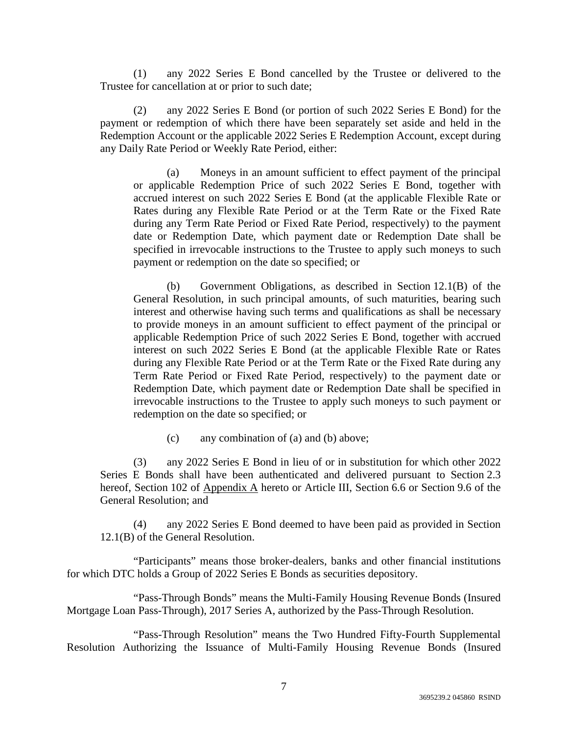(1) any 2022 Series E Bond cancelled by the Trustee or delivered to the Trustee for cancellation at or prior to such date;

(2) any 2022 Series E Bond (or portion of such 2022 Series E Bond) for the payment or redemption of which there have been separately set aside and held in the Redemption Account or the applicable 2022 Series E Redemption Account, except during any Daily Rate Period or Weekly Rate Period, either:

(a) Moneys in an amount sufficient to effect payment of the principal or applicable Redemption Price of such 2022 Series E Bond, together with accrued interest on such 2022 Series E Bond (at the applicable Flexible Rate or Rates during any Flexible Rate Period or at the Term Rate or the Fixed Rate during any Term Rate Period or Fixed Rate Period, respectively) to the payment date or Redemption Date, which payment date or Redemption Date shall be specified in irrevocable instructions to the Trustee to apply such moneys to such payment or redemption on the date so specified; or

(b) Government Obligations, as described in Section 12.1(B) of the General Resolution, in such principal amounts, of such maturities, bearing such interest and otherwise having such terms and qualifications as shall be necessary to provide moneys in an amount sufficient to effect payment of the principal or applicable Redemption Price of such 2022 Series E Bond, together with accrued interest on such 2022 Series E Bond (at the applicable Flexible Rate or Rates during any Flexible Rate Period or at the Term Rate or the Fixed Rate during any Term Rate Period or Fixed Rate Period, respectively) to the payment date or Redemption Date, which payment date or Redemption Date shall be specified in irrevocable instructions to the Trustee to apply such moneys to such payment or redemption on the date so specified; or

(c) any combination of (a) and (b) above;

(3) any 2022 Series E Bond in lieu of or in substitution for which other 2022 Series E Bonds shall have been authenticated and delivered pursuant to Section 2.3 hereof, Section 102 of Appendix A hereto or Article III, Section 6.6 or Section 9.6 of the General Resolution; and

(4) any 2022 Series E Bond deemed to have been paid as provided in Section 12.1(B) of the General Resolution.

"Participants" means those broker-dealers, banks and other financial institutions for which DTC holds a Group of 2022 Series E Bonds as securities depository.

"Pass-Through Bonds" means the Multi-Family Housing Revenue Bonds (Insured Mortgage Loan Pass-Through), 2017 Series A, authorized by the Pass-Through Resolution.

"Pass-Through Resolution" means the Two Hundred Fifty-Fourth Supplemental Resolution Authorizing the Issuance of Multi-Family Housing Revenue Bonds (Insured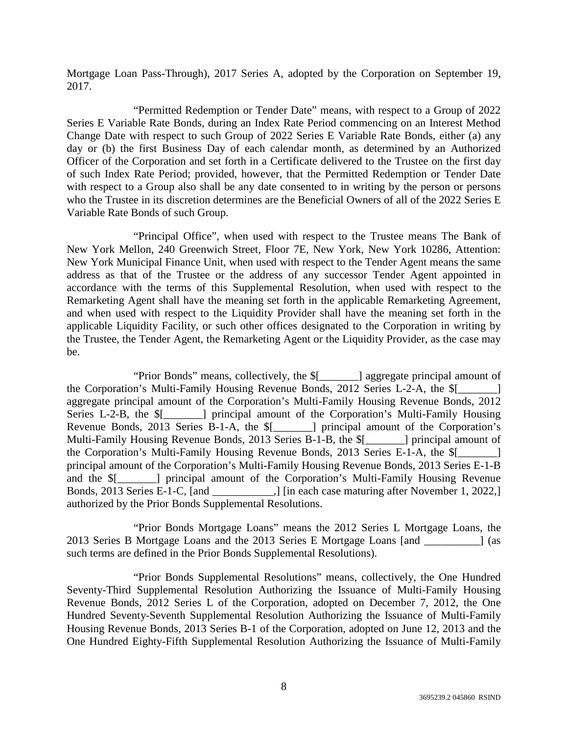Mortgage Loan Pass-Through), 2017 Series A, adopted by the Corporation on September 19, 2017.

"Permitted Redemption or Tender Date" means, with respect to a Group of 2022 Series E Variable Rate Bonds, during an Index Rate Period commencing on an Interest Method Change Date with respect to such Group of 2022 Series E Variable Rate Bonds, either (a) any day or (b) the first Business Day of each calendar month, as determined by an Authorized Officer of the Corporation and set forth in a Certificate delivered to the Trustee on the first day of such Index Rate Period; provided, however, that the Permitted Redemption or Tender Date with respect to a Group also shall be any date consented to in writing by the person or persons who the Trustee in its discretion determines are the Beneficial Owners of all of the 2022 Series E Variable Rate Bonds of such Group.

"Principal Office", when used with respect to the Trustee means The Bank of New York Mellon, 240 Greenwich Street, Floor 7E, New York, New York 10286, Attention: New York Municipal Finance Unit, when used with respect to the Tender Agent means the same address as that of the Trustee or the address of any successor Tender Agent appointed in accordance with the terms of this Supplemental Resolution, when used with respect to the Remarketing Agent shall have the meaning set forth in the applicable Remarketing Agreement, and when used with respect to the Liquidity Provider shall have the meaning set forth in the applicable Liquidity Facility, or such other offices designated to the Corporation in writing by the Trustee, the Tender Agent, the Remarketing Agent or the Liquidity Provider, as the case may be.

"Prior Bonds" means, collectively, the \$[\_\_\_\_\_\_\_] aggregate principal amount of the Corporation's Multi-Family Housing Revenue Bonds, 2012 Series L-2-A, the \$[ aggregate principal amount of the Corporation's Multi-Family Housing Revenue Bonds, 2012 Series L-2-B, the  $\frac{1}{2}$  | principal amount of the Corporation's Multi-Family Housing Revenue Bonds, 2013 Series B-1-A, the \$[\_\_\_\_\_\_\_] principal amount of the Corporation's Multi-Family Housing Revenue Bonds, 2013 Series B-1-B, the \$[ The principal amount of the Corporation's Multi-Family Housing Revenue Bonds, 2013 Series E-1-A, the \$[\_\_\_\_\_\_\_] principal amount of the Corporation's Multi-Family Housing Revenue Bonds, 2013 Series E-1-B and the \$[\_\_\_\_\_\_\_] principal amount of the Corporation's Multi-Family Housing Revenue Bonds, 2013 Series E-1-C, [and \_\_\_\_\_\_\_\_\_\_\_\_,] [in each case maturing after November 1, 2022,] authorized by the Prior Bonds Supplemental Resolutions.

"Prior Bonds Mortgage Loans" means the 2012 Series L Mortgage Loans, the 2013 Series B Mortgage Loans and the 2013 Series E Mortgage Loans [and \_\_\_\_\_\_\_\_\_\_] (as such terms are defined in the Prior Bonds Supplemental Resolutions).

"Prior Bonds Supplemental Resolutions" means, collectively, the One Hundred Seventy-Third Supplemental Resolution Authorizing the Issuance of Multi-Family Housing Revenue Bonds, 2012 Series L of the Corporation, adopted on December 7, 2012, the One Hundred Seventy-Seventh Supplemental Resolution Authorizing the Issuance of Multi-Family Housing Revenue Bonds, 2013 Series B-1 of the Corporation, adopted on June 12, 2013 and the One Hundred Eighty-Fifth Supplemental Resolution Authorizing the Issuance of Multi-Family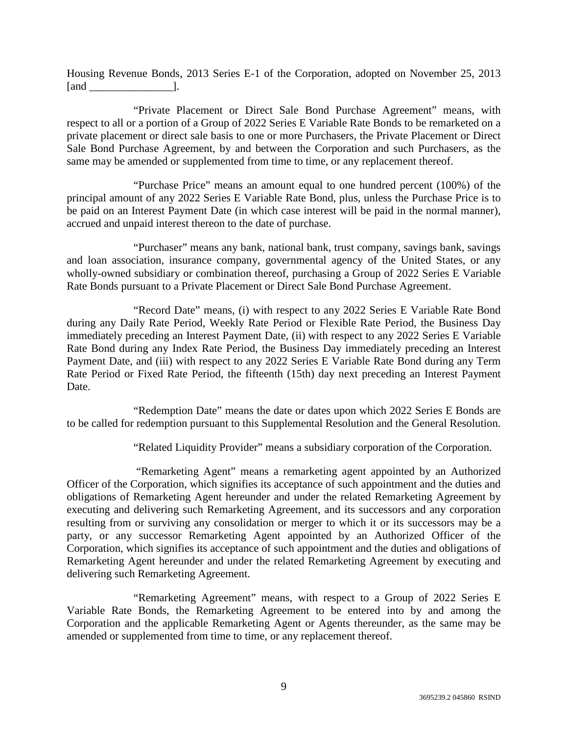Housing Revenue Bonds, 2013 Series E-1 of the Corporation, adopted on November 25, 2013  $\lceil$  and  $\lceil$  .

"Private Placement or Direct Sale Bond Purchase Agreement" means, with respect to all or a portion of a Group of 2022 Series E Variable Rate Bonds to be remarketed on a private placement or direct sale basis to one or more Purchasers, the Private Placement or Direct Sale Bond Purchase Agreement, by and between the Corporation and such Purchasers, as the same may be amended or supplemented from time to time, or any replacement thereof.

"Purchase Price" means an amount equal to one hundred percent (100%) of the principal amount of any 2022 Series E Variable Rate Bond, plus, unless the Purchase Price is to be paid on an Interest Payment Date (in which case interest will be paid in the normal manner), accrued and unpaid interest thereon to the date of purchase.

"Purchaser" means any bank, national bank, trust company, savings bank, savings and loan association, insurance company, governmental agency of the United States, or any wholly-owned subsidiary or combination thereof, purchasing a Group of 2022 Series E Variable Rate Bonds pursuant to a Private Placement or Direct Sale Bond Purchase Agreement.

"Record Date" means, (i) with respect to any 2022 Series E Variable Rate Bond during any Daily Rate Period, Weekly Rate Period or Flexible Rate Period, the Business Day immediately preceding an Interest Payment Date, (ii) with respect to any 2022 Series E Variable Rate Bond during any Index Rate Period, the Business Day immediately preceding an Interest Payment Date, and (iii) with respect to any 2022 Series E Variable Rate Bond during any Term Rate Period or Fixed Rate Period, the fifteenth (15th) day next preceding an Interest Payment Date.

"Redemption Date" means the date or dates upon which 2022 Series E Bonds are to be called for redemption pursuant to this Supplemental Resolution and the General Resolution.

"Related Liquidity Provider" means a subsidiary corporation of the Corporation.

 "Remarketing Agent" means a remarketing agent appointed by an Authorized Officer of the Corporation, which signifies its acceptance of such appointment and the duties and obligations of Remarketing Agent hereunder and under the related Remarketing Agreement by executing and delivering such Remarketing Agreement, and its successors and any corporation resulting from or surviving any consolidation or merger to which it or its successors may be a party, or any successor Remarketing Agent appointed by an Authorized Officer of the Corporation, which signifies its acceptance of such appointment and the duties and obligations of Remarketing Agent hereunder and under the related Remarketing Agreement by executing and delivering such Remarketing Agreement.

"Remarketing Agreement" means, with respect to a Group of 2022 Series E Variable Rate Bonds, the Remarketing Agreement to be entered into by and among the Corporation and the applicable Remarketing Agent or Agents thereunder, as the same may be amended or supplemented from time to time, or any replacement thereof.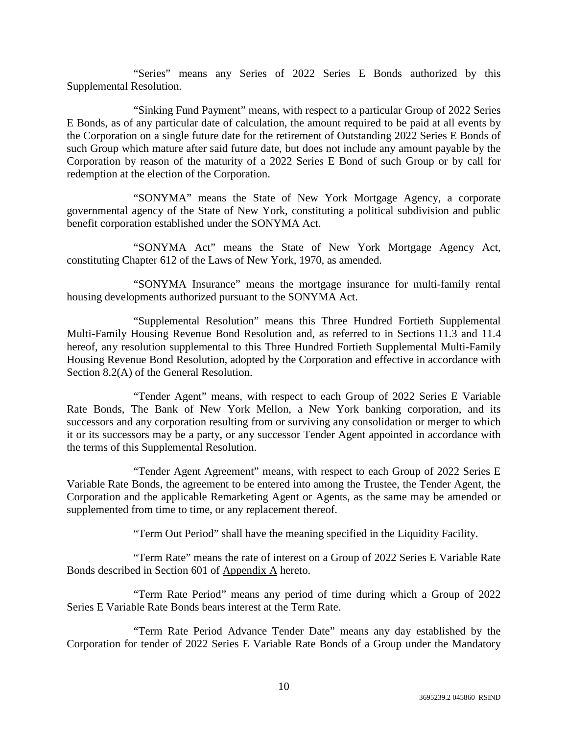"Series" means any Series of 2022 Series E Bonds authorized by this Supplemental Resolution.

"Sinking Fund Payment" means, with respect to a particular Group of 2022 Series E Bonds, as of any particular date of calculation, the amount required to be paid at all events by the Corporation on a single future date for the retirement of Outstanding 2022 Series E Bonds of such Group which mature after said future date, but does not include any amount payable by the Corporation by reason of the maturity of a 2022 Series E Bond of such Group or by call for redemption at the election of the Corporation.

"SONYMA" means the State of New York Mortgage Agency, a corporate governmental agency of the State of New York, constituting a political subdivision and public benefit corporation established under the SONYMA Act.

"SONYMA Act" means the State of New York Mortgage Agency Act, constituting Chapter 612 of the Laws of New York, 1970, as amended.

"SONYMA Insurance" means the mortgage insurance for multi-family rental housing developments authorized pursuant to the SONYMA Act.

"Supplemental Resolution" means this Three Hundred Fortieth Supplemental Multi-Family Housing Revenue Bond Resolution and, as referred to in Sections 11.3 and 11.4 hereof, any resolution supplemental to this Three Hundred Fortieth Supplemental Multi-Family Housing Revenue Bond Resolution, adopted by the Corporation and effective in accordance with Section 8.2(A) of the General Resolution.

"Tender Agent" means, with respect to each Group of 2022 Series E Variable Rate Bonds, The Bank of New York Mellon, a New York banking corporation, and its successors and any corporation resulting from or surviving any consolidation or merger to which it or its successors may be a party, or any successor Tender Agent appointed in accordance with the terms of this Supplemental Resolution.

"Tender Agent Agreement" means, with respect to each Group of 2022 Series E Variable Rate Bonds, the agreement to be entered into among the Trustee, the Tender Agent, the Corporation and the applicable Remarketing Agent or Agents, as the same may be amended or supplemented from time to time, or any replacement thereof.

"Term Out Period" shall have the meaning specified in the Liquidity Facility.

"Term Rate" means the rate of interest on a Group of 2022 Series E Variable Rate Bonds described in Section 601 of Appendix A hereto.

"Term Rate Period" means any period of time during which a Group of 2022 Series E Variable Rate Bonds bears interest at the Term Rate.

"Term Rate Period Advance Tender Date" means any day established by the Corporation for tender of 2022 Series E Variable Rate Bonds of a Group under the Mandatory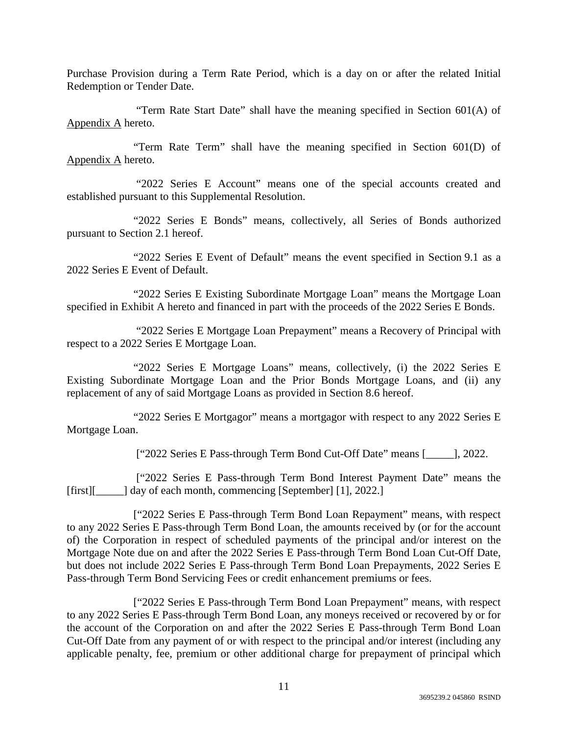Purchase Provision during a Term Rate Period, which is a day on or after the related Initial Redemption or Tender Date.

 "Term Rate Start Date" shall have the meaning specified in Section 601(A) of Appendix A hereto.

"Term Rate Term" shall have the meaning specified in Section 601(D) of Appendix A hereto.

 "2022 Series E Account" means one of the special accounts created and established pursuant to this Supplemental Resolution.

"2022 Series E Bonds" means, collectively, all Series of Bonds authorized pursuant to Section 2.1 hereof.

"2022 Series E Event of Default" means the event specified in Section 9.1 as a 2022 Series E Event of Default.

"2022 Series E Existing Subordinate Mortgage Loan" means the Mortgage Loan specified in Exhibit A hereto and financed in part with the proceeds of the 2022 Series E Bonds.

 "2022 Series E Mortgage Loan Prepayment" means a Recovery of Principal with respect to a 2022 Series E Mortgage Loan.

"2022 Series E Mortgage Loans" means, collectively, (i) the 2022 Series E Existing Subordinate Mortgage Loan and the Prior Bonds Mortgage Loans, and (ii) any replacement of any of said Mortgage Loans as provided in Section 8.6 hereof.

"2022 Series E Mortgagor" means a mortgagor with respect to any 2022 Series E Mortgage Loan.

["2022 Series E Pass-through Term Bond Cut-Off Date" means [\_\_\_\_\_], 2022.

 ["2022 Series E Pass-through Term Bond Interest Payment Date" means the [first][\_\_\_\_\_] day of each month, commencing [September] [1], 2022.]

["2022 Series E Pass-through Term Bond Loan Repayment" means, with respect to any 2022 Series E Pass-through Term Bond Loan, the amounts received by (or for the account of) the Corporation in respect of scheduled payments of the principal and/or interest on the Mortgage Note due on and after the 2022 Series E Pass-through Term Bond Loan Cut-Off Date, but does not include 2022 Series E Pass-through Term Bond Loan Prepayments, 2022 Series E Pass-through Term Bond Servicing Fees or credit enhancement premiums or fees.

["2022 Series E Pass-through Term Bond Loan Prepayment" means, with respect to any 2022 Series E Pass-through Term Bond Loan, any moneys received or recovered by or for the account of the Corporation on and after the 2022 Series E Pass-through Term Bond Loan Cut-Off Date from any payment of or with respect to the principal and/or interest (including any applicable penalty, fee, premium or other additional charge for prepayment of principal which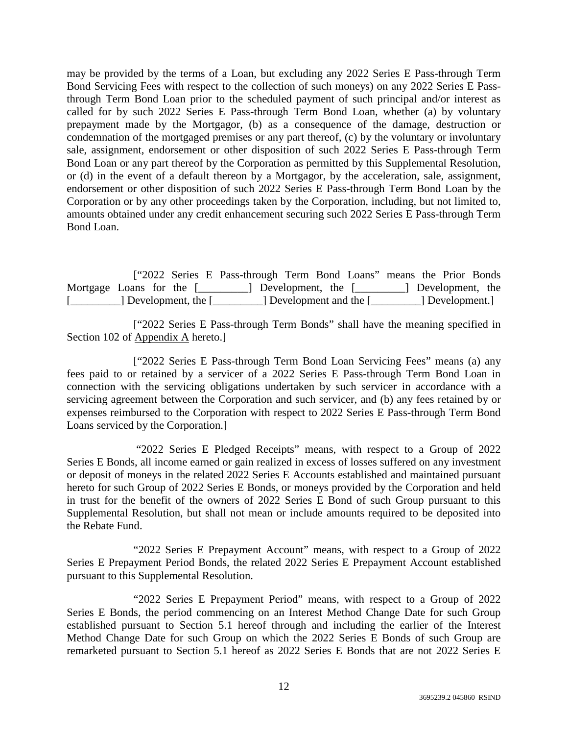may be provided by the terms of a Loan, but excluding any 2022 Series E Pass-through Term Bond Servicing Fees with respect to the collection of such moneys) on any 2022 Series E Passthrough Term Bond Loan prior to the scheduled payment of such principal and/or interest as called for by such 2022 Series E Pass-through Term Bond Loan, whether (a) by voluntary prepayment made by the Mortgagor, (b) as a consequence of the damage, destruction or condemnation of the mortgaged premises or any part thereof, (c) by the voluntary or involuntary sale, assignment, endorsement or other disposition of such 2022 Series E Pass-through Term Bond Loan or any part thereof by the Corporation as permitted by this Supplemental Resolution, or (d) in the event of a default thereon by a Mortgagor, by the acceleration, sale, assignment, endorsement or other disposition of such 2022 Series E Pass-through Term Bond Loan by the Corporation or by any other proceedings taken by the Corporation, including, but not limited to, amounts obtained under any credit enhancement securing such 2022 Series E Pass-through Term Bond Loan.

|                          |  | ["2022 Series E Pass-through Term Bond Loans" means the Prior Bonds |                         |  |  |                 |                  |
|--------------------------|--|---------------------------------------------------------------------|-------------------------|--|--|-----------------|------------------|
| Mortgage Loans for the [ |  | $\Box$ Development, the $\Box$                                      |                         |  |  |                 | Development, the |
| [] Development, the []   |  |                                                                     | [1] Development and the |  |  | [ Development.] |                  |

["2022 Series E Pass-through Term Bonds" shall have the meaning specified in Section 102 of Appendix A hereto.]

["2022 Series E Pass-through Term Bond Loan Servicing Fees" means (a) any fees paid to or retained by a servicer of a 2022 Series E Pass-through Term Bond Loan in connection with the servicing obligations undertaken by such servicer in accordance with a servicing agreement between the Corporation and such servicer, and (b) any fees retained by or expenses reimbursed to the Corporation with respect to 2022 Series E Pass-through Term Bond Loans serviced by the Corporation.]

 "2022 Series E Pledged Receipts" means, with respect to a Group of 2022 Series E Bonds, all income earned or gain realized in excess of losses suffered on any investment or deposit of moneys in the related 2022 Series E Accounts established and maintained pursuant hereto for such Group of 2022 Series E Bonds, or moneys provided by the Corporation and held in trust for the benefit of the owners of 2022 Series E Bond of such Group pursuant to this Supplemental Resolution, but shall not mean or include amounts required to be deposited into the Rebate Fund.

"2022 Series E Prepayment Account" means, with respect to a Group of 2022 Series E Prepayment Period Bonds, the related 2022 Series E Prepayment Account established pursuant to this Supplemental Resolution.

"2022 Series E Prepayment Period" means, with respect to a Group of 2022 Series E Bonds, the period commencing on an Interest Method Change Date for such Group established pursuant to Section 5.1 hereof through and including the earlier of the Interest Method Change Date for such Group on which the 2022 Series E Bonds of such Group are remarketed pursuant to Section 5.1 hereof as 2022 Series E Bonds that are not 2022 Series E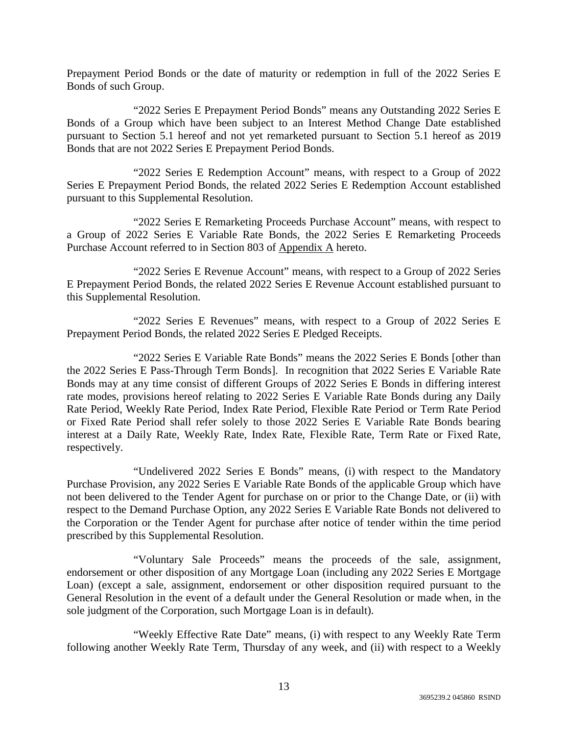Prepayment Period Bonds or the date of maturity or redemption in full of the 2022 Series E Bonds of such Group.

"2022 Series E Prepayment Period Bonds" means any Outstanding 2022 Series E Bonds of a Group which have been subject to an Interest Method Change Date established pursuant to Section 5.1 hereof and not yet remarketed pursuant to Section 5.1 hereof as 2019 Bonds that are not 2022 Series E Prepayment Period Bonds.

"2022 Series E Redemption Account" means, with respect to a Group of 2022 Series E Prepayment Period Bonds, the related 2022 Series E Redemption Account established pursuant to this Supplemental Resolution.

"2022 Series E Remarketing Proceeds Purchase Account" means, with respect to a Group of 2022 Series E Variable Rate Bonds, the 2022 Series E Remarketing Proceeds Purchase Account referred to in Section 803 of Appendix A hereto.

"2022 Series E Revenue Account" means, with respect to a Group of 2022 Series E Prepayment Period Bonds, the related 2022 Series E Revenue Account established pursuant to this Supplemental Resolution.

"2022 Series E Revenues" means, with respect to a Group of 2022 Series E Prepayment Period Bonds, the related 2022 Series E Pledged Receipts.

"2022 Series E Variable Rate Bonds" means the 2022 Series E Bonds [other than the 2022 Series E Pass-Through Term Bonds]. In recognition that 2022 Series E Variable Rate Bonds may at any time consist of different Groups of 2022 Series E Bonds in differing interest rate modes, provisions hereof relating to 2022 Series E Variable Rate Bonds during any Daily Rate Period, Weekly Rate Period, Index Rate Period, Flexible Rate Period or Term Rate Period or Fixed Rate Period shall refer solely to those 2022 Series E Variable Rate Bonds bearing interest at a Daily Rate, Weekly Rate, Index Rate, Flexible Rate, Term Rate or Fixed Rate, respectively.

"Undelivered 2022 Series E Bonds" means, (i) with respect to the Mandatory Purchase Provision, any 2022 Series E Variable Rate Bonds of the applicable Group which have not been delivered to the Tender Agent for purchase on or prior to the Change Date, or (ii) with respect to the Demand Purchase Option, any 2022 Series E Variable Rate Bonds not delivered to the Corporation or the Tender Agent for purchase after notice of tender within the time period prescribed by this Supplemental Resolution.

"Voluntary Sale Proceeds" means the proceeds of the sale, assignment, endorsement or other disposition of any Mortgage Loan (including any 2022 Series E Mortgage Loan) (except a sale, assignment, endorsement or other disposition required pursuant to the General Resolution in the event of a default under the General Resolution or made when, in the sole judgment of the Corporation, such Mortgage Loan is in default).

"Weekly Effective Rate Date" means, (i) with respect to any Weekly Rate Term following another Weekly Rate Term, Thursday of any week, and (ii) with respect to a Weekly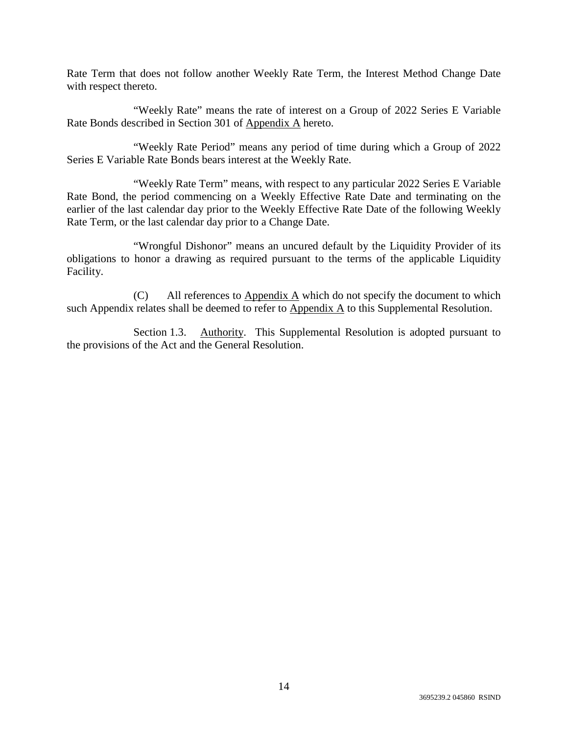Rate Term that does not follow another Weekly Rate Term, the Interest Method Change Date with respect thereto.

"Weekly Rate" means the rate of interest on a Group of 2022 Series E Variable Rate Bonds described in Section 301 of Appendix A hereto.

"Weekly Rate Period" means any period of time during which a Group of 2022 Series E Variable Rate Bonds bears interest at the Weekly Rate.

"Weekly Rate Term" means, with respect to any particular 2022 Series E Variable Rate Bond, the period commencing on a Weekly Effective Rate Date and terminating on the earlier of the last calendar day prior to the Weekly Effective Rate Date of the following Weekly Rate Term, or the last calendar day prior to a Change Date.

"Wrongful Dishonor" means an uncured default by the Liquidity Provider of its obligations to honor a drawing as required pursuant to the terms of the applicable Liquidity Facility.

(C) All references to  $\Delta p$  and  $\Delta p$  which do not specify the document to which such Appendix relates shall be deemed to refer to Appendix A to this Supplemental Resolution.

Section 1.3. Authority. This Supplemental Resolution is adopted pursuant to the provisions of the Act and the General Resolution.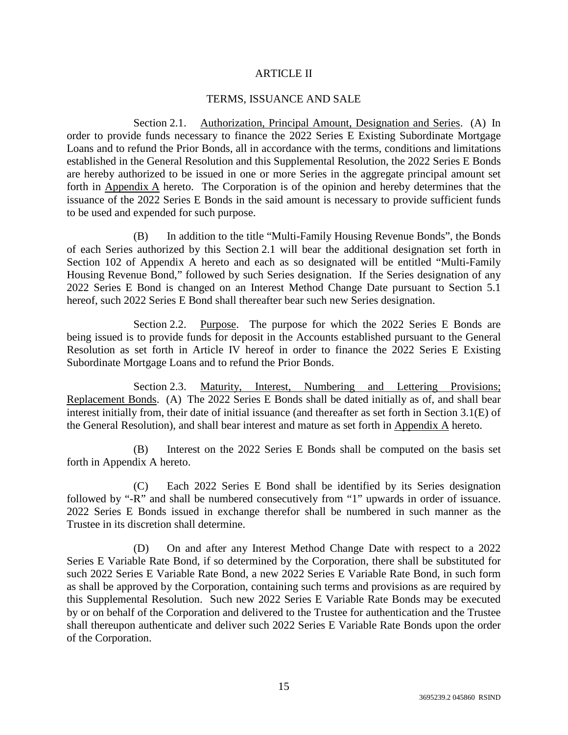### ARTICLE II

#### TERMS, ISSUANCE AND SALE

Section 2.1. Authorization, Principal Amount, Designation and Series. (A) In order to provide funds necessary to finance the 2022 Series E Existing Subordinate Mortgage Loans and to refund the Prior Bonds, all in accordance with the terms, conditions and limitations established in the General Resolution and this Supplemental Resolution, the 2022 Series E Bonds are hereby authorized to be issued in one or more Series in the aggregate principal amount set forth in Appendix A hereto. The Corporation is of the opinion and hereby determines that the issuance of the 2022 Series E Bonds in the said amount is necessary to provide sufficient funds to be used and expended for such purpose.

(B) In addition to the title "Multi-Family Housing Revenue Bonds", the Bonds of each Series authorized by this Section 2.1 will bear the additional designation set forth in Section 102 of Appendix A hereto and each as so designated will be entitled "Multi-Family Housing Revenue Bond," followed by such Series designation. If the Series designation of any 2022 Series E Bond is changed on an Interest Method Change Date pursuant to Section 5.1 hereof, such 2022 Series E Bond shall thereafter bear such new Series designation.

Section 2.2. Purpose. The purpose for which the 2022 Series E Bonds are being issued is to provide funds for deposit in the Accounts established pursuant to the General Resolution as set forth in Article IV hereof in order to finance the 2022 Series E Existing Subordinate Mortgage Loans and to refund the Prior Bonds.

Section 2.3. Maturity, Interest, Numbering and Lettering Provisions; Replacement Bonds. (A) The 2022 Series E Bonds shall be dated initially as of, and shall bear interest initially from, their date of initial issuance (and thereafter as set forth in Section 3.1(E) of the General Resolution), and shall bear interest and mature as set forth in Appendix A hereto.

(B) Interest on the 2022 Series E Bonds shall be computed on the basis set forth in Appendix A hereto.

(C) Each 2022 Series E Bond shall be identified by its Series designation followed by "-R" and shall be numbered consecutively from "1" upwards in order of issuance. 2022 Series E Bonds issued in exchange therefor shall be numbered in such manner as the Trustee in its discretion shall determine.

(D) On and after any Interest Method Change Date with respect to a 2022 Series E Variable Rate Bond, if so determined by the Corporation, there shall be substituted for such 2022 Series E Variable Rate Bond, a new 2022 Series E Variable Rate Bond, in such form as shall be approved by the Corporation, containing such terms and provisions as are required by this Supplemental Resolution. Such new 2022 Series E Variable Rate Bonds may be executed by or on behalf of the Corporation and delivered to the Trustee for authentication and the Trustee shall thereupon authenticate and deliver such 2022 Series E Variable Rate Bonds upon the order of the Corporation.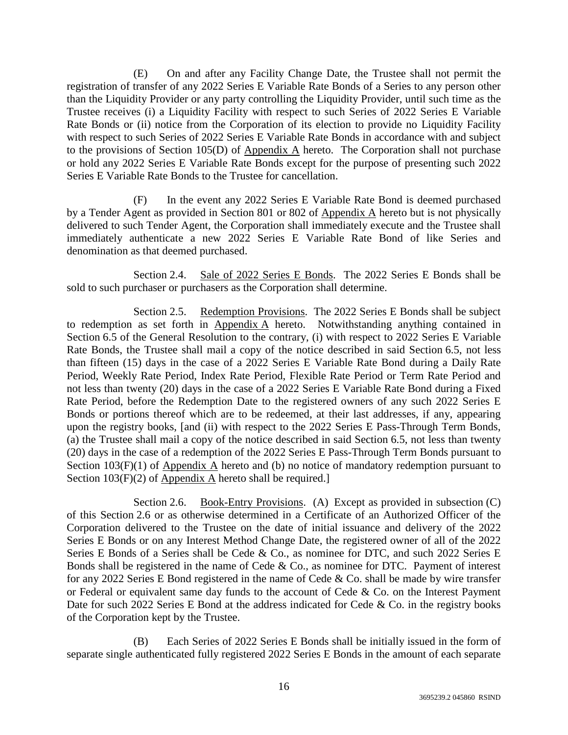(E) On and after any Facility Change Date, the Trustee shall not permit the registration of transfer of any 2022 Series E Variable Rate Bonds of a Series to any person other than the Liquidity Provider or any party controlling the Liquidity Provider, until such time as the Trustee receives (i) a Liquidity Facility with respect to such Series of 2022 Series E Variable Rate Bonds or (ii) notice from the Corporation of its election to provide no Liquidity Facility with respect to such Series of 2022 Series E Variable Rate Bonds in accordance with and subject to the provisions of Section 105(D) of Appendix A hereto. The Corporation shall not purchase or hold any 2022 Series E Variable Rate Bonds except for the purpose of presenting such 2022 Series E Variable Rate Bonds to the Trustee for cancellation.

(F) In the event any 2022 Series E Variable Rate Bond is deemed purchased by a Tender Agent as provided in Section 801 or 802 of Appendix A hereto but is not physically delivered to such Tender Agent, the Corporation shall immediately execute and the Trustee shall immediately authenticate a new 2022 Series E Variable Rate Bond of like Series and denomination as that deemed purchased.

Section 2.4. Sale of 2022 Series E Bonds. The 2022 Series E Bonds shall be sold to such purchaser or purchasers as the Corporation shall determine.

Section 2.5. Redemption Provisions. The 2022 Series E Bonds shall be subject to redemption as set forth in Appendix A hereto. Notwithstanding anything contained in Section 6.5 of the General Resolution to the contrary, (i) with respect to 2022 Series E Variable Rate Bonds, the Trustee shall mail a copy of the notice described in said Section 6.5, not less than fifteen (15) days in the case of a 2022 Series E Variable Rate Bond during a Daily Rate Period, Weekly Rate Period, Index Rate Period, Flexible Rate Period or Term Rate Period and not less than twenty (20) days in the case of a 2022 Series E Variable Rate Bond during a Fixed Rate Period, before the Redemption Date to the registered owners of any such 2022 Series E Bonds or portions thereof which are to be redeemed, at their last addresses, if any, appearing upon the registry books, [and (ii) with respect to the 2022 Series E Pass-Through Term Bonds, (a) the Trustee shall mail a copy of the notice described in said Section 6.5, not less than twenty (20) days in the case of a redemption of the 2022 Series E Pass-Through Term Bonds pursuant to Section 103(F)(1) of Appendix A hereto and (b) no notice of mandatory redemption pursuant to Section 103(F)(2) of Appendix A hereto shall be required.]

Section 2.6. Book-Entry Provisions. (A) Except as provided in subsection (C) of this Section 2.6 or as otherwise determined in a Certificate of an Authorized Officer of the Corporation delivered to the Trustee on the date of initial issuance and delivery of the 2022 Series E Bonds or on any Interest Method Change Date, the registered owner of all of the 2022 Series E Bonds of a Series shall be Cede & Co., as nominee for DTC, and such 2022 Series E Bonds shall be registered in the name of Cede & Co., as nominee for DTC. Payment of interest for any 2022 Series E Bond registered in the name of Cede & Co. shall be made by wire transfer or Federal or equivalent same day funds to the account of Cede & Co. on the Interest Payment Date for such 2022 Series E Bond at the address indicated for Cede & Co. in the registry books of the Corporation kept by the Trustee.

(B) Each Series of 2022 Series E Bonds shall be initially issued in the form of separate single authenticated fully registered 2022 Series E Bonds in the amount of each separate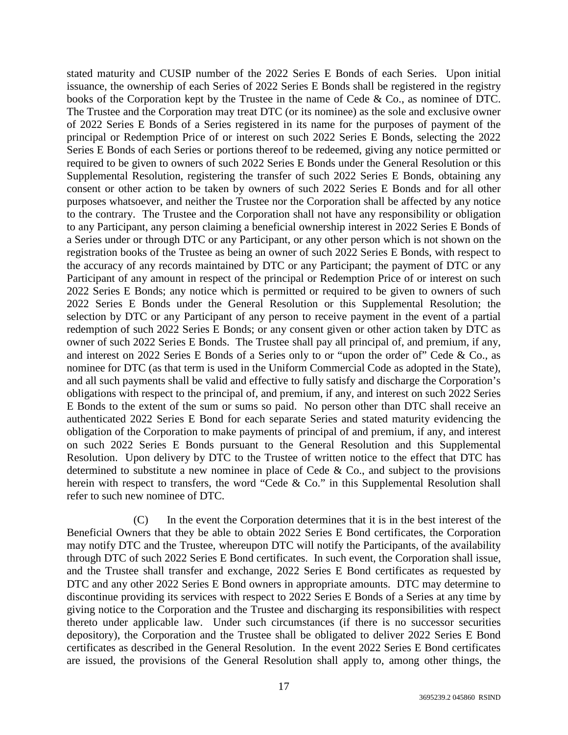stated maturity and CUSIP number of the 2022 Series E Bonds of each Series. Upon initial issuance, the ownership of each Series of 2022 Series E Bonds shall be registered in the registry books of the Corporation kept by the Trustee in the name of Cede & Co., as nominee of DTC. The Trustee and the Corporation may treat DTC (or its nominee) as the sole and exclusive owner of 2022 Series E Bonds of a Series registered in its name for the purposes of payment of the principal or Redemption Price of or interest on such 2022 Series E Bonds, selecting the 2022 Series E Bonds of each Series or portions thereof to be redeemed, giving any notice permitted or required to be given to owners of such 2022 Series E Bonds under the General Resolution or this Supplemental Resolution, registering the transfer of such 2022 Series E Bonds, obtaining any consent or other action to be taken by owners of such 2022 Series E Bonds and for all other purposes whatsoever, and neither the Trustee nor the Corporation shall be affected by any notice to the contrary. The Trustee and the Corporation shall not have any responsibility or obligation to any Participant, any person claiming a beneficial ownership interest in 2022 Series E Bonds of a Series under or through DTC or any Participant, or any other person which is not shown on the registration books of the Trustee as being an owner of such 2022 Series E Bonds, with respect to the accuracy of any records maintained by DTC or any Participant; the payment of DTC or any Participant of any amount in respect of the principal or Redemption Price of or interest on such 2022 Series E Bonds; any notice which is permitted or required to be given to owners of such 2022 Series E Bonds under the General Resolution or this Supplemental Resolution; the selection by DTC or any Participant of any person to receive payment in the event of a partial redemption of such 2022 Series E Bonds; or any consent given or other action taken by DTC as owner of such 2022 Series E Bonds. The Trustee shall pay all principal of, and premium, if any, and interest on 2022 Series E Bonds of a Series only to or "upon the order of" Cede & Co., as nominee for DTC (as that term is used in the Uniform Commercial Code as adopted in the State), and all such payments shall be valid and effective to fully satisfy and discharge the Corporation's obligations with respect to the principal of, and premium, if any, and interest on such 2022 Series E Bonds to the extent of the sum or sums so paid. No person other than DTC shall receive an authenticated 2022 Series E Bond for each separate Series and stated maturity evidencing the obligation of the Corporation to make payments of principal of and premium, if any, and interest on such 2022 Series E Bonds pursuant to the General Resolution and this Supplemental Resolution. Upon delivery by DTC to the Trustee of written notice to the effect that DTC has determined to substitute a new nominee in place of Cede  $\&$  Co., and subject to the provisions herein with respect to transfers, the word "Cede & Co." in this Supplemental Resolution shall refer to such new nominee of DTC.

(C) In the event the Corporation determines that it is in the best interest of the Beneficial Owners that they be able to obtain 2022 Series E Bond certificates, the Corporation may notify DTC and the Trustee, whereupon DTC will notify the Participants, of the availability through DTC of such 2022 Series E Bond certificates. In such event, the Corporation shall issue, and the Trustee shall transfer and exchange, 2022 Series E Bond certificates as requested by DTC and any other 2022 Series E Bond owners in appropriate amounts. DTC may determine to discontinue providing its services with respect to 2022 Series E Bonds of a Series at any time by giving notice to the Corporation and the Trustee and discharging its responsibilities with respect thereto under applicable law. Under such circumstances (if there is no successor securities depository), the Corporation and the Trustee shall be obligated to deliver 2022 Series E Bond certificates as described in the General Resolution. In the event 2022 Series E Bond certificates are issued, the provisions of the General Resolution shall apply to, among other things, the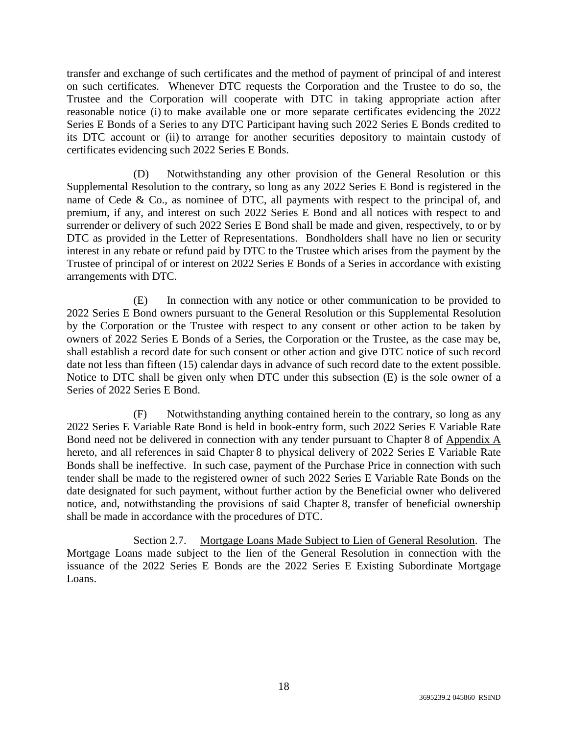transfer and exchange of such certificates and the method of payment of principal of and interest on such certificates. Whenever DTC requests the Corporation and the Trustee to do so, the Trustee and the Corporation will cooperate with DTC in taking appropriate action after reasonable notice (i) to make available one or more separate certificates evidencing the 2022 Series E Bonds of a Series to any DTC Participant having such 2022 Series E Bonds credited to its DTC account or (ii) to arrange for another securities depository to maintain custody of certificates evidencing such 2022 Series E Bonds.

(D) Notwithstanding any other provision of the General Resolution or this Supplemental Resolution to the contrary, so long as any 2022 Series E Bond is registered in the name of Cede & Co., as nominee of DTC, all payments with respect to the principal of, and premium, if any, and interest on such 2022 Series E Bond and all notices with respect to and surrender or delivery of such 2022 Series E Bond shall be made and given, respectively, to or by DTC as provided in the Letter of Representations. Bondholders shall have no lien or security interest in any rebate or refund paid by DTC to the Trustee which arises from the payment by the Trustee of principal of or interest on 2022 Series E Bonds of a Series in accordance with existing arrangements with DTC.

(E) In connection with any notice or other communication to be provided to 2022 Series E Bond owners pursuant to the General Resolution or this Supplemental Resolution by the Corporation or the Trustee with respect to any consent or other action to be taken by owners of 2022 Series E Bonds of a Series, the Corporation or the Trustee, as the case may be, shall establish a record date for such consent or other action and give DTC notice of such record date not less than fifteen (15) calendar days in advance of such record date to the extent possible. Notice to DTC shall be given only when DTC under this subsection (E) is the sole owner of a Series of 2022 Series E Bond.

(F) Notwithstanding anything contained herein to the contrary, so long as any 2022 Series E Variable Rate Bond is held in book-entry form, such 2022 Series E Variable Rate Bond need not be delivered in connection with any tender pursuant to Chapter 8 of Appendix A hereto, and all references in said Chapter 8 to physical delivery of 2022 Series E Variable Rate Bonds shall be ineffective. In such case, payment of the Purchase Price in connection with such tender shall be made to the registered owner of such 2022 Series E Variable Rate Bonds on the date designated for such payment, without further action by the Beneficial owner who delivered notice, and, notwithstanding the provisions of said Chapter 8, transfer of beneficial ownership shall be made in accordance with the procedures of DTC.

Section 2.7. Mortgage Loans Made Subject to Lien of General Resolution. The Mortgage Loans made subject to the lien of the General Resolution in connection with the issuance of the 2022 Series E Bonds are the 2022 Series E Existing Subordinate Mortgage Loans.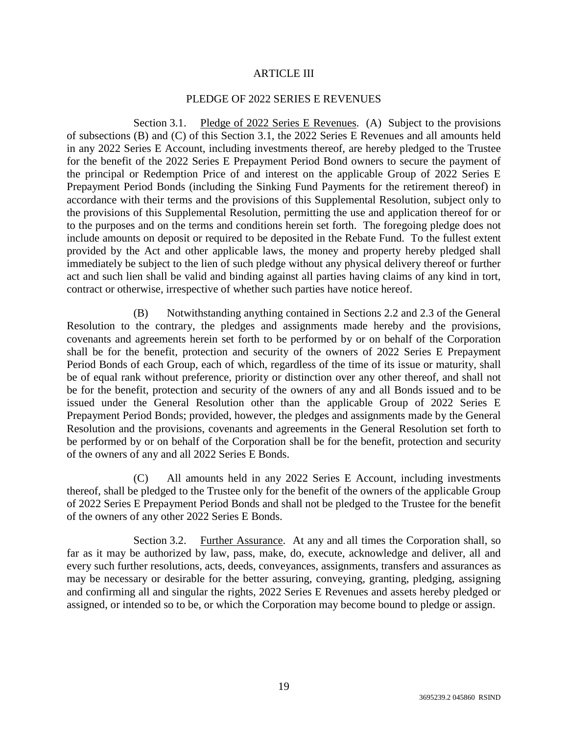#### ARTICLE III

#### PLEDGE OF 2022 SERIES E REVENUES

Section 3.1. Pledge of 2022 Series E Revenues. (A) Subject to the provisions of subsections (B) and (C) of this Section 3.1, the 2022 Series E Revenues and all amounts held in any 2022 Series E Account, including investments thereof, are hereby pledged to the Trustee for the benefit of the 2022 Series E Prepayment Period Bond owners to secure the payment of the principal or Redemption Price of and interest on the applicable Group of 2022 Series E Prepayment Period Bonds (including the Sinking Fund Payments for the retirement thereof) in accordance with their terms and the provisions of this Supplemental Resolution, subject only to the provisions of this Supplemental Resolution, permitting the use and application thereof for or to the purposes and on the terms and conditions herein set forth. The foregoing pledge does not include amounts on deposit or required to be deposited in the Rebate Fund. To the fullest extent provided by the Act and other applicable laws, the money and property hereby pledged shall immediately be subject to the lien of such pledge without any physical delivery thereof or further act and such lien shall be valid and binding against all parties having claims of any kind in tort, contract or otherwise, irrespective of whether such parties have notice hereof.

(B) Notwithstanding anything contained in Sections 2.2 and 2.3 of the General Resolution to the contrary, the pledges and assignments made hereby and the provisions, covenants and agreements herein set forth to be performed by or on behalf of the Corporation shall be for the benefit, protection and security of the owners of 2022 Series E Prepayment Period Bonds of each Group, each of which, regardless of the time of its issue or maturity, shall be of equal rank without preference, priority or distinction over any other thereof, and shall not be for the benefit, protection and security of the owners of any and all Bonds issued and to be issued under the General Resolution other than the applicable Group of 2022 Series E Prepayment Period Bonds; provided, however, the pledges and assignments made by the General Resolution and the provisions, covenants and agreements in the General Resolution set forth to be performed by or on behalf of the Corporation shall be for the benefit, protection and security of the owners of any and all 2022 Series E Bonds.

(C) All amounts held in any 2022 Series E Account, including investments thereof, shall be pledged to the Trustee only for the benefit of the owners of the applicable Group of 2022 Series E Prepayment Period Bonds and shall not be pledged to the Trustee for the benefit of the owners of any other 2022 Series E Bonds.

Section 3.2. Further Assurance. At any and all times the Corporation shall, so far as it may be authorized by law, pass, make, do, execute, acknowledge and deliver, all and every such further resolutions, acts, deeds, conveyances, assignments, transfers and assurances as may be necessary or desirable for the better assuring, conveying, granting, pledging, assigning and confirming all and singular the rights, 2022 Series E Revenues and assets hereby pledged or assigned, or intended so to be, or which the Corporation may become bound to pledge or assign.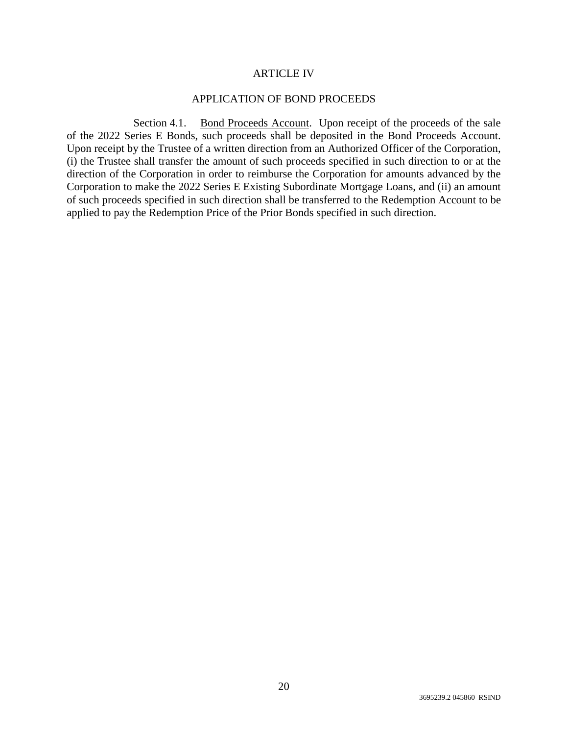#### ARTICLE IV

#### APPLICATION OF BOND PROCEEDS

Section 4.1. Bond Proceeds Account. Upon receipt of the proceeds of the sale of the 2022 Series E Bonds, such proceeds shall be deposited in the Bond Proceeds Account. Upon receipt by the Trustee of a written direction from an Authorized Officer of the Corporation, (i) the Trustee shall transfer the amount of such proceeds specified in such direction to or at the direction of the Corporation in order to reimburse the Corporation for amounts advanced by the Corporation to make the 2022 Series E Existing Subordinate Mortgage Loans, and (ii) an amount of such proceeds specified in such direction shall be transferred to the Redemption Account to be applied to pay the Redemption Price of the Prior Bonds specified in such direction.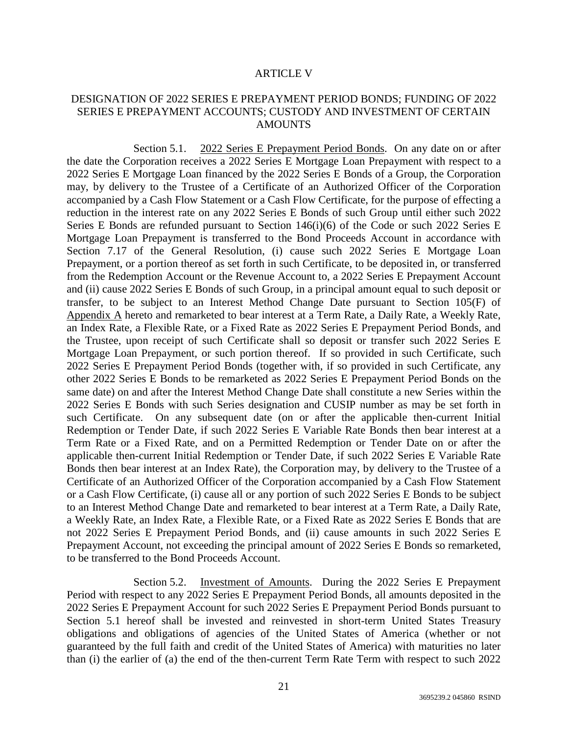#### ARTICLE V

### DESIGNATION OF 2022 SERIES E PREPAYMENT PERIOD BONDS; FUNDING OF 2022 SERIES E PREPAYMENT ACCOUNTS; CUSTODY AND INVESTMENT OF CERTAIN **AMOUNTS**

Section 5.1. 2022 Series E Prepayment Period Bonds. On any date on or after the date the Corporation receives a 2022 Series E Mortgage Loan Prepayment with respect to a 2022 Series E Mortgage Loan financed by the 2022 Series E Bonds of a Group, the Corporation may, by delivery to the Trustee of a Certificate of an Authorized Officer of the Corporation accompanied by a Cash Flow Statement or a Cash Flow Certificate, for the purpose of effecting a reduction in the interest rate on any 2022 Series E Bonds of such Group until either such 2022 Series E Bonds are refunded pursuant to Section 146(i)(6) of the Code or such 2022 Series E Mortgage Loan Prepayment is transferred to the Bond Proceeds Account in accordance with Section 7.17 of the General Resolution, (i) cause such 2022 Series E Mortgage Loan Prepayment, or a portion thereof as set forth in such Certificate, to be deposited in, or transferred from the Redemption Account or the Revenue Account to, a 2022 Series E Prepayment Account and (ii) cause 2022 Series E Bonds of such Group, in a principal amount equal to such deposit or transfer, to be subject to an Interest Method Change Date pursuant to Section 105(F) of Appendix A hereto and remarketed to bear interest at a Term Rate, a Daily Rate, a Weekly Rate, an Index Rate, a Flexible Rate, or a Fixed Rate as 2022 Series E Prepayment Period Bonds, and the Trustee, upon receipt of such Certificate shall so deposit or transfer such 2022 Series E Mortgage Loan Prepayment, or such portion thereof. If so provided in such Certificate, such 2022 Series E Prepayment Period Bonds (together with, if so provided in such Certificate, any other 2022 Series E Bonds to be remarketed as 2022 Series E Prepayment Period Bonds on the same date) on and after the Interest Method Change Date shall constitute a new Series within the 2022 Series E Bonds with such Series designation and CUSIP number as may be set forth in such Certificate. On any subsequent date (on or after the applicable then-current Initial Redemption or Tender Date, if such 2022 Series E Variable Rate Bonds then bear interest at a Term Rate or a Fixed Rate, and on a Permitted Redemption or Tender Date on or after the applicable then-current Initial Redemption or Tender Date, if such 2022 Series E Variable Rate Bonds then bear interest at an Index Rate), the Corporation may, by delivery to the Trustee of a Certificate of an Authorized Officer of the Corporation accompanied by a Cash Flow Statement or a Cash Flow Certificate, (i) cause all or any portion of such 2022 Series E Bonds to be subject to an Interest Method Change Date and remarketed to bear interest at a Term Rate, a Daily Rate, a Weekly Rate, an Index Rate, a Flexible Rate, or a Fixed Rate as 2022 Series E Bonds that are not 2022 Series E Prepayment Period Bonds, and (ii) cause amounts in such 2022 Series E Prepayment Account, not exceeding the principal amount of 2022 Series E Bonds so remarketed, to be transferred to the Bond Proceeds Account.

Section 5.2. Investment of Amounts. During the 2022 Series E Prepayment Period with respect to any 2022 Series E Prepayment Period Bonds, all amounts deposited in the 2022 Series E Prepayment Account for such 2022 Series E Prepayment Period Bonds pursuant to Section 5.1 hereof shall be invested and reinvested in short-term United States Treasury obligations and obligations of agencies of the United States of America (whether or not guaranteed by the full faith and credit of the United States of America) with maturities no later than (i) the earlier of (a) the end of the then-current Term Rate Term with respect to such 2022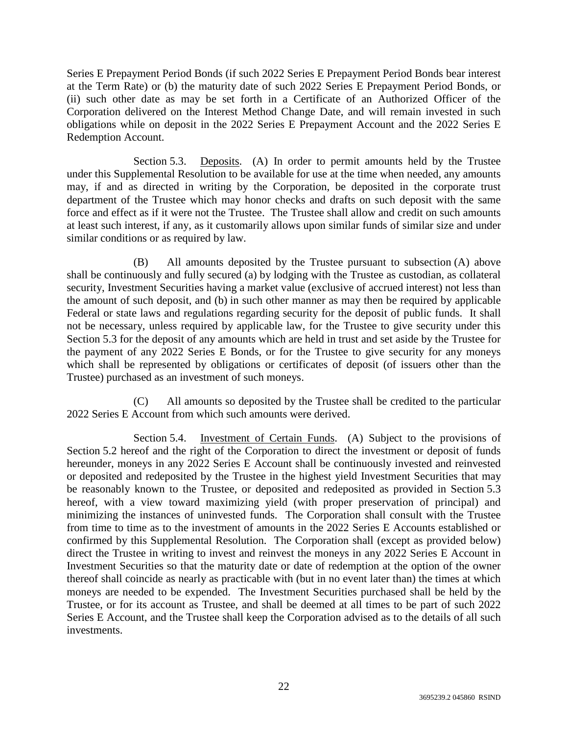Series E Prepayment Period Bonds (if such 2022 Series E Prepayment Period Bonds bear interest at the Term Rate) or (b) the maturity date of such 2022 Series E Prepayment Period Bonds, or (ii) such other date as may be set forth in a Certificate of an Authorized Officer of the Corporation delivered on the Interest Method Change Date, and will remain invested in such obligations while on deposit in the 2022 Series E Prepayment Account and the 2022 Series E Redemption Account.

Section 5.3. Deposits. (A) In order to permit amounts held by the Trustee under this Supplemental Resolution to be available for use at the time when needed, any amounts may, if and as directed in writing by the Corporation, be deposited in the corporate trust department of the Trustee which may honor checks and drafts on such deposit with the same force and effect as if it were not the Trustee. The Trustee shall allow and credit on such amounts at least such interest, if any, as it customarily allows upon similar funds of similar size and under similar conditions or as required by law.

(B) All amounts deposited by the Trustee pursuant to subsection (A) above shall be continuously and fully secured (a) by lodging with the Trustee as custodian, as collateral security, Investment Securities having a market value (exclusive of accrued interest) not less than the amount of such deposit, and (b) in such other manner as may then be required by applicable Federal or state laws and regulations regarding security for the deposit of public funds. It shall not be necessary, unless required by applicable law, for the Trustee to give security under this Section 5.3 for the deposit of any amounts which are held in trust and set aside by the Trustee for the payment of any 2022 Series E Bonds, or for the Trustee to give security for any moneys which shall be represented by obligations or certificates of deposit (of issuers other than the Trustee) purchased as an investment of such moneys.

(C) All amounts so deposited by the Trustee shall be credited to the particular 2022 Series E Account from which such amounts were derived.

Section 5.4. Investment of Certain Funds. (A) Subject to the provisions of Section 5.2 hereof and the right of the Corporation to direct the investment or deposit of funds hereunder, moneys in any 2022 Series E Account shall be continuously invested and reinvested or deposited and redeposited by the Trustee in the highest yield Investment Securities that may be reasonably known to the Trustee, or deposited and redeposited as provided in Section 5.3 hereof, with a view toward maximizing yield (with proper preservation of principal) and minimizing the instances of uninvested funds. The Corporation shall consult with the Trustee from time to time as to the investment of amounts in the 2022 Series E Accounts established or confirmed by this Supplemental Resolution. The Corporation shall (except as provided below) direct the Trustee in writing to invest and reinvest the moneys in any 2022 Series E Account in Investment Securities so that the maturity date or date of redemption at the option of the owner thereof shall coincide as nearly as practicable with (but in no event later than) the times at which moneys are needed to be expended. The Investment Securities purchased shall be held by the Trustee, or for its account as Trustee, and shall be deemed at all times to be part of such 2022 Series E Account, and the Trustee shall keep the Corporation advised as to the details of all such investments.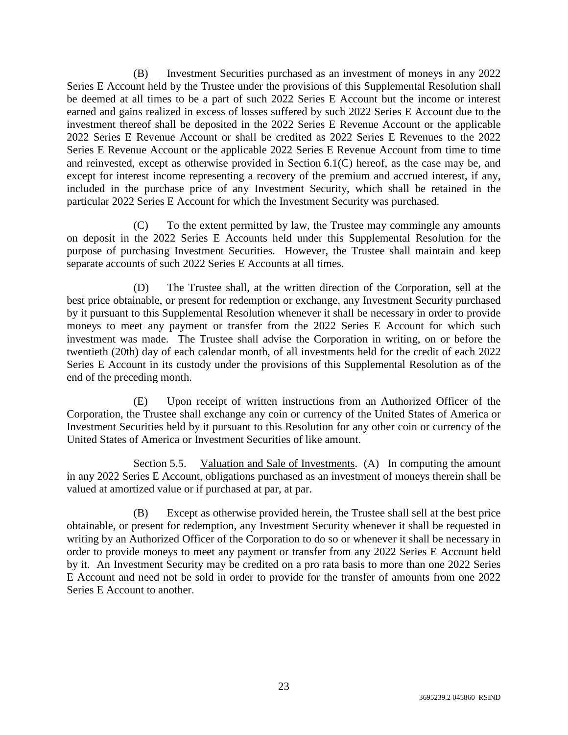(B) Investment Securities purchased as an investment of moneys in any 2022 Series E Account held by the Trustee under the provisions of this Supplemental Resolution shall be deemed at all times to be a part of such 2022 Series E Account but the income or interest earned and gains realized in excess of losses suffered by such 2022 Series E Account due to the investment thereof shall be deposited in the 2022 Series E Revenue Account or the applicable 2022 Series E Revenue Account or shall be credited as 2022 Series E Revenues to the 2022 Series E Revenue Account or the applicable 2022 Series E Revenue Account from time to time and reinvested, except as otherwise provided in Section 6.1(C) hereof, as the case may be, and except for interest income representing a recovery of the premium and accrued interest, if any, included in the purchase price of any Investment Security, which shall be retained in the particular 2022 Series E Account for which the Investment Security was purchased.

(C) To the extent permitted by law, the Trustee may commingle any amounts on deposit in the 2022 Series E Accounts held under this Supplemental Resolution for the purpose of purchasing Investment Securities. However, the Trustee shall maintain and keep separate accounts of such 2022 Series E Accounts at all times.

(D) The Trustee shall, at the written direction of the Corporation, sell at the best price obtainable, or present for redemption or exchange, any Investment Security purchased by it pursuant to this Supplemental Resolution whenever it shall be necessary in order to provide moneys to meet any payment or transfer from the 2022 Series E Account for which such investment was made. The Trustee shall advise the Corporation in writing, on or before the twentieth (20th) day of each calendar month, of all investments held for the credit of each 2022 Series E Account in its custody under the provisions of this Supplemental Resolution as of the end of the preceding month.

(E) Upon receipt of written instructions from an Authorized Officer of the Corporation, the Trustee shall exchange any coin or currency of the United States of America or Investment Securities held by it pursuant to this Resolution for any other coin or currency of the United States of America or Investment Securities of like amount.

Section 5.5. Valuation and Sale of Investments. (A) In computing the amount in any 2022 Series E Account, obligations purchased as an investment of moneys therein shall be valued at amortized value or if purchased at par, at par.

(B) Except as otherwise provided herein, the Trustee shall sell at the best price obtainable, or present for redemption, any Investment Security whenever it shall be requested in writing by an Authorized Officer of the Corporation to do so or whenever it shall be necessary in order to provide moneys to meet any payment or transfer from any 2022 Series E Account held by it. An Investment Security may be credited on a pro rata basis to more than one 2022 Series E Account and need not be sold in order to provide for the transfer of amounts from one 2022 Series E Account to another.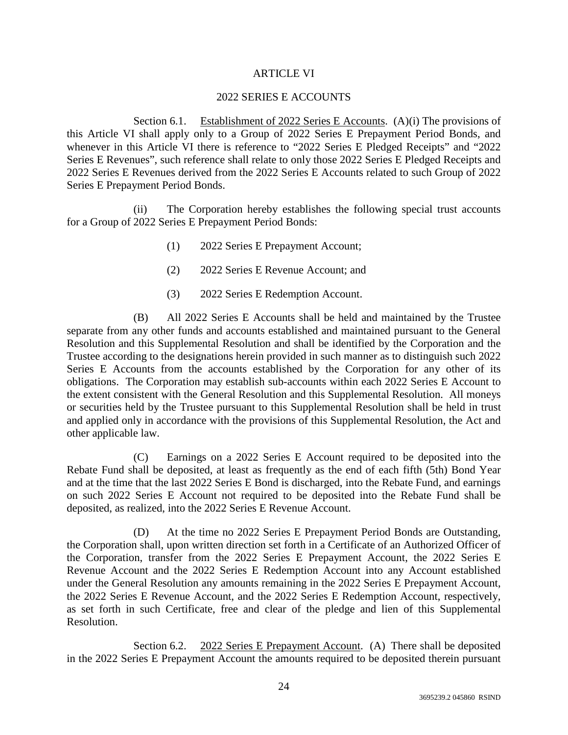### ARTICLE VI

## 2022 SERIES E ACCOUNTS

Section 6.1. Establishment of 2022 Series E Accounts. (A)(i) The provisions of this Article VI shall apply only to a Group of 2022 Series E Prepayment Period Bonds, and whenever in this Article VI there is reference to "2022 Series E Pledged Receipts" and "2022 Series E Revenues", such reference shall relate to only those 2022 Series E Pledged Receipts and 2022 Series E Revenues derived from the 2022 Series E Accounts related to such Group of 2022 Series E Prepayment Period Bonds.

(ii) The Corporation hereby establishes the following special trust accounts for a Group of 2022 Series E Prepayment Period Bonds:

- (1) 2022 Series E Prepayment Account;
- (2) 2022 Series E Revenue Account; and
- (3) 2022 Series E Redemption Account.

(B) All 2022 Series E Accounts shall be held and maintained by the Trustee separate from any other funds and accounts established and maintained pursuant to the General Resolution and this Supplemental Resolution and shall be identified by the Corporation and the Trustee according to the designations herein provided in such manner as to distinguish such 2022 Series E Accounts from the accounts established by the Corporation for any other of its obligations. The Corporation may establish sub-accounts within each 2022 Series E Account to the extent consistent with the General Resolution and this Supplemental Resolution. All moneys or securities held by the Trustee pursuant to this Supplemental Resolution shall be held in trust and applied only in accordance with the provisions of this Supplemental Resolution, the Act and other applicable law.

(C) Earnings on a 2022 Series E Account required to be deposited into the Rebate Fund shall be deposited, at least as frequently as the end of each fifth (5th) Bond Year and at the time that the last 2022 Series E Bond is discharged, into the Rebate Fund, and earnings on such 2022 Series E Account not required to be deposited into the Rebate Fund shall be deposited, as realized, into the 2022 Series E Revenue Account.

(D) At the time no 2022 Series E Prepayment Period Bonds are Outstanding, the Corporation shall, upon written direction set forth in a Certificate of an Authorized Officer of the Corporation, transfer from the 2022 Series E Prepayment Account, the 2022 Series E Revenue Account and the 2022 Series E Redemption Account into any Account established under the General Resolution any amounts remaining in the 2022 Series E Prepayment Account, the 2022 Series E Revenue Account, and the 2022 Series E Redemption Account, respectively, as set forth in such Certificate, free and clear of the pledge and lien of this Supplemental Resolution.

Section 6.2. 2022 Series E Prepayment Account. (A) There shall be deposited in the 2022 Series E Prepayment Account the amounts required to be deposited therein pursuant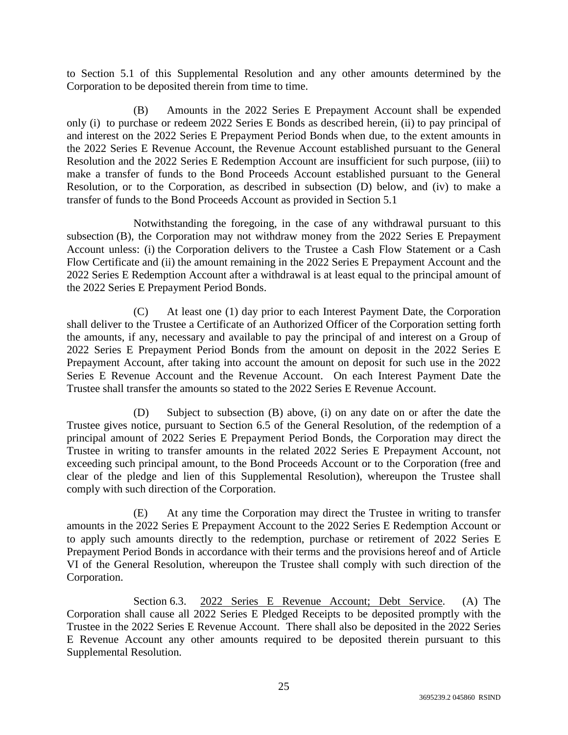to Section 5.1 of this Supplemental Resolution and any other amounts determined by the Corporation to be deposited therein from time to time.

(B) Amounts in the 2022 Series E Prepayment Account shall be expended only (i) to purchase or redeem 2022 Series E Bonds as described herein, (ii) to pay principal of and interest on the 2022 Series E Prepayment Period Bonds when due, to the extent amounts in the 2022 Series E Revenue Account, the Revenue Account established pursuant to the General Resolution and the 2022 Series E Redemption Account are insufficient for such purpose, (iii) to make a transfer of funds to the Bond Proceeds Account established pursuant to the General Resolution, or to the Corporation, as described in subsection (D) below, and (iv) to make a transfer of funds to the Bond Proceeds Account as provided in Section 5.1

Notwithstanding the foregoing, in the case of any withdrawal pursuant to this subsection (B), the Corporation may not withdraw money from the 2022 Series E Prepayment Account unless: (i) the Corporation delivers to the Trustee a Cash Flow Statement or a Cash Flow Certificate and (ii) the amount remaining in the 2022 Series E Prepayment Account and the 2022 Series E Redemption Account after a withdrawal is at least equal to the principal amount of the 2022 Series E Prepayment Period Bonds.

(C) At least one (1) day prior to each Interest Payment Date, the Corporation shall deliver to the Trustee a Certificate of an Authorized Officer of the Corporation setting forth the amounts, if any, necessary and available to pay the principal of and interest on a Group of 2022 Series E Prepayment Period Bonds from the amount on deposit in the 2022 Series E Prepayment Account, after taking into account the amount on deposit for such use in the 2022 Series E Revenue Account and the Revenue Account. On each Interest Payment Date the Trustee shall transfer the amounts so stated to the 2022 Series E Revenue Account.

(D) Subject to subsection (B) above, (i) on any date on or after the date the Trustee gives notice, pursuant to Section 6.5 of the General Resolution, of the redemption of a principal amount of 2022 Series E Prepayment Period Bonds, the Corporation may direct the Trustee in writing to transfer amounts in the related 2022 Series E Prepayment Account, not exceeding such principal amount, to the Bond Proceeds Account or to the Corporation (free and clear of the pledge and lien of this Supplemental Resolution), whereupon the Trustee shall comply with such direction of the Corporation.

(E) At any time the Corporation may direct the Trustee in writing to transfer amounts in the 2022 Series E Prepayment Account to the 2022 Series E Redemption Account or to apply such amounts directly to the redemption, purchase or retirement of 2022 Series E Prepayment Period Bonds in accordance with their terms and the provisions hereof and of Article VI of the General Resolution, whereupon the Trustee shall comply with such direction of the Corporation.

Section 6.3. 2022 Series E Revenue Account; Debt Service. (A) The Corporation shall cause all 2022 Series E Pledged Receipts to be deposited promptly with the Trustee in the 2022 Series E Revenue Account. There shall also be deposited in the 2022 Series E Revenue Account any other amounts required to be deposited therein pursuant to this Supplemental Resolution.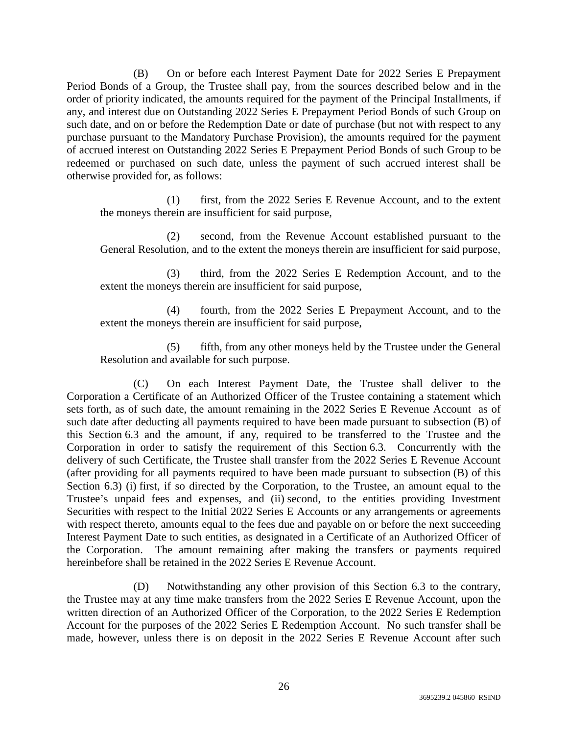(B) On or before each Interest Payment Date for 2022 Series E Prepayment Period Bonds of a Group, the Trustee shall pay, from the sources described below and in the order of priority indicated, the amounts required for the payment of the Principal Installments, if any, and interest due on Outstanding 2022 Series E Prepayment Period Bonds of such Group on such date, and on or before the Redemption Date or date of purchase (but not with respect to any purchase pursuant to the Mandatory Purchase Provision), the amounts required for the payment of accrued interest on Outstanding 2022 Series E Prepayment Period Bonds of such Group to be redeemed or purchased on such date, unless the payment of such accrued interest shall be otherwise provided for, as follows:

(1) first, from the 2022 Series E Revenue Account, and to the extent the moneys therein are insufficient for said purpose,

(2) second, from the Revenue Account established pursuant to the General Resolution, and to the extent the moneys therein are insufficient for said purpose,

(3) third, from the 2022 Series E Redemption Account, and to the extent the moneys therein are insufficient for said purpose,

(4) fourth, from the 2022 Series E Prepayment Account, and to the extent the moneys therein are insufficient for said purpose,

(5) fifth, from any other moneys held by the Trustee under the General Resolution and available for such purpose.

(C) On each Interest Payment Date, the Trustee shall deliver to the Corporation a Certificate of an Authorized Officer of the Trustee containing a statement which sets forth, as of such date, the amount remaining in the 2022 Series E Revenue Account as of such date after deducting all payments required to have been made pursuant to subsection (B) of this Section 6.3 and the amount, if any, required to be transferred to the Trustee and the Corporation in order to satisfy the requirement of this Section 6.3. Concurrently with the delivery of such Certificate, the Trustee shall transfer from the 2022 Series E Revenue Account (after providing for all payments required to have been made pursuant to subsection (B) of this Section 6.3) (i) first, if so directed by the Corporation, to the Trustee, an amount equal to the Trustee's unpaid fees and expenses, and (ii) second, to the entities providing Investment Securities with respect to the Initial 2022 Series E Accounts or any arrangements or agreements with respect thereto, amounts equal to the fees due and payable on or before the next succeeding Interest Payment Date to such entities, as designated in a Certificate of an Authorized Officer of the Corporation. The amount remaining after making the transfers or payments required hereinbefore shall be retained in the 2022 Series E Revenue Account.

(D) Notwithstanding any other provision of this Section 6.3 to the contrary, the Trustee may at any time make transfers from the 2022 Series E Revenue Account, upon the written direction of an Authorized Officer of the Corporation, to the 2022 Series E Redemption Account for the purposes of the 2022 Series E Redemption Account. No such transfer shall be made, however, unless there is on deposit in the 2022 Series E Revenue Account after such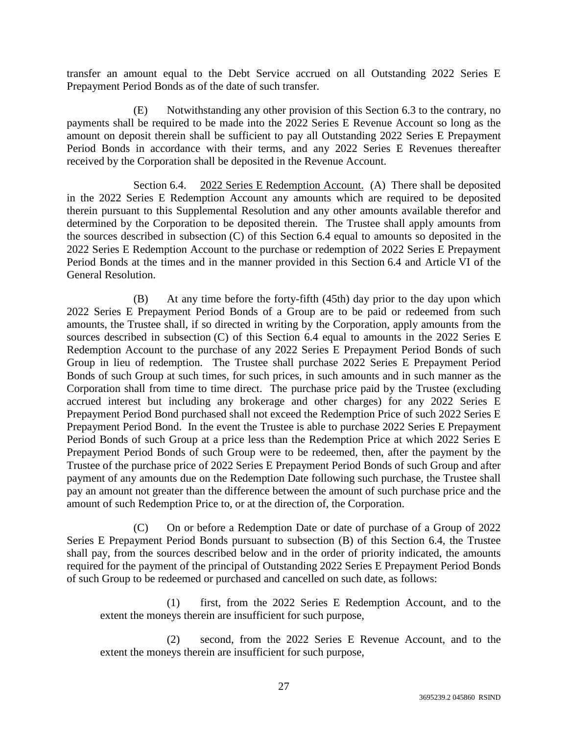transfer an amount equal to the Debt Service accrued on all Outstanding 2022 Series E Prepayment Period Bonds as of the date of such transfer.

(E) Notwithstanding any other provision of this Section 6.3 to the contrary, no payments shall be required to be made into the 2022 Series E Revenue Account so long as the amount on deposit therein shall be sufficient to pay all Outstanding 2022 Series E Prepayment Period Bonds in accordance with their terms, and any 2022 Series E Revenues thereafter received by the Corporation shall be deposited in the Revenue Account.

Section 6.4. 2022 Series E Redemption Account. (A) There shall be deposited in the 2022 Series E Redemption Account any amounts which are required to be deposited therein pursuant to this Supplemental Resolution and any other amounts available therefor and determined by the Corporation to be deposited therein. The Trustee shall apply amounts from the sources described in subsection (C) of this Section 6.4 equal to amounts so deposited in the 2022 Series E Redemption Account to the purchase or redemption of 2022 Series E Prepayment Period Bonds at the times and in the manner provided in this Section 6.4 and Article VI of the General Resolution.

(B) At any time before the forty-fifth (45th) day prior to the day upon which 2022 Series E Prepayment Period Bonds of a Group are to be paid or redeemed from such amounts, the Trustee shall, if so directed in writing by the Corporation, apply amounts from the sources described in subsection (C) of this Section 6.4 equal to amounts in the 2022 Series E Redemption Account to the purchase of any 2022 Series E Prepayment Period Bonds of such Group in lieu of redemption. The Trustee shall purchase 2022 Series E Prepayment Period Bonds of such Group at such times, for such prices, in such amounts and in such manner as the Corporation shall from time to time direct. The purchase price paid by the Trustee (excluding accrued interest but including any brokerage and other charges) for any 2022 Series E Prepayment Period Bond purchased shall not exceed the Redemption Price of such 2022 Series E Prepayment Period Bond. In the event the Trustee is able to purchase 2022 Series E Prepayment Period Bonds of such Group at a price less than the Redemption Price at which 2022 Series E Prepayment Period Bonds of such Group were to be redeemed, then, after the payment by the Trustee of the purchase price of 2022 Series E Prepayment Period Bonds of such Group and after payment of any amounts due on the Redemption Date following such purchase, the Trustee shall pay an amount not greater than the difference between the amount of such purchase price and the amount of such Redemption Price to, or at the direction of, the Corporation.

(C) On or before a Redemption Date or date of purchase of a Group of 2022 Series E Prepayment Period Bonds pursuant to subsection (B) of this Section 6.4, the Trustee shall pay, from the sources described below and in the order of priority indicated, the amounts required for the payment of the principal of Outstanding 2022 Series E Prepayment Period Bonds of such Group to be redeemed or purchased and cancelled on such date, as follows:

(1) first, from the 2022 Series E Redemption Account, and to the extent the moneys therein are insufficient for such purpose,

(2) second, from the 2022 Series E Revenue Account, and to the extent the moneys therein are insufficient for such purpose,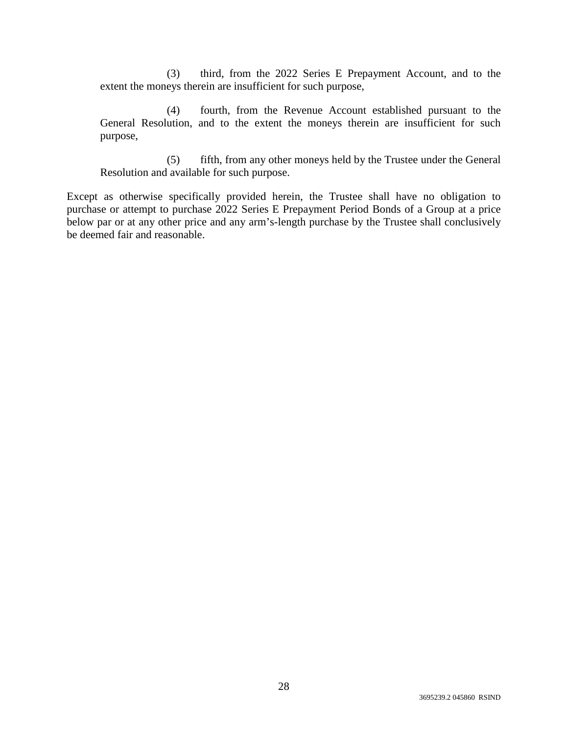(3) third, from the 2022 Series E Prepayment Account, and to the extent the moneys therein are insufficient for such purpose,

(4) fourth, from the Revenue Account established pursuant to the General Resolution, and to the extent the moneys therein are insufficient for such purpose,

(5) fifth, from any other moneys held by the Trustee under the General Resolution and available for such purpose.

Except as otherwise specifically provided herein, the Trustee shall have no obligation to purchase or attempt to purchase 2022 Series E Prepayment Period Bonds of a Group at a price below par or at any other price and any arm's-length purchase by the Trustee shall conclusively be deemed fair and reasonable.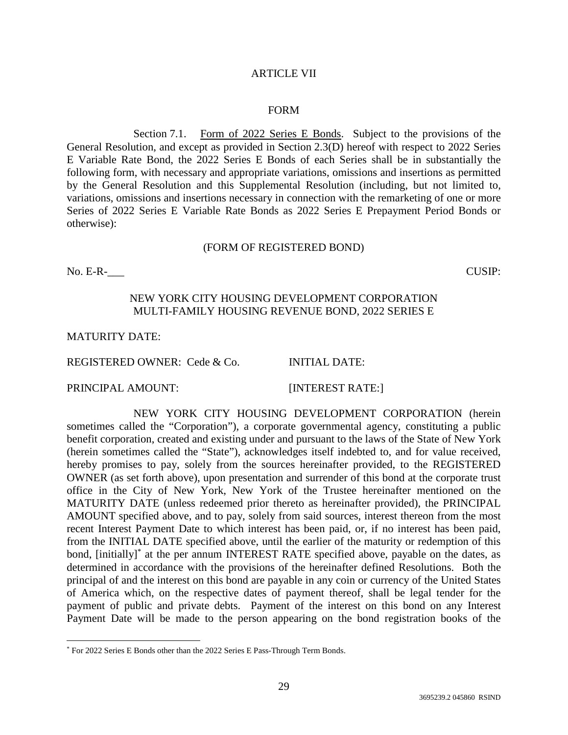### ARTICLE VII

#### FORM

Section 7.1. Form of 2022 Series E Bonds. Subject to the provisions of the General Resolution, and except as provided in Section 2.3(D) hereof with respect to 2022 Series E Variable Rate Bond, the 2022 Series E Bonds of each Series shall be in substantially the following form, with necessary and appropriate variations, omissions and insertions as permitted by the General Resolution and this Supplemental Resolution (including, but not limited to, variations, omissions and insertions necessary in connection with the remarketing of one or more Series of 2022 Series E Variable Rate Bonds as 2022 Series E Prepayment Period Bonds or otherwise):

#### (FORM OF REGISTERED BOND)

No. E-R-<br>
CUSIP:

### NEW YORK CITY HOUSING DEVELOPMENT CORPORATION MULTI-FAMILY HOUSING REVENUE BOND, 2022 SERIES E

MATURITY DATE:

REGISTERED OWNER: Cede & Co. INITIAL DATE:

PRINCIPAL AMOUNT: [INTEREST RATE:]

NEW YORK CITY HOUSING DEVELOPMENT CORPORATION (herein sometimes called the "Corporation"), a corporate governmental agency, constituting a public benefit corporation, created and existing under and pursuant to the laws of the State of New York (herein sometimes called the "State"), acknowledges itself indebted to, and for value received, hereby promises to pay, solely from the sources hereinafter provided, to the REGISTERED OWNER (as set forth above), upon presentation and surrender of this bond at the corporate trust office in the City of New York, New York of the Trustee hereinafter mentioned on the MATURITY DATE (unless redeemed prior thereto as hereinafter provided), the PRINCIPAL AMOUNT specified above, and to pay, solely from said sources, interest thereon from the most recent Interest Payment Date to which interest has been paid, or, if no interest has been paid, from the INITIAL DATE specified above, until the earlier of the maturity or redemption of this bond, [initially]<sup>\*</sup> at the per annum INTEREST RATE specified above, payable on the dates, as determined in accordance with the provisions of the hereinafter defined Resolutions. Both the principal of and the interest on this bond are payable in any coin or currency of the United States of America which, on the respective dates of payment thereof, shall be legal tender for the payment of public and private debts. Payment of the interest on this bond on any Interest Payment Date will be made to the person appearing on the bond registration books of the

<sup>\*</sup> For 2022 Series E Bonds other than the 2022 Series E Pass-Through Term Bonds.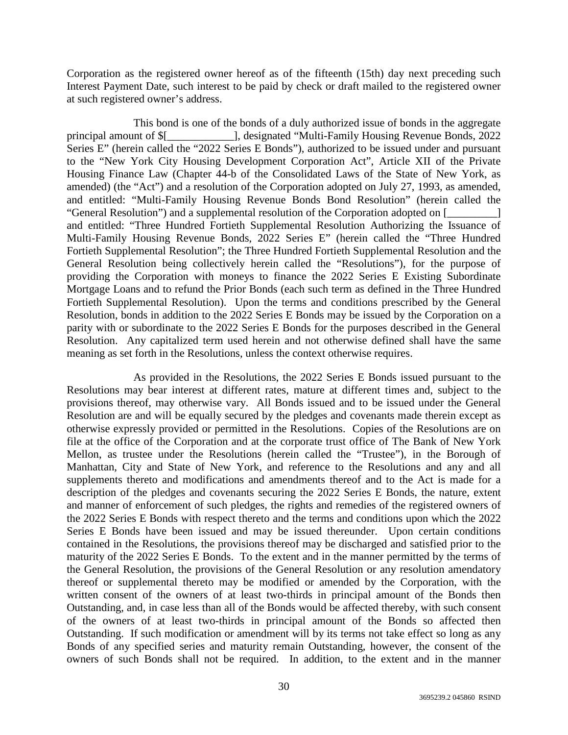Corporation as the registered owner hereof as of the fifteenth (15th) day next preceding such Interest Payment Date, such interest to be paid by check or draft mailed to the registered owner at such registered owner's address.

This bond is one of the bonds of a duly authorized issue of bonds in the aggregate principal amount of \$[\_\_\_\_\_\_\_\_\_\_\_\_], designated "Multi-Family Housing Revenue Bonds, 2022 Series E" (herein called the "2022 Series E Bonds"), authorized to be issued under and pursuant to the "New York City Housing Development Corporation Act", Article XII of the Private Housing Finance Law (Chapter 44-b of the Consolidated Laws of the State of New York, as amended) (the "Act") and a resolution of the Corporation adopted on July 27, 1993, as amended, and entitled: "Multi-Family Housing Revenue Bonds Bond Resolution" (herein called the "General Resolution") and a supplemental resolution of the Corporation adopted on [\_\_\_\_\_\_\_\_\_] and entitled: "Three Hundred Fortieth Supplemental Resolution Authorizing the Issuance of Multi-Family Housing Revenue Bonds, 2022 Series E" (herein called the "Three Hundred Fortieth Supplemental Resolution"; the Three Hundred Fortieth Supplemental Resolution and the General Resolution being collectively herein called the "Resolutions"), for the purpose of providing the Corporation with moneys to finance the 2022 Series E Existing Subordinate Mortgage Loans and to refund the Prior Bonds (each such term as defined in the Three Hundred Fortieth Supplemental Resolution). Upon the terms and conditions prescribed by the General Resolution, bonds in addition to the 2022 Series E Bonds may be issued by the Corporation on a parity with or subordinate to the 2022 Series E Bonds for the purposes described in the General Resolution. Any capitalized term used herein and not otherwise defined shall have the same meaning as set forth in the Resolutions, unless the context otherwise requires.

As provided in the Resolutions, the 2022 Series E Bonds issued pursuant to the Resolutions may bear interest at different rates, mature at different times and, subject to the provisions thereof, may otherwise vary. All Bonds issued and to be issued under the General Resolution are and will be equally secured by the pledges and covenants made therein except as otherwise expressly provided or permitted in the Resolutions. Copies of the Resolutions are on file at the office of the Corporation and at the corporate trust office of The Bank of New York Mellon, as trustee under the Resolutions (herein called the "Trustee"), in the Borough of Manhattan, City and State of New York, and reference to the Resolutions and any and all supplements thereto and modifications and amendments thereof and to the Act is made for a description of the pledges and covenants securing the 2022 Series E Bonds, the nature, extent and manner of enforcement of such pledges, the rights and remedies of the registered owners of the 2022 Series E Bonds with respect thereto and the terms and conditions upon which the 2022 Series E Bonds have been issued and may be issued thereunder. Upon certain conditions contained in the Resolutions, the provisions thereof may be discharged and satisfied prior to the maturity of the 2022 Series E Bonds. To the extent and in the manner permitted by the terms of the General Resolution, the provisions of the General Resolution or any resolution amendatory thereof or supplemental thereto may be modified or amended by the Corporation, with the written consent of the owners of at least two-thirds in principal amount of the Bonds then Outstanding, and, in case less than all of the Bonds would be affected thereby, with such consent of the owners of at least two-thirds in principal amount of the Bonds so affected then Outstanding. If such modification or amendment will by its terms not take effect so long as any Bonds of any specified series and maturity remain Outstanding, however, the consent of the owners of such Bonds shall not be required. In addition, to the extent and in the manner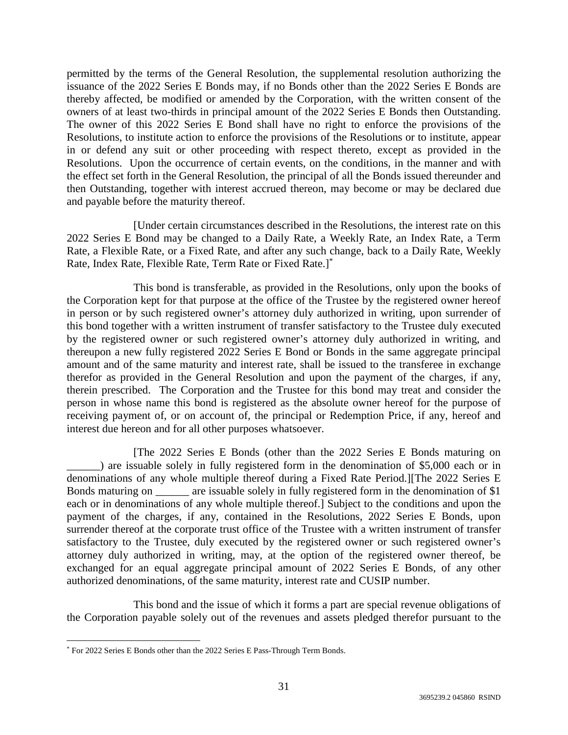permitted by the terms of the General Resolution, the supplemental resolution authorizing the issuance of the 2022 Series E Bonds may, if no Bonds other than the 2022 Series E Bonds are thereby affected, be modified or amended by the Corporation, with the written consent of the owners of at least two-thirds in principal amount of the 2022 Series E Bonds then Outstanding. The owner of this 2022 Series E Bond shall have no right to enforce the provisions of the Resolutions, to institute action to enforce the provisions of the Resolutions or to institute, appear in or defend any suit or other proceeding with respect thereto, except as provided in the Resolutions. Upon the occurrence of certain events, on the conditions, in the manner and with the effect set forth in the General Resolution, the principal of all the Bonds issued thereunder and then Outstanding, together with interest accrued thereon, may become or may be declared due and payable before the maturity thereof.

[Under certain circumstances described in the Resolutions, the interest rate on this 2022 Series E Bond may be changed to a Daily Rate, a Weekly Rate, an Index Rate, a Term Rate, a Flexible Rate, or a Fixed Rate, and after any such change, back to a Daily Rate, Weekly Rate, Index Rate, Flexible Rate, Term Rate or Fixed Rate.]\*

This bond is transferable, as provided in the Resolutions, only upon the books of the Corporation kept for that purpose at the office of the Trustee by the registered owner hereof in person or by such registered owner's attorney duly authorized in writing, upon surrender of this bond together with a written instrument of transfer satisfactory to the Trustee duly executed by the registered owner or such registered owner's attorney duly authorized in writing, and thereupon a new fully registered 2022 Series E Bond or Bonds in the same aggregate principal amount and of the same maturity and interest rate, shall be issued to the transferee in exchange therefor as provided in the General Resolution and upon the payment of the charges, if any, therein prescribed. The Corporation and the Trustee for this bond may treat and consider the person in whose name this bond is registered as the absolute owner hereof for the purpose of receiving payment of, or on account of, the principal or Redemption Price, if any, hereof and interest due hereon and for all other purposes whatsoever.

[The 2022 Series E Bonds (other than the 2022 Series E Bonds maturing on ) are issuable solely in fully registered form in the denomination of \$5,000 each or in denominations of any whole multiple thereof during a Fixed Rate Period.][The 2022 Series E Bonds maturing on \_\_\_\_\_\_ are issuable solely in fully registered form in the denomination of \$1 each or in denominations of any whole multiple thereof.] Subject to the conditions and upon the payment of the charges, if any, contained in the Resolutions, 2022 Series E Bonds, upon surrender thereof at the corporate trust office of the Trustee with a written instrument of transfer satisfactory to the Trustee, duly executed by the registered owner or such registered owner's attorney duly authorized in writing, may, at the option of the registered owner thereof, be exchanged for an equal aggregate principal amount of 2022 Series E Bonds, of any other authorized denominations, of the same maturity, interest rate and CUSIP number.

This bond and the issue of which it forms a part are special revenue obligations of the Corporation payable solely out of the revenues and assets pledged therefor pursuant to the

<sup>\*</sup> For 2022 Series E Bonds other than the 2022 Series E Pass-Through Term Bonds.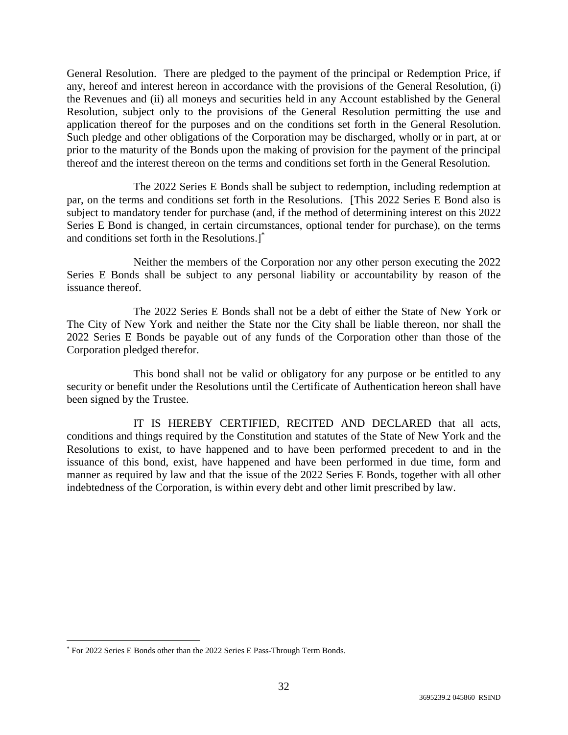General Resolution. There are pledged to the payment of the principal or Redemption Price, if any, hereof and interest hereon in accordance with the provisions of the General Resolution, (i) the Revenues and (ii) all moneys and securities held in any Account established by the General Resolution, subject only to the provisions of the General Resolution permitting the use and application thereof for the purposes and on the conditions set forth in the General Resolution. Such pledge and other obligations of the Corporation may be discharged, wholly or in part, at or prior to the maturity of the Bonds upon the making of provision for the payment of the principal thereof and the interest thereon on the terms and conditions set forth in the General Resolution.

The 2022 Series E Bonds shall be subject to redemption, including redemption at par, on the terms and conditions set forth in the Resolutions. [This 2022 Series E Bond also is subject to mandatory tender for purchase (and, if the method of determining interest on this 2022 Series E Bond is changed, in certain circumstances, optional tender for purchase), on the terms and conditions set forth in the Resolutions.]\*

Neither the members of the Corporation nor any other person executing the 2022 Series E Bonds shall be subject to any personal liability or accountability by reason of the issuance thereof.

The 2022 Series E Bonds shall not be a debt of either the State of New York or The City of New York and neither the State nor the City shall be liable thereon, nor shall the 2022 Series E Bonds be payable out of any funds of the Corporation other than those of the Corporation pledged therefor.

This bond shall not be valid or obligatory for any purpose or be entitled to any security or benefit under the Resolutions until the Certificate of Authentication hereon shall have been signed by the Trustee.

IT IS HEREBY CERTIFIED, RECITED AND DECLARED that all acts, conditions and things required by the Constitution and statutes of the State of New York and the Resolutions to exist, to have happened and to have been performed precedent to and in the issuance of this bond, exist, have happened and have been performed in due time, form and manner as required by law and that the issue of the 2022 Series E Bonds, together with all other indebtedness of the Corporation, is within every debt and other limit prescribed by law.

<sup>\*</sup> For 2022 Series E Bonds other than the 2022 Series E Pass-Through Term Bonds.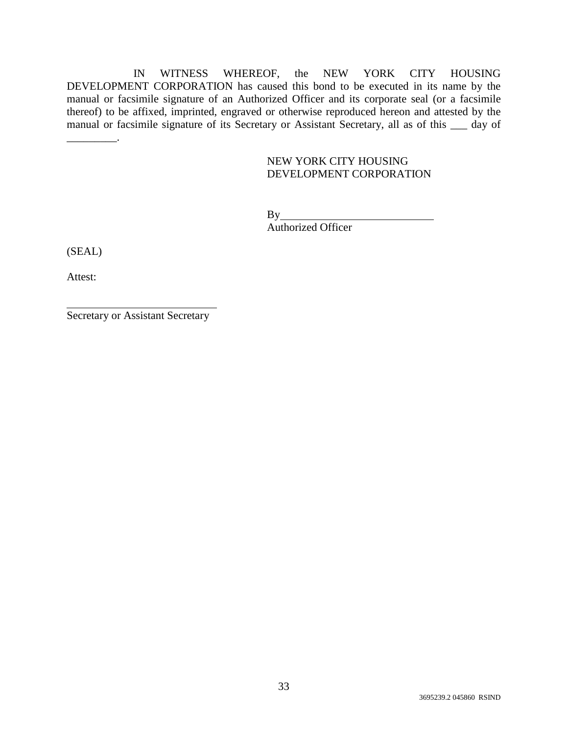IN WITNESS WHEREOF, the NEW YORK CITY HOUSING DEVELOPMENT CORPORATION has caused this bond to be executed in its name by the manual or facsimile signature of an Authorized Officer and its corporate seal (or a facsimile thereof) to be affixed, imprinted, engraved or otherwise reproduced hereon and attested by the manual or facsimile signature of its Secretary or Assistant Secretary, all as of this \_\_\_ day of

# NEW YORK CITY HOUSING DEVELOPMENT CORPORATION

By Authorized Officer

(SEAL)

\_\_\_\_\_\_\_\_\_.

Attest:

Secretary or Assistant Secretary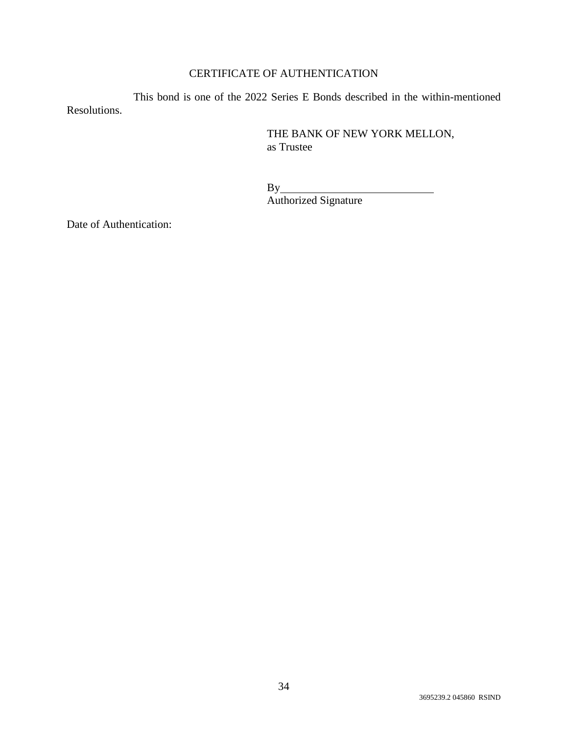# CERTIFICATE OF AUTHENTICATION

This bond is one of the 2022 Series E Bonds described in the within-mentioned Resolutions.

> THE BANK OF NEW YORK MELLON, as Trustee

 $By_$ Authorized Signature

Date of Authentication: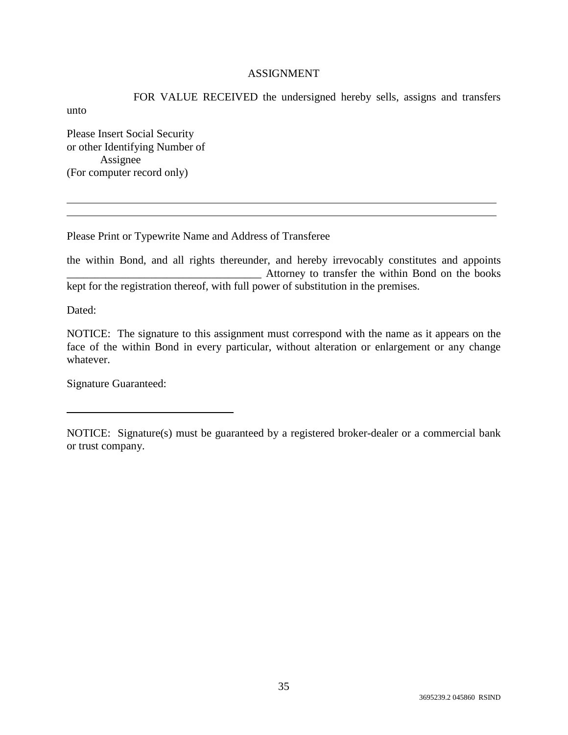# ASSIGNMENT

FOR VALUE RECEIVED the undersigned hereby sells, assigns and transfers unto Please Insert Social Security

or other Identifying Number of Assignee (For computer record only)

Please Print or Typewrite Name and Address of Transferee

the within Bond, and all rights thereunder, and hereby irrevocably constitutes and appoints Attorney to transfer the within Bond on the books kept for the registration thereof, with full power of substitution in the premises.

Dated:

NOTICE: The signature to this assignment must correspond with the name as it appears on the face of the within Bond in every particular, without alteration or enlargement or any change whatever.

Signature Guaranteed:

NOTICE: Signature(s) must be guaranteed by a registered broker-dealer or a commercial bank or trust company.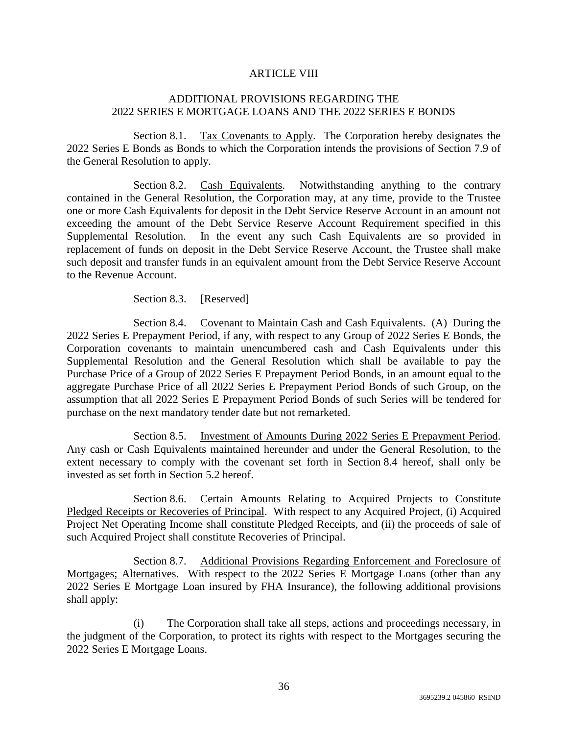# ARTICLE VIII

# ADDITIONAL PROVISIONS REGARDING THE 2022 SERIES E MORTGAGE LOANS AND THE 2022 SERIES E BONDS

Section 8.1. Tax Covenants to Apply. The Corporation hereby designates the 2022 Series E Bonds as Bonds to which the Corporation intends the provisions of Section 7.9 of the General Resolution to apply.

Section 8.2. Cash Equivalents. Notwithstanding anything to the contrary contained in the General Resolution, the Corporation may, at any time, provide to the Trustee one or more Cash Equivalents for deposit in the Debt Service Reserve Account in an amount not exceeding the amount of the Debt Service Reserve Account Requirement specified in this Supplemental Resolution. In the event any such Cash Equivalents are so provided in replacement of funds on deposit in the Debt Service Reserve Account, the Trustee shall make such deposit and transfer funds in an equivalent amount from the Debt Service Reserve Account to the Revenue Account.

Section 8.3. [Reserved]

Section 8.4. Covenant to Maintain Cash and Cash Equivalents. (A) During the 2022 Series E Prepayment Period, if any, with respect to any Group of 2022 Series E Bonds, the Corporation covenants to maintain unencumbered cash and Cash Equivalents under this Supplemental Resolution and the General Resolution which shall be available to pay the Purchase Price of a Group of 2022 Series E Prepayment Period Bonds, in an amount equal to the aggregate Purchase Price of all 2022 Series E Prepayment Period Bonds of such Group, on the assumption that all 2022 Series E Prepayment Period Bonds of such Series will be tendered for purchase on the next mandatory tender date but not remarketed.

Section 8.5. Investment of Amounts During 2022 Series E Prepayment Period. Any cash or Cash Equivalents maintained hereunder and under the General Resolution, to the extent necessary to comply with the covenant set forth in Section 8.4 hereof, shall only be invested as set forth in Section 5.2 hereof.

Section 8.6. Certain Amounts Relating to Acquired Projects to Constitute Pledged Receipts or Recoveries of Principal. With respect to any Acquired Project, (i) Acquired Project Net Operating Income shall constitute Pledged Receipts, and (ii) the proceeds of sale of such Acquired Project shall constitute Recoveries of Principal.

Section 8.7. Additional Provisions Regarding Enforcement and Foreclosure of Mortgages; Alternatives. With respect to the 2022 Series E Mortgage Loans (other than any 2022 Series E Mortgage Loan insured by FHA Insurance), the following additional provisions shall apply:

(i) The Corporation shall take all steps, actions and proceedings necessary, in the judgment of the Corporation, to protect its rights with respect to the Mortgages securing the 2022 Series E Mortgage Loans.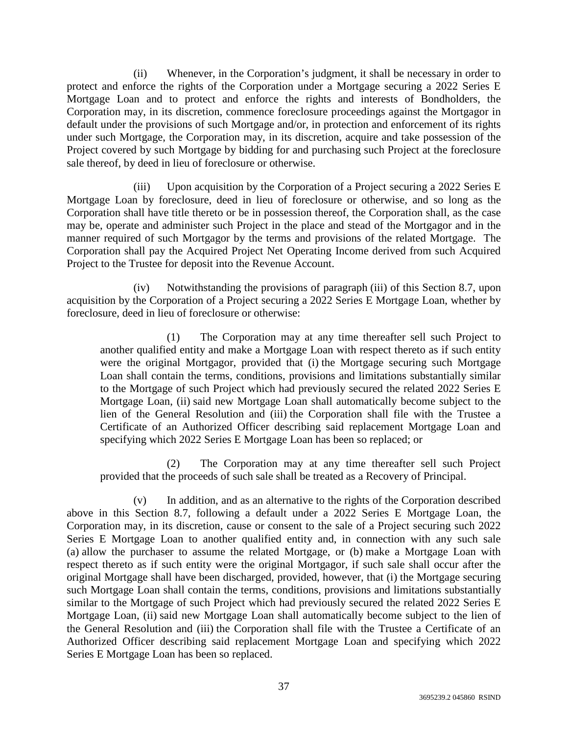(ii) Whenever, in the Corporation's judgment, it shall be necessary in order to protect and enforce the rights of the Corporation under a Mortgage securing a 2022 Series E Mortgage Loan and to protect and enforce the rights and interests of Bondholders, the Corporation may, in its discretion, commence foreclosure proceedings against the Mortgagor in default under the provisions of such Mortgage and/or, in protection and enforcement of its rights under such Mortgage, the Corporation may, in its discretion, acquire and take possession of the Project covered by such Mortgage by bidding for and purchasing such Project at the foreclosure sale thereof, by deed in lieu of foreclosure or otherwise.

(iii) Upon acquisition by the Corporation of a Project securing a 2022 Series E Mortgage Loan by foreclosure, deed in lieu of foreclosure or otherwise, and so long as the Corporation shall have title thereto or be in possession thereof, the Corporation shall, as the case may be, operate and administer such Project in the place and stead of the Mortgagor and in the manner required of such Mortgagor by the terms and provisions of the related Mortgage. The Corporation shall pay the Acquired Project Net Operating Income derived from such Acquired Project to the Trustee for deposit into the Revenue Account.

(iv) Notwithstanding the provisions of paragraph (iii) of this Section 8.7, upon acquisition by the Corporation of a Project securing a 2022 Series E Mortgage Loan, whether by foreclosure, deed in lieu of foreclosure or otherwise:

(1) The Corporation may at any time thereafter sell such Project to another qualified entity and make a Mortgage Loan with respect thereto as if such entity were the original Mortgagor, provided that (i) the Mortgage securing such Mortgage Loan shall contain the terms, conditions, provisions and limitations substantially similar to the Mortgage of such Project which had previously secured the related 2022 Series E Mortgage Loan, (ii) said new Mortgage Loan shall automatically become subject to the lien of the General Resolution and (iii) the Corporation shall file with the Trustee a Certificate of an Authorized Officer describing said replacement Mortgage Loan and specifying which 2022 Series E Mortgage Loan has been so replaced; or

(2) The Corporation may at any time thereafter sell such Project provided that the proceeds of such sale shall be treated as a Recovery of Principal.

(v) In addition, and as an alternative to the rights of the Corporation described above in this Section 8.7, following a default under a 2022 Series E Mortgage Loan, the Corporation may, in its discretion, cause or consent to the sale of a Project securing such 2022 Series E Mortgage Loan to another qualified entity and, in connection with any such sale (a) allow the purchaser to assume the related Mortgage, or (b) make a Mortgage Loan with respect thereto as if such entity were the original Mortgagor, if such sale shall occur after the original Mortgage shall have been discharged, provided, however, that (i) the Mortgage securing such Mortgage Loan shall contain the terms, conditions, provisions and limitations substantially similar to the Mortgage of such Project which had previously secured the related 2022 Series E Mortgage Loan, (ii) said new Mortgage Loan shall automatically become subject to the lien of the General Resolution and (iii) the Corporation shall file with the Trustee a Certificate of an Authorized Officer describing said replacement Mortgage Loan and specifying which 2022 Series E Mortgage Loan has been so replaced.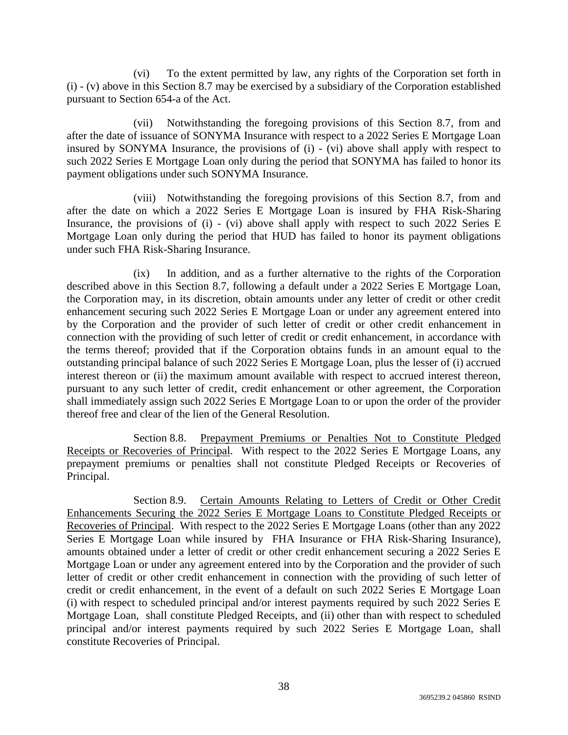(vi) To the extent permitted by law, any rights of the Corporation set forth in (i) - (v) above in this Section 8.7 may be exercised by a subsidiary of the Corporation established pursuant to Section 654-a of the Act.

(vii) Notwithstanding the foregoing provisions of this Section 8.7, from and after the date of issuance of SONYMA Insurance with respect to a 2022 Series E Mortgage Loan insured by SONYMA Insurance, the provisions of (i) - (vi) above shall apply with respect to such 2022 Series E Mortgage Loan only during the period that SONYMA has failed to honor its payment obligations under such SONYMA Insurance.

(viii) Notwithstanding the foregoing provisions of this Section 8.7, from and after the date on which a 2022 Series E Mortgage Loan is insured by FHA Risk-Sharing Insurance, the provisions of (i) - (vi) above shall apply with respect to such 2022 Series E Mortgage Loan only during the period that HUD has failed to honor its payment obligations under such FHA Risk-Sharing Insurance.

(ix) In addition, and as a further alternative to the rights of the Corporation described above in this Section 8.7, following a default under a 2022 Series E Mortgage Loan, the Corporation may, in its discretion, obtain amounts under any letter of credit or other credit enhancement securing such 2022 Series E Mortgage Loan or under any agreement entered into by the Corporation and the provider of such letter of credit or other credit enhancement in connection with the providing of such letter of credit or credit enhancement, in accordance with the terms thereof; provided that if the Corporation obtains funds in an amount equal to the outstanding principal balance of such 2022 Series E Mortgage Loan, plus the lesser of (i) accrued interest thereon or (ii) the maximum amount available with respect to accrued interest thereon, pursuant to any such letter of credit, credit enhancement or other agreement, the Corporation shall immediately assign such 2022 Series E Mortgage Loan to or upon the order of the provider thereof free and clear of the lien of the General Resolution.

Section 8.8. Prepayment Premiums or Penalties Not to Constitute Pledged Receipts or Recoveries of Principal. With respect to the 2022 Series E Mortgage Loans, any prepayment premiums or penalties shall not constitute Pledged Receipts or Recoveries of Principal.

Section 8.9. Certain Amounts Relating to Letters of Credit or Other Credit Enhancements Securing the 2022 Series E Mortgage Loans to Constitute Pledged Receipts or Recoveries of Principal. With respect to the 2022 Series E Mortgage Loans (other than any 2022 Series E Mortgage Loan while insured by FHA Insurance or FHA Risk-Sharing Insurance), amounts obtained under a letter of credit or other credit enhancement securing a 2022 Series E Mortgage Loan or under any agreement entered into by the Corporation and the provider of such letter of credit or other credit enhancement in connection with the providing of such letter of credit or credit enhancement, in the event of a default on such 2022 Series E Mortgage Loan (i) with respect to scheduled principal and/or interest payments required by such 2022 Series E Mortgage Loan, shall constitute Pledged Receipts, and (ii) other than with respect to scheduled principal and/or interest payments required by such 2022 Series E Mortgage Loan, shall constitute Recoveries of Principal.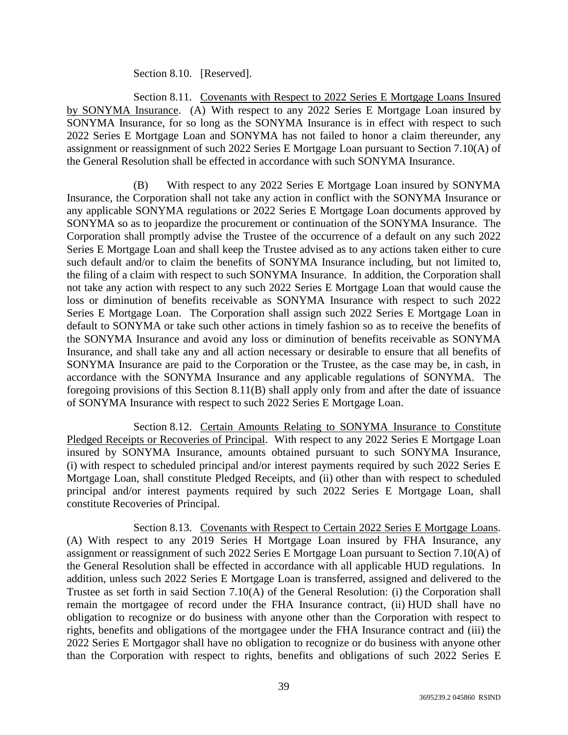# Section 8.10. [Reserved].

Section 8.11. Covenants with Respect to 2022 Series E Mortgage Loans Insured by SONYMA Insurance. (A) With respect to any 2022 Series E Mortgage Loan insured by SONYMA Insurance, for so long as the SONYMA Insurance is in effect with respect to such 2022 Series E Mortgage Loan and SONYMA has not failed to honor a claim thereunder, any assignment or reassignment of such 2022 Series E Mortgage Loan pursuant to Section 7.10(A) of the General Resolution shall be effected in accordance with such SONYMA Insurance.

(B) With respect to any 2022 Series E Mortgage Loan insured by SONYMA Insurance, the Corporation shall not take any action in conflict with the SONYMA Insurance or any applicable SONYMA regulations or 2022 Series E Mortgage Loan documents approved by SONYMA so as to jeopardize the procurement or continuation of the SONYMA Insurance. The Corporation shall promptly advise the Trustee of the occurrence of a default on any such 2022 Series E Mortgage Loan and shall keep the Trustee advised as to any actions taken either to cure such default and/or to claim the benefits of SONYMA Insurance including, but not limited to, the filing of a claim with respect to such SONYMA Insurance. In addition, the Corporation shall not take any action with respect to any such 2022 Series E Mortgage Loan that would cause the loss or diminution of benefits receivable as SONYMA Insurance with respect to such 2022 Series E Mortgage Loan. The Corporation shall assign such 2022 Series E Mortgage Loan in default to SONYMA or take such other actions in timely fashion so as to receive the benefits of the SONYMA Insurance and avoid any loss or diminution of benefits receivable as SONYMA Insurance, and shall take any and all action necessary or desirable to ensure that all benefits of SONYMA Insurance are paid to the Corporation or the Trustee, as the case may be, in cash, in accordance with the SONYMA Insurance and any applicable regulations of SONYMA. The foregoing provisions of this Section 8.11(B) shall apply only from and after the date of issuance of SONYMA Insurance with respect to such 2022 Series E Mortgage Loan.

Section 8.12. Certain Amounts Relating to SONYMA Insurance to Constitute Pledged Receipts or Recoveries of Principal. With respect to any 2022 Series E Mortgage Loan insured by SONYMA Insurance, amounts obtained pursuant to such SONYMA Insurance, (i) with respect to scheduled principal and/or interest payments required by such 2022 Series E Mortgage Loan, shall constitute Pledged Receipts, and (ii) other than with respect to scheduled principal and/or interest payments required by such 2022 Series E Mortgage Loan, shall constitute Recoveries of Principal.

Section 8.13. Covenants with Respect to Certain 2022 Series E Mortgage Loans. (A) With respect to any 2019 Series H Mortgage Loan insured by FHA Insurance, any assignment or reassignment of such 2022 Series E Mortgage Loan pursuant to Section 7.10(A) of the General Resolution shall be effected in accordance with all applicable HUD regulations. In addition, unless such 2022 Series E Mortgage Loan is transferred, assigned and delivered to the Trustee as set forth in said Section 7.10(A) of the General Resolution: (i) the Corporation shall remain the mortgagee of record under the FHA Insurance contract, (ii) HUD shall have no obligation to recognize or do business with anyone other than the Corporation with respect to rights, benefits and obligations of the mortgagee under the FHA Insurance contract and (iii) the 2022 Series E Mortgagor shall have no obligation to recognize or do business with anyone other than the Corporation with respect to rights, benefits and obligations of such 2022 Series E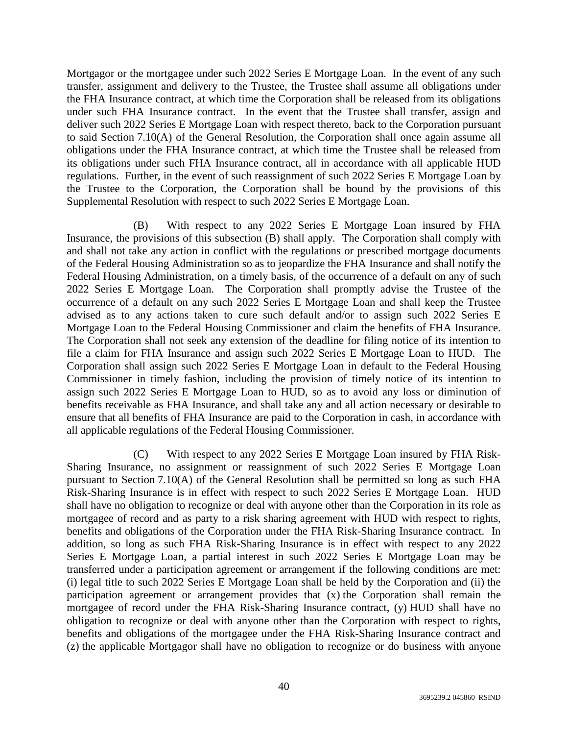Mortgagor or the mortgagee under such 2022 Series E Mortgage Loan. In the event of any such transfer, assignment and delivery to the Trustee, the Trustee shall assume all obligations under the FHA Insurance contract, at which time the Corporation shall be released from its obligations under such FHA Insurance contract. In the event that the Trustee shall transfer, assign and deliver such 2022 Series E Mortgage Loan with respect thereto, back to the Corporation pursuant to said Section 7.10(A) of the General Resolution, the Corporation shall once again assume all obligations under the FHA Insurance contract, at which time the Trustee shall be released from its obligations under such FHA Insurance contract, all in accordance with all applicable HUD regulations. Further, in the event of such reassignment of such 2022 Series E Mortgage Loan by the Trustee to the Corporation, the Corporation shall be bound by the provisions of this Supplemental Resolution with respect to such 2022 Series E Mortgage Loan.

(B) With respect to any 2022 Series E Mortgage Loan insured by FHA Insurance, the provisions of this subsection (B) shall apply. The Corporation shall comply with and shall not take any action in conflict with the regulations or prescribed mortgage documents of the Federal Housing Administration so as to jeopardize the FHA Insurance and shall notify the Federal Housing Administration, on a timely basis, of the occurrence of a default on any of such 2022 Series E Mortgage Loan. The Corporation shall promptly advise the Trustee of the occurrence of a default on any such 2022 Series E Mortgage Loan and shall keep the Trustee advised as to any actions taken to cure such default and/or to assign such 2022 Series E Mortgage Loan to the Federal Housing Commissioner and claim the benefits of FHA Insurance. The Corporation shall not seek any extension of the deadline for filing notice of its intention to file a claim for FHA Insurance and assign such 2022 Series E Mortgage Loan to HUD. The Corporation shall assign such 2022 Series E Mortgage Loan in default to the Federal Housing Commissioner in timely fashion, including the provision of timely notice of its intention to assign such 2022 Series E Mortgage Loan to HUD, so as to avoid any loss or diminution of benefits receivable as FHA Insurance, and shall take any and all action necessary or desirable to ensure that all benefits of FHA Insurance are paid to the Corporation in cash, in accordance with all applicable regulations of the Federal Housing Commissioner.

(C) With respect to any 2022 Series E Mortgage Loan insured by FHA Risk-Sharing Insurance, no assignment or reassignment of such 2022 Series E Mortgage Loan pursuant to Section 7.10(A) of the General Resolution shall be permitted so long as such FHA Risk-Sharing Insurance is in effect with respect to such 2022 Series E Mortgage Loan. HUD shall have no obligation to recognize or deal with anyone other than the Corporation in its role as mortgagee of record and as party to a risk sharing agreement with HUD with respect to rights, benefits and obligations of the Corporation under the FHA Risk-Sharing Insurance contract. In addition, so long as such FHA Risk-Sharing Insurance is in effect with respect to any 2022 Series E Mortgage Loan, a partial interest in such 2022 Series E Mortgage Loan may be transferred under a participation agreement or arrangement if the following conditions are met: (i) legal title to such 2022 Series E Mortgage Loan shall be held by the Corporation and (ii) the participation agreement or arrangement provides that (x) the Corporation shall remain the mortgagee of record under the FHA Risk-Sharing Insurance contract, (y) HUD shall have no obligation to recognize or deal with anyone other than the Corporation with respect to rights, benefits and obligations of the mortgagee under the FHA Risk-Sharing Insurance contract and (z) the applicable Mortgagor shall have no obligation to recognize or do business with anyone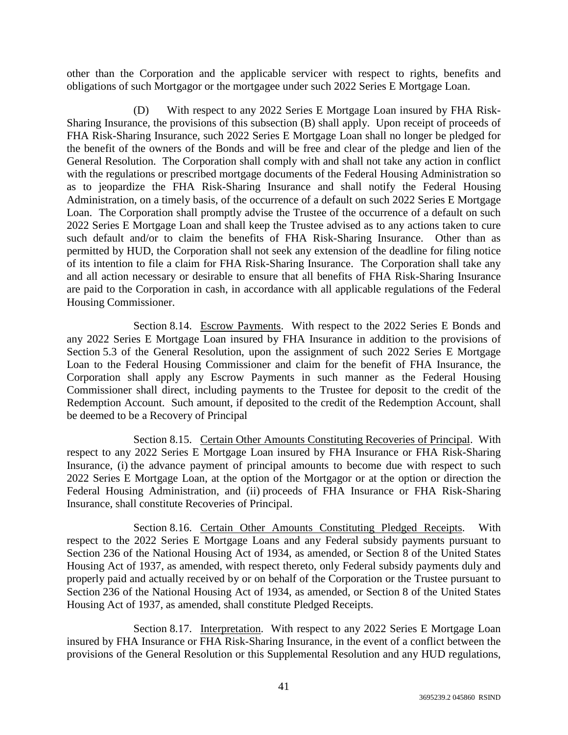other than the Corporation and the applicable servicer with respect to rights, benefits and obligations of such Mortgagor or the mortgagee under such 2022 Series E Mortgage Loan.

(D) With respect to any 2022 Series E Mortgage Loan insured by FHA Risk-Sharing Insurance, the provisions of this subsection (B) shall apply. Upon receipt of proceeds of FHA Risk-Sharing Insurance, such 2022 Series E Mortgage Loan shall no longer be pledged for the benefit of the owners of the Bonds and will be free and clear of the pledge and lien of the General Resolution. The Corporation shall comply with and shall not take any action in conflict with the regulations or prescribed mortgage documents of the Federal Housing Administration so as to jeopardize the FHA Risk-Sharing Insurance and shall notify the Federal Housing Administration, on a timely basis, of the occurrence of a default on such 2022 Series E Mortgage Loan. The Corporation shall promptly advise the Trustee of the occurrence of a default on such 2022 Series E Mortgage Loan and shall keep the Trustee advised as to any actions taken to cure such default and/or to claim the benefits of FHA Risk-Sharing Insurance. Other than as permitted by HUD, the Corporation shall not seek any extension of the deadline for filing notice of its intention to file a claim for FHA Risk-Sharing Insurance. The Corporation shall take any and all action necessary or desirable to ensure that all benefits of FHA Risk-Sharing Insurance are paid to the Corporation in cash, in accordance with all applicable regulations of the Federal Housing Commissioner.

Section 8.14. Escrow Payments. With respect to the 2022 Series E Bonds and any 2022 Series E Mortgage Loan insured by FHA Insurance in addition to the provisions of Section 5.3 of the General Resolution, upon the assignment of such 2022 Series E Mortgage Loan to the Federal Housing Commissioner and claim for the benefit of FHA Insurance, the Corporation shall apply any Escrow Payments in such manner as the Federal Housing Commissioner shall direct, including payments to the Trustee for deposit to the credit of the Redemption Account. Such amount, if deposited to the credit of the Redemption Account, shall be deemed to be a Recovery of Principal

Section 8.15. Certain Other Amounts Constituting Recoveries of Principal. With respect to any 2022 Series E Mortgage Loan insured by FHA Insurance or FHA Risk-Sharing Insurance, (i) the advance payment of principal amounts to become due with respect to such 2022 Series E Mortgage Loan, at the option of the Mortgagor or at the option or direction the Federal Housing Administration, and (ii) proceeds of FHA Insurance or FHA Risk-Sharing Insurance, shall constitute Recoveries of Principal.

Section 8.16. Certain Other Amounts Constituting Pledged Receipts. With respect to the 2022 Series E Mortgage Loans and any Federal subsidy payments pursuant to Section 236 of the National Housing Act of 1934, as amended, or Section 8 of the United States Housing Act of 1937, as amended, with respect thereto, only Federal subsidy payments duly and properly paid and actually received by or on behalf of the Corporation or the Trustee pursuant to Section 236 of the National Housing Act of 1934, as amended, or Section 8 of the United States Housing Act of 1937, as amended, shall constitute Pledged Receipts.

Section 8.17. Interpretation. With respect to any 2022 Series E Mortgage Loan insured by FHA Insurance or FHA Risk-Sharing Insurance, in the event of a conflict between the provisions of the General Resolution or this Supplemental Resolution and any HUD regulations,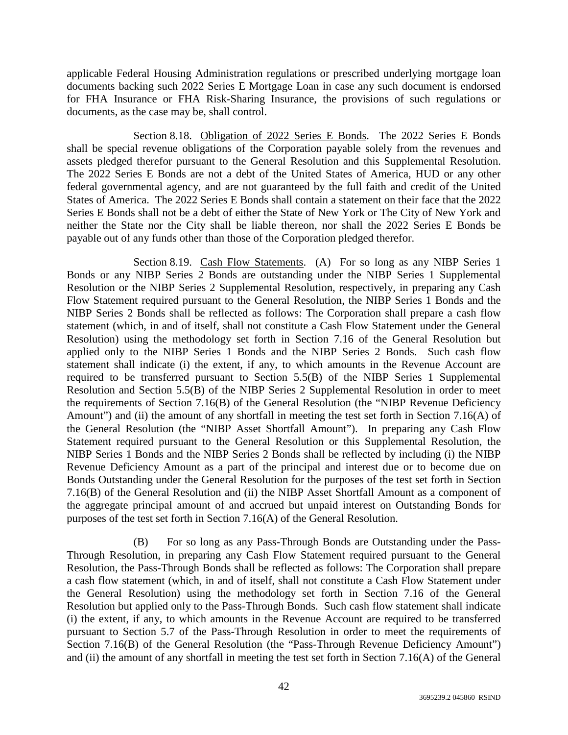applicable Federal Housing Administration regulations or prescribed underlying mortgage loan documents backing such 2022 Series E Mortgage Loan in case any such document is endorsed for FHA Insurance or FHA Risk-Sharing Insurance, the provisions of such regulations or documents, as the case may be, shall control.

Section 8.18. Obligation of 2022 Series E Bonds. The 2022 Series E Bonds shall be special revenue obligations of the Corporation payable solely from the revenues and assets pledged therefor pursuant to the General Resolution and this Supplemental Resolution. The 2022 Series E Bonds are not a debt of the United States of America, HUD or any other federal governmental agency, and are not guaranteed by the full faith and credit of the United States of America. The 2022 Series E Bonds shall contain a statement on their face that the 2022 Series E Bonds shall not be a debt of either the State of New York or The City of New York and neither the State nor the City shall be liable thereon, nor shall the 2022 Series E Bonds be payable out of any funds other than those of the Corporation pledged therefor.

Section 8.19. Cash Flow Statements. (A) For so long as any NIBP Series 1 Bonds or any NIBP Series 2 Bonds are outstanding under the NIBP Series 1 Supplemental Resolution or the NIBP Series 2 Supplemental Resolution, respectively, in preparing any Cash Flow Statement required pursuant to the General Resolution, the NIBP Series 1 Bonds and the NIBP Series 2 Bonds shall be reflected as follows: The Corporation shall prepare a cash flow statement (which, in and of itself, shall not constitute a Cash Flow Statement under the General Resolution) using the methodology set forth in Section 7.16 of the General Resolution but applied only to the NIBP Series 1 Bonds and the NIBP Series 2 Bonds. Such cash flow statement shall indicate (i) the extent, if any, to which amounts in the Revenue Account are required to be transferred pursuant to Section 5.5(B) of the NIBP Series 1 Supplemental Resolution and Section 5.5(B) of the NIBP Series 2 Supplemental Resolution in order to meet the requirements of Section 7.16(B) of the General Resolution (the "NIBP Revenue Deficiency Amount") and (ii) the amount of any shortfall in meeting the test set forth in Section 7.16(A) of the General Resolution (the "NIBP Asset Shortfall Amount"). In preparing any Cash Flow Statement required pursuant to the General Resolution or this Supplemental Resolution, the NIBP Series 1 Bonds and the NIBP Series 2 Bonds shall be reflected by including (i) the NIBP Revenue Deficiency Amount as a part of the principal and interest due or to become due on Bonds Outstanding under the General Resolution for the purposes of the test set forth in Section 7.16(B) of the General Resolution and (ii) the NIBP Asset Shortfall Amount as a component of the aggregate principal amount of and accrued but unpaid interest on Outstanding Bonds for purposes of the test set forth in Section 7.16(A) of the General Resolution.

(B) For so long as any Pass-Through Bonds are Outstanding under the Pass-Through Resolution, in preparing any Cash Flow Statement required pursuant to the General Resolution, the Pass-Through Bonds shall be reflected as follows: The Corporation shall prepare a cash flow statement (which, in and of itself, shall not constitute a Cash Flow Statement under the General Resolution) using the methodology set forth in Section 7.16 of the General Resolution but applied only to the Pass-Through Bonds. Such cash flow statement shall indicate (i) the extent, if any, to which amounts in the Revenue Account are required to be transferred pursuant to Section 5.7 of the Pass-Through Resolution in order to meet the requirements of Section 7.16(B) of the General Resolution (the "Pass-Through Revenue Deficiency Amount") and (ii) the amount of any shortfall in meeting the test set forth in Section 7.16(A) of the General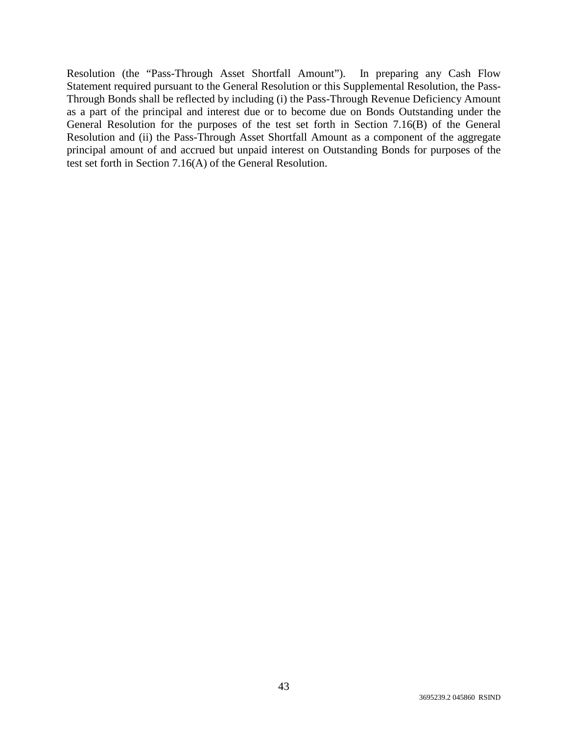Resolution (the "Pass-Through Asset Shortfall Amount"). In preparing any Cash Flow Statement required pursuant to the General Resolution or this Supplemental Resolution, the Pass-Through Bonds shall be reflected by including (i) the Pass-Through Revenue Deficiency Amount as a part of the principal and interest due or to become due on Bonds Outstanding under the General Resolution for the purposes of the test set forth in Section 7.16(B) of the General Resolution and (ii) the Pass-Through Asset Shortfall Amount as a component of the aggregate principal amount of and accrued but unpaid interest on Outstanding Bonds for purposes of the test set forth in Section 7.16(A) of the General Resolution.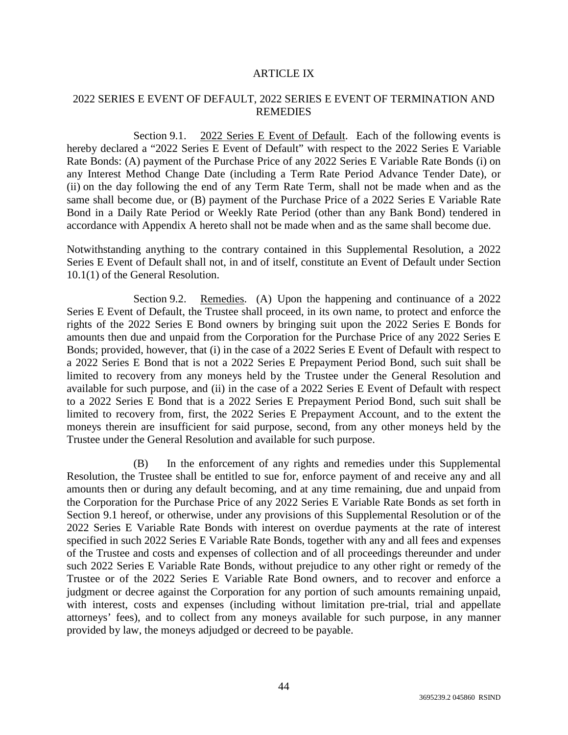#### ARTICLE IX

# 2022 SERIES E EVENT OF DEFAULT, 2022 SERIES E EVENT OF TERMINATION AND **REMEDIES**

Section 9.1. 2022 Series E Event of Default. Each of the following events is hereby declared a "2022 Series E Event of Default" with respect to the 2022 Series E Variable Rate Bonds: (A) payment of the Purchase Price of any 2022 Series E Variable Rate Bonds (i) on any Interest Method Change Date (including a Term Rate Period Advance Tender Date), or (ii) on the day following the end of any Term Rate Term, shall not be made when and as the same shall become due, or (B) payment of the Purchase Price of a 2022 Series E Variable Rate Bond in a Daily Rate Period or Weekly Rate Period (other than any Bank Bond) tendered in accordance with Appendix A hereto shall not be made when and as the same shall become due.

Notwithstanding anything to the contrary contained in this Supplemental Resolution, a 2022 Series E Event of Default shall not, in and of itself, constitute an Event of Default under Section 10.1(1) of the General Resolution.

Section 9.2. Remedies. (A) Upon the happening and continuance of a 2022 Series E Event of Default, the Trustee shall proceed, in its own name, to protect and enforce the rights of the 2022 Series E Bond owners by bringing suit upon the 2022 Series E Bonds for amounts then due and unpaid from the Corporation for the Purchase Price of any 2022 Series E Bonds; provided, however, that (i) in the case of a 2022 Series E Event of Default with respect to a 2022 Series E Bond that is not a 2022 Series E Prepayment Period Bond, such suit shall be limited to recovery from any moneys held by the Trustee under the General Resolution and available for such purpose, and (ii) in the case of a 2022 Series E Event of Default with respect to a 2022 Series E Bond that is a 2022 Series E Prepayment Period Bond, such suit shall be limited to recovery from, first, the 2022 Series E Prepayment Account, and to the extent the moneys therein are insufficient for said purpose, second, from any other moneys held by the Trustee under the General Resolution and available for such purpose.

(B) In the enforcement of any rights and remedies under this Supplemental Resolution, the Trustee shall be entitled to sue for, enforce payment of and receive any and all amounts then or during any default becoming, and at any time remaining, due and unpaid from the Corporation for the Purchase Price of any 2022 Series E Variable Rate Bonds as set forth in Section 9.1 hereof, or otherwise, under any provisions of this Supplemental Resolution or of the 2022 Series E Variable Rate Bonds with interest on overdue payments at the rate of interest specified in such 2022 Series E Variable Rate Bonds, together with any and all fees and expenses of the Trustee and costs and expenses of collection and of all proceedings thereunder and under such 2022 Series E Variable Rate Bonds, without prejudice to any other right or remedy of the Trustee or of the 2022 Series E Variable Rate Bond owners, and to recover and enforce a judgment or decree against the Corporation for any portion of such amounts remaining unpaid, with interest, costs and expenses (including without limitation pre-trial, trial and appellate attorneys' fees), and to collect from any moneys available for such purpose, in any manner provided by law, the moneys adjudged or decreed to be payable.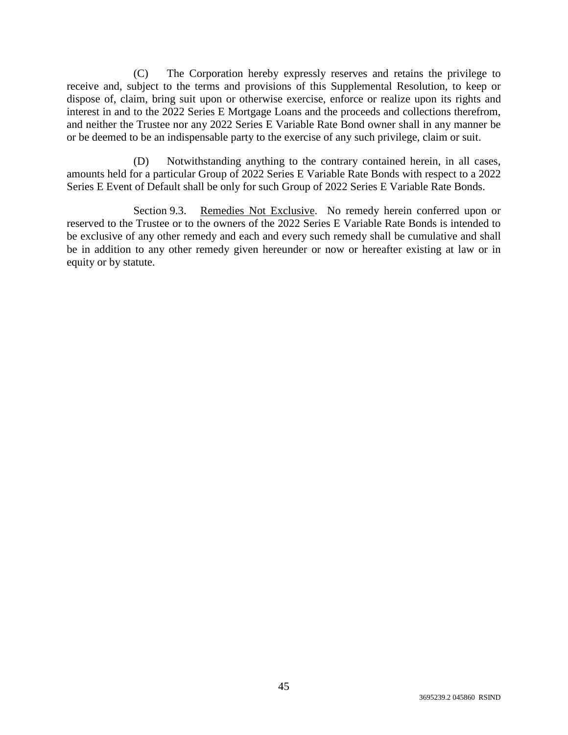(C) The Corporation hereby expressly reserves and retains the privilege to receive and, subject to the terms and provisions of this Supplemental Resolution, to keep or dispose of, claim, bring suit upon or otherwise exercise, enforce or realize upon its rights and interest in and to the 2022 Series E Mortgage Loans and the proceeds and collections therefrom, and neither the Trustee nor any 2022 Series E Variable Rate Bond owner shall in any manner be or be deemed to be an indispensable party to the exercise of any such privilege, claim or suit.

(D) Notwithstanding anything to the contrary contained herein, in all cases, amounts held for a particular Group of 2022 Series E Variable Rate Bonds with respect to a 2022 Series E Event of Default shall be only for such Group of 2022 Series E Variable Rate Bonds.

Section 9.3. Remedies Not Exclusive. No remedy herein conferred upon or reserved to the Trustee or to the owners of the 2022 Series E Variable Rate Bonds is intended to be exclusive of any other remedy and each and every such remedy shall be cumulative and shall be in addition to any other remedy given hereunder or now or hereafter existing at law or in equity or by statute.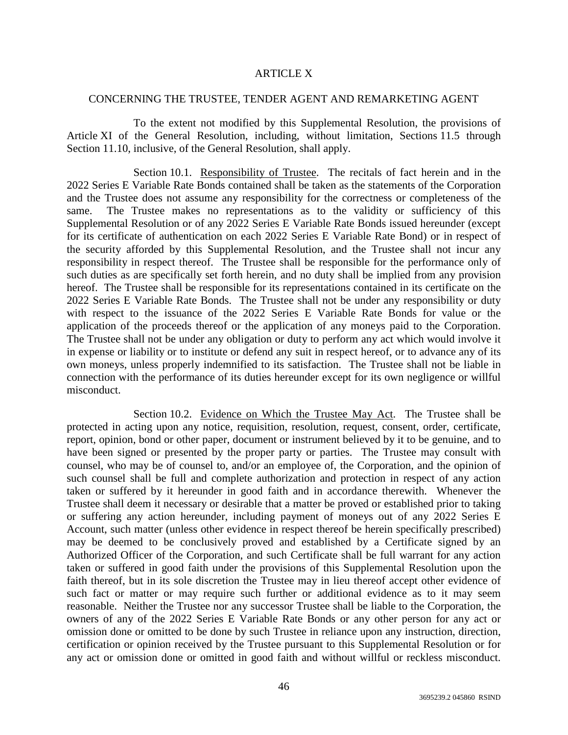## ARTICLE X

#### CONCERNING THE TRUSTEE, TENDER AGENT AND REMARKETING AGENT

To the extent not modified by this Supplemental Resolution, the provisions of Article XI of the General Resolution, including, without limitation, Sections 11.5 through Section 11.10, inclusive, of the General Resolution, shall apply.

Section 10.1. Responsibility of Trustee. The recitals of fact herein and in the 2022 Series E Variable Rate Bonds contained shall be taken as the statements of the Corporation and the Trustee does not assume any responsibility for the correctness or completeness of the same. The Trustee makes no representations as to the validity or sufficiency of this Supplemental Resolution or of any 2022 Series E Variable Rate Bonds issued hereunder (except for its certificate of authentication on each 2022 Series E Variable Rate Bond) or in respect of the security afforded by this Supplemental Resolution, and the Trustee shall not incur any responsibility in respect thereof. The Trustee shall be responsible for the performance only of such duties as are specifically set forth herein, and no duty shall be implied from any provision hereof. The Trustee shall be responsible for its representations contained in its certificate on the 2022 Series E Variable Rate Bonds. The Trustee shall not be under any responsibility or duty with respect to the issuance of the 2022 Series E Variable Rate Bonds for value or the application of the proceeds thereof or the application of any moneys paid to the Corporation. The Trustee shall not be under any obligation or duty to perform any act which would involve it in expense or liability or to institute or defend any suit in respect hereof, or to advance any of its own moneys, unless properly indemnified to its satisfaction. The Trustee shall not be liable in connection with the performance of its duties hereunder except for its own negligence or willful misconduct.

Section 10.2. Evidence on Which the Trustee May Act. The Trustee shall be protected in acting upon any notice, requisition, resolution, request, consent, order, certificate, report, opinion, bond or other paper, document or instrument believed by it to be genuine, and to have been signed or presented by the proper party or parties. The Trustee may consult with counsel, who may be of counsel to, and/or an employee of, the Corporation, and the opinion of such counsel shall be full and complete authorization and protection in respect of any action taken or suffered by it hereunder in good faith and in accordance therewith. Whenever the Trustee shall deem it necessary or desirable that a matter be proved or established prior to taking or suffering any action hereunder, including payment of moneys out of any 2022 Series E Account, such matter (unless other evidence in respect thereof be herein specifically prescribed) may be deemed to be conclusively proved and established by a Certificate signed by an Authorized Officer of the Corporation, and such Certificate shall be full warrant for any action taken or suffered in good faith under the provisions of this Supplemental Resolution upon the faith thereof, but in its sole discretion the Trustee may in lieu thereof accept other evidence of such fact or matter or may require such further or additional evidence as to it may seem reasonable. Neither the Trustee nor any successor Trustee shall be liable to the Corporation, the owners of any of the 2022 Series E Variable Rate Bonds or any other person for any act or omission done or omitted to be done by such Trustee in reliance upon any instruction, direction, certification or opinion received by the Trustee pursuant to this Supplemental Resolution or for any act or omission done or omitted in good faith and without willful or reckless misconduct.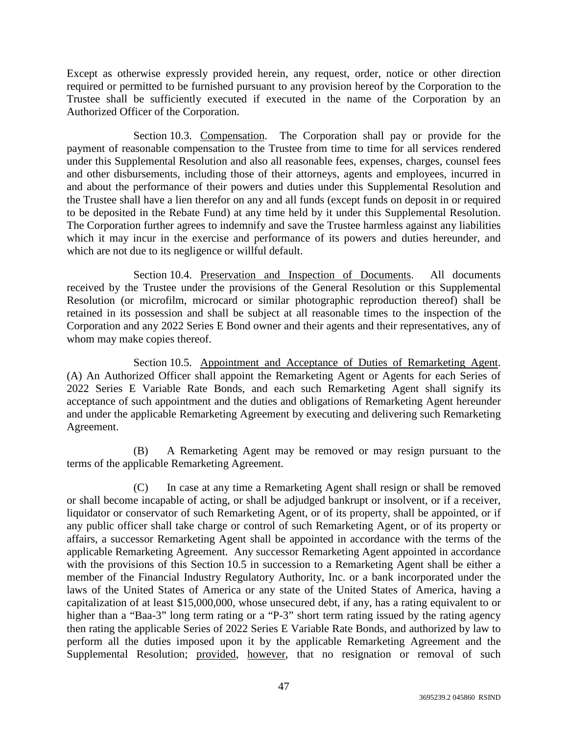Except as otherwise expressly provided herein, any request, order, notice or other direction required or permitted to be furnished pursuant to any provision hereof by the Corporation to the Trustee shall be sufficiently executed if executed in the name of the Corporation by an Authorized Officer of the Corporation.

Section 10.3. Compensation. The Corporation shall pay or provide for the payment of reasonable compensation to the Trustee from time to time for all services rendered under this Supplemental Resolution and also all reasonable fees, expenses, charges, counsel fees and other disbursements, including those of their attorneys, agents and employees, incurred in and about the performance of their powers and duties under this Supplemental Resolution and the Trustee shall have a lien therefor on any and all funds (except funds on deposit in or required to be deposited in the Rebate Fund) at any time held by it under this Supplemental Resolution. The Corporation further agrees to indemnify and save the Trustee harmless against any liabilities which it may incur in the exercise and performance of its powers and duties hereunder, and which are not due to its negligence or willful default.

Section 10.4. Preservation and Inspection of Documents. All documents received by the Trustee under the provisions of the General Resolution or this Supplemental Resolution (or microfilm, microcard or similar photographic reproduction thereof) shall be retained in its possession and shall be subject at all reasonable times to the inspection of the Corporation and any 2022 Series E Bond owner and their agents and their representatives, any of whom may make copies thereof.

Section 10.5. Appointment and Acceptance of Duties of Remarketing Agent. (A) An Authorized Officer shall appoint the Remarketing Agent or Agents for each Series of 2022 Series E Variable Rate Bonds, and each such Remarketing Agent shall signify its acceptance of such appointment and the duties and obligations of Remarketing Agent hereunder and under the applicable Remarketing Agreement by executing and delivering such Remarketing Agreement.

(B) A Remarketing Agent may be removed or may resign pursuant to the terms of the applicable Remarketing Agreement.

(C) In case at any time a Remarketing Agent shall resign or shall be removed or shall become incapable of acting, or shall be adjudged bankrupt or insolvent, or if a receiver, liquidator or conservator of such Remarketing Agent, or of its property, shall be appointed, or if any public officer shall take charge or control of such Remarketing Agent, or of its property or affairs, a successor Remarketing Agent shall be appointed in accordance with the terms of the applicable Remarketing Agreement. Any successor Remarketing Agent appointed in accordance with the provisions of this Section 10.5 in succession to a Remarketing Agent shall be either a member of the Financial Industry Regulatory Authority, Inc. or a bank incorporated under the laws of the United States of America or any state of the United States of America, having a capitalization of at least \$15,000,000, whose unsecured debt, if any, has a rating equivalent to or higher than a "Baa-3" long term rating or a "P-3" short term rating issued by the rating agency then rating the applicable Series of 2022 Series E Variable Rate Bonds, and authorized by law to perform all the duties imposed upon it by the applicable Remarketing Agreement and the Supplemental Resolution; provided, however, that no resignation or removal of such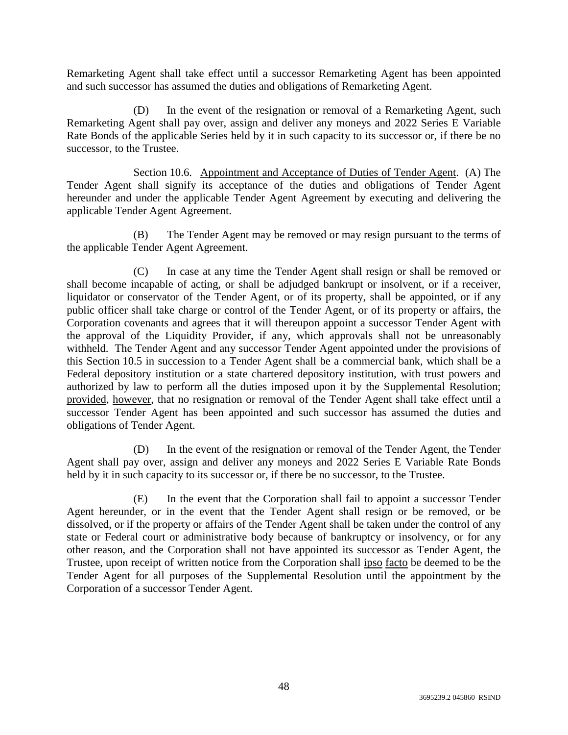Remarketing Agent shall take effect until a successor Remarketing Agent has been appointed and such successor has assumed the duties and obligations of Remarketing Agent.

(D) In the event of the resignation or removal of a Remarketing Agent, such Remarketing Agent shall pay over, assign and deliver any moneys and 2022 Series E Variable Rate Bonds of the applicable Series held by it in such capacity to its successor or, if there be no successor, to the Trustee.

Section 10.6. Appointment and Acceptance of Duties of Tender Agent. (A) The Tender Agent shall signify its acceptance of the duties and obligations of Tender Agent hereunder and under the applicable Tender Agent Agreement by executing and delivering the applicable Tender Agent Agreement.

(B) The Tender Agent may be removed or may resign pursuant to the terms of the applicable Tender Agent Agreement.

(C) In case at any time the Tender Agent shall resign or shall be removed or shall become incapable of acting, or shall be adjudged bankrupt or insolvent, or if a receiver, liquidator or conservator of the Tender Agent, or of its property, shall be appointed, or if any public officer shall take charge or control of the Tender Agent, or of its property or affairs, the Corporation covenants and agrees that it will thereupon appoint a successor Tender Agent with the approval of the Liquidity Provider, if any, which approvals shall not be unreasonably withheld. The Tender Agent and any successor Tender Agent appointed under the provisions of this Section 10.5 in succession to a Tender Agent shall be a commercial bank, which shall be a Federal depository institution or a state chartered depository institution, with trust powers and authorized by law to perform all the duties imposed upon it by the Supplemental Resolution; provided, however, that no resignation or removal of the Tender Agent shall take effect until a successor Tender Agent has been appointed and such successor has assumed the duties and obligations of Tender Agent.

(D) In the event of the resignation or removal of the Tender Agent, the Tender Agent shall pay over, assign and deliver any moneys and 2022 Series E Variable Rate Bonds held by it in such capacity to its successor or, if there be no successor, to the Trustee.

(E) In the event that the Corporation shall fail to appoint a successor Tender Agent hereunder, or in the event that the Tender Agent shall resign or be removed, or be dissolved, or if the property or affairs of the Tender Agent shall be taken under the control of any state or Federal court or administrative body because of bankruptcy or insolvency, or for any other reason, and the Corporation shall not have appointed its successor as Tender Agent, the Trustee, upon receipt of written notice from the Corporation shall ipso facto be deemed to be the Tender Agent for all purposes of the Supplemental Resolution until the appointment by the Corporation of a successor Tender Agent.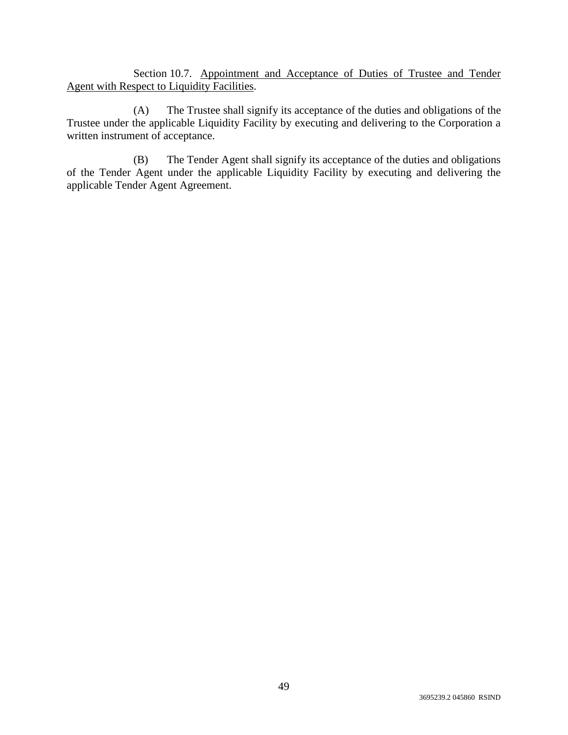Section 10.7. Appointment and Acceptance of Duties of Trustee and Tender Agent with Respect to Liquidity Facilities.

(A) The Trustee shall signify its acceptance of the duties and obligations of the Trustee under the applicable Liquidity Facility by executing and delivering to the Corporation a written instrument of acceptance.

(B) The Tender Agent shall signify its acceptance of the duties and obligations of the Tender Agent under the applicable Liquidity Facility by executing and delivering the applicable Tender Agent Agreement.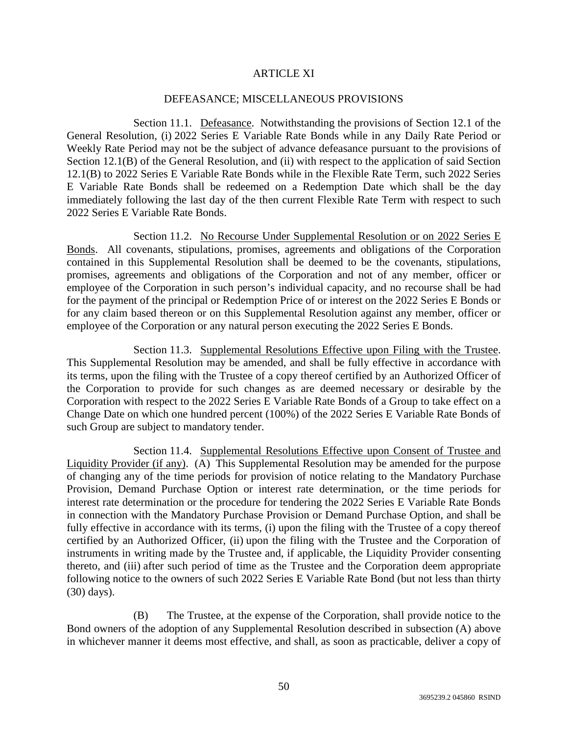# ARTICLE XI

## DEFEASANCE; MISCELLANEOUS PROVISIONS

Section 11.1. Defeasance. Notwithstanding the provisions of Section 12.1 of the General Resolution, (i) 2022 Series E Variable Rate Bonds while in any Daily Rate Period or Weekly Rate Period may not be the subject of advance defeasance pursuant to the provisions of Section 12.1(B) of the General Resolution, and (ii) with respect to the application of said Section 12.1(B) to 2022 Series E Variable Rate Bonds while in the Flexible Rate Term, such 2022 Series E Variable Rate Bonds shall be redeemed on a Redemption Date which shall be the day immediately following the last day of the then current Flexible Rate Term with respect to such 2022 Series E Variable Rate Bonds.

Section 11.2. No Recourse Under Supplemental Resolution or on 2022 Series E Bonds. All covenants, stipulations, promises, agreements and obligations of the Corporation contained in this Supplemental Resolution shall be deemed to be the covenants, stipulations, promises, agreements and obligations of the Corporation and not of any member, officer or employee of the Corporation in such person's individual capacity, and no recourse shall be had for the payment of the principal or Redemption Price of or interest on the 2022 Series E Bonds or for any claim based thereon or on this Supplemental Resolution against any member, officer or employee of the Corporation or any natural person executing the 2022 Series E Bonds.

Section 11.3. Supplemental Resolutions Effective upon Filing with the Trustee. This Supplemental Resolution may be amended, and shall be fully effective in accordance with its terms, upon the filing with the Trustee of a copy thereof certified by an Authorized Officer of the Corporation to provide for such changes as are deemed necessary or desirable by the Corporation with respect to the 2022 Series E Variable Rate Bonds of a Group to take effect on a Change Date on which one hundred percent (100%) of the 2022 Series E Variable Rate Bonds of such Group are subject to mandatory tender.

Section 11.4. Supplemental Resolutions Effective upon Consent of Trustee and Liquidity Provider (if any). (A) This Supplemental Resolution may be amended for the purpose of changing any of the time periods for provision of notice relating to the Mandatory Purchase Provision, Demand Purchase Option or interest rate determination, or the time periods for interest rate determination or the procedure for tendering the 2022 Series E Variable Rate Bonds in connection with the Mandatory Purchase Provision or Demand Purchase Option, and shall be fully effective in accordance with its terms, (i) upon the filing with the Trustee of a copy thereof certified by an Authorized Officer, (ii) upon the filing with the Trustee and the Corporation of instruments in writing made by the Trustee and, if applicable, the Liquidity Provider consenting thereto, and (iii) after such period of time as the Trustee and the Corporation deem appropriate following notice to the owners of such 2022 Series E Variable Rate Bond (but not less than thirty (30) days).

(B) The Trustee, at the expense of the Corporation, shall provide notice to the Bond owners of the adoption of any Supplemental Resolution described in subsection (A) above in whichever manner it deems most effective, and shall, as soon as practicable, deliver a copy of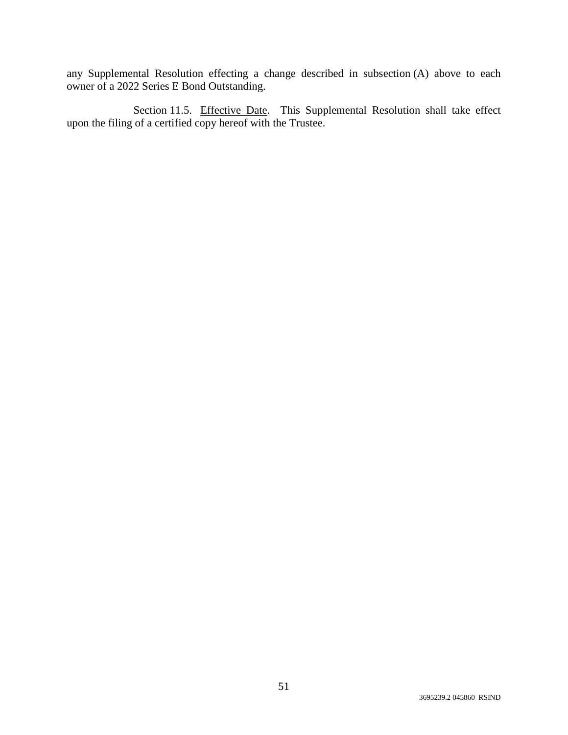any Supplemental Resolution effecting a change described in subsection (A) above to each owner of a 2022 Series E Bond Outstanding.

Section 11.5. Effective Date. This Supplemental Resolution shall take effect upon the filing of a certified copy hereof with the Trustee.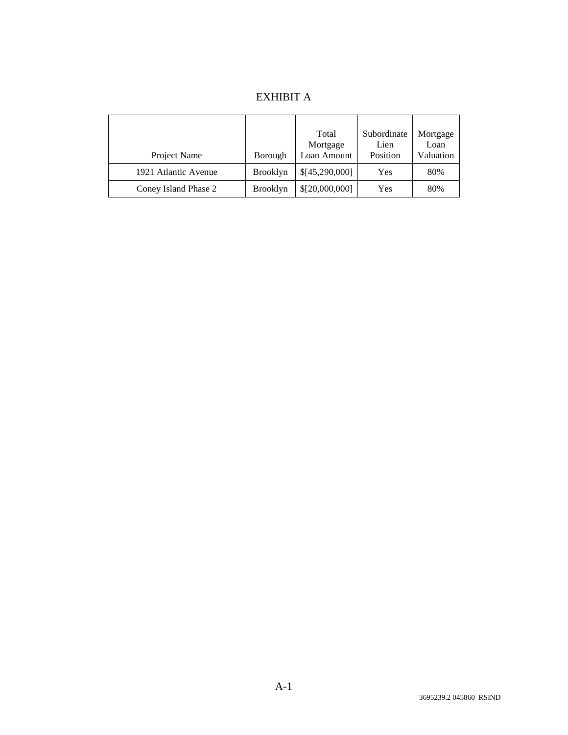# EXHIBIT A

| Project Name         | Borough         | Total<br>Mortgage<br>Loan Amount | Subordinate<br>Lien<br>Position | Mortgage<br>Loan<br>Valuation |
|----------------------|-----------------|----------------------------------|---------------------------------|-------------------------------|
| 1921 Atlantic Avenue | <b>Brooklyn</b> | \$[45,290,000]                   | Yes                             | 80%                           |
| Coney Island Phase 2 | <b>Brooklyn</b> | \$[20,000,000]                   | Yes                             | 80%                           |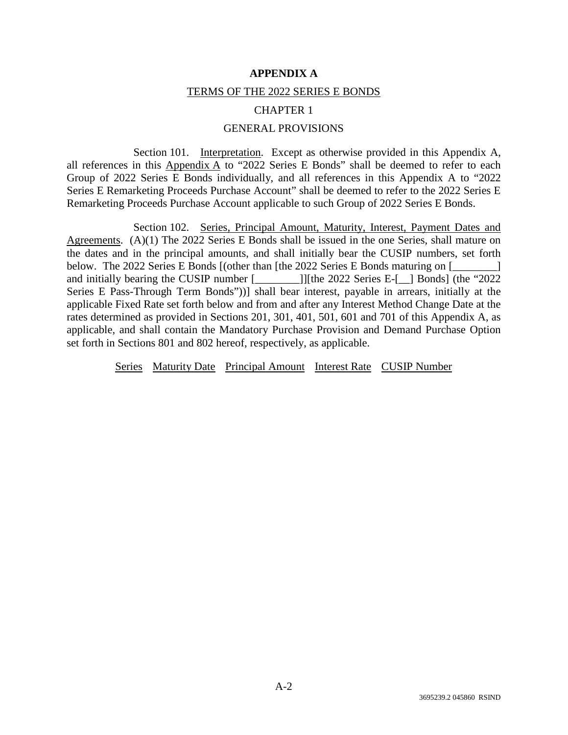#### **APPENDIX A**

#### TERMS OF THE 2022 SERIES E BONDS

## CHAPTER 1

# GENERAL PROVISIONS

Section 101. Interpretation. Except as otherwise provided in this Appendix A, all references in this Appendix A to "2022 Series E Bonds" shall be deemed to refer to each Group of 2022 Series E Bonds individually, and all references in this Appendix A to "2022 Series E Remarketing Proceeds Purchase Account" shall be deemed to refer to the 2022 Series E Remarketing Proceeds Purchase Account applicable to such Group of 2022 Series E Bonds.

Section 102. Series, Principal Amount, Maturity, Interest, Payment Dates and Agreements. (A)(1) The 2022 Series E Bonds shall be issued in the one Series, shall mature on the dates and in the principal amounts, and shall initially bear the CUSIP numbers, set forth below. The 2022 Series E Bonds [(other than [the 2022 Series E Bonds maturing on [ and initially bearing the CUSIP number [\_\_\_\_\_\_\_\_]][the 2022 Series E-[\_\_] Bonds] (the "2022 Series E Pass-Through Term Bonds"))] shall bear interest, payable in arrears, initially at the applicable Fixed Rate set forth below and from and after any Interest Method Change Date at the rates determined as provided in Sections 201, 301, 401, 501, 601 and 701 of this Appendix A, as applicable, and shall contain the Mandatory Purchase Provision and Demand Purchase Option set forth in Sections 801 and 802 hereof, respectively, as applicable.

Series Maturity Date Principal Amount Interest Rate CUSIP Number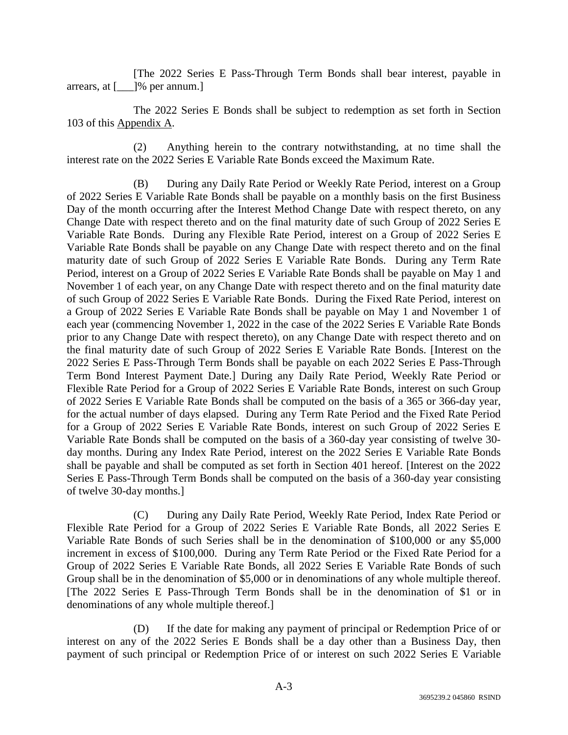[The 2022 Series E Pass-Through Term Bonds shall bear interest, payable in arrears, at [\_\_\_]% per annum.]

The 2022 Series E Bonds shall be subject to redemption as set forth in Section 103 of this Appendix A.

(2) Anything herein to the contrary notwithstanding, at no time shall the interest rate on the 2022 Series E Variable Rate Bonds exceed the Maximum Rate.

(B) During any Daily Rate Period or Weekly Rate Period, interest on a Group of 2022 Series E Variable Rate Bonds shall be payable on a monthly basis on the first Business Day of the month occurring after the Interest Method Change Date with respect thereto, on any Change Date with respect thereto and on the final maturity date of such Group of 2022 Series E Variable Rate Bonds. During any Flexible Rate Period, interest on a Group of 2022 Series E Variable Rate Bonds shall be payable on any Change Date with respect thereto and on the final maturity date of such Group of 2022 Series E Variable Rate Bonds. During any Term Rate Period, interest on a Group of 2022 Series E Variable Rate Bonds shall be payable on May 1 and November 1 of each year, on any Change Date with respect thereto and on the final maturity date of such Group of 2022 Series E Variable Rate Bonds. During the Fixed Rate Period, interest on a Group of 2022 Series E Variable Rate Bonds shall be payable on May 1 and November 1 of each year (commencing November 1, 2022 in the case of the 2022 Series E Variable Rate Bonds prior to any Change Date with respect thereto), on any Change Date with respect thereto and on the final maturity date of such Group of 2022 Series E Variable Rate Bonds. [Interest on the 2022 Series E Pass-Through Term Bonds shall be payable on each 2022 Series E Pass-Through Term Bond Interest Payment Date.] During any Daily Rate Period, Weekly Rate Period or Flexible Rate Period for a Group of 2022 Series E Variable Rate Bonds, interest on such Group of 2022 Series E Variable Rate Bonds shall be computed on the basis of a 365 or 366-day year, for the actual number of days elapsed. During any Term Rate Period and the Fixed Rate Period for a Group of 2022 Series E Variable Rate Bonds, interest on such Group of 2022 Series E Variable Rate Bonds shall be computed on the basis of a 360-day year consisting of twelve 30 day months. During any Index Rate Period, interest on the 2022 Series E Variable Rate Bonds shall be payable and shall be computed as set forth in Section 401 hereof. [Interest on the 2022 Series E Pass-Through Term Bonds shall be computed on the basis of a 360-day year consisting of twelve 30-day months.]

(C) During any Daily Rate Period, Weekly Rate Period, Index Rate Period or Flexible Rate Period for a Group of 2022 Series E Variable Rate Bonds, all 2022 Series E Variable Rate Bonds of such Series shall be in the denomination of \$100,000 or any \$5,000 increment in excess of \$100,000. During any Term Rate Period or the Fixed Rate Period for a Group of 2022 Series E Variable Rate Bonds, all 2022 Series E Variable Rate Bonds of such Group shall be in the denomination of \$5,000 or in denominations of any whole multiple thereof. [The 2022 Series E Pass-Through Term Bonds shall be in the denomination of \$1 or in denominations of any whole multiple thereof.]

(D) If the date for making any payment of principal or Redemption Price of or interest on any of the 2022 Series E Bonds shall be a day other than a Business Day, then payment of such principal or Redemption Price of or interest on such 2022 Series E Variable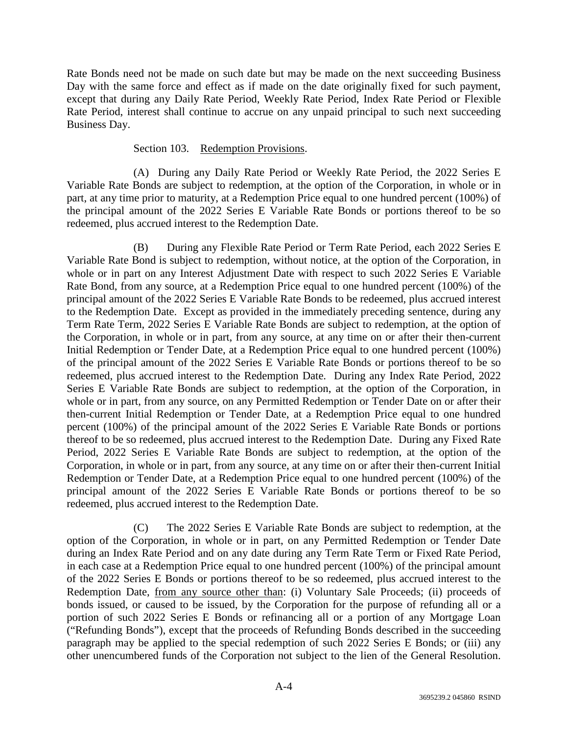Rate Bonds need not be made on such date but may be made on the next succeeding Business Day with the same force and effect as if made on the date originally fixed for such payment, except that during any Daily Rate Period, Weekly Rate Period, Index Rate Period or Flexible Rate Period, interest shall continue to accrue on any unpaid principal to such next succeeding Business Day.

# Section 103. Redemption Provisions.

(A) During any Daily Rate Period or Weekly Rate Period, the 2022 Series E Variable Rate Bonds are subject to redemption, at the option of the Corporation, in whole or in part, at any time prior to maturity, at a Redemption Price equal to one hundred percent (100%) of the principal amount of the 2022 Series E Variable Rate Bonds or portions thereof to be so redeemed, plus accrued interest to the Redemption Date.

(B) During any Flexible Rate Period or Term Rate Period, each 2022 Series E Variable Rate Bond is subject to redemption, without notice, at the option of the Corporation, in whole or in part on any Interest Adjustment Date with respect to such 2022 Series E Variable Rate Bond, from any source, at a Redemption Price equal to one hundred percent (100%) of the principal amount of the 2022 Series E Variable Rate Bonds to be redeemed, plus accrued interest to the Redemption Date. Except as provided in the immediately preceding sentence, during any Term Rate Term, 2022 Series E Variable Rate Bonds are subject to redemption, at the option of the Corporation, in whole or in part, from any source, at any time on or after their then-current Initial Redemption or Tender Date, at a Redemption Price equal to one hundred percent (100%) of the principal amount of the 2022 Series E Variable Rate Bonds or portions thereof to be so redeemed, plus accrued interest to the Redemption Date. During any Index Rate Period, 2022 Series E Variable Rate Bonds are subject to redemption, at the option of the Corporation, in whole or in part, from any source, on any Permitted Redemption or Tender Date on or after their then-current Initial Redemption or Tender Date, at a Redemption Price equal to one hundred percent (100%) of the principal amount of the 2022 Series E Variable Rate Bonds or portions thereof to be so redeemed, plus accrued interest to the Redemption Date. During any Fixed Rate Period, 2022 Series E Variable Rate Bonds are subject to redemption, at the option of the Corporation, in whole or in part, from any source, at any time on or after their then-current Initial Redemption or Tender Date, at a Redemption Price equal to one hundred percent (100%) of the principal amount of the 2022 Series E Variable Rate Bonds or portions thereof to be so redeemed, plus accrued interest to the Redemption Date.

(C) The 2022 Series E Variable Rate Bonds are subject to redemption, at the option of the Corporation, in whole or in part, on any Permitted Redemption or Tender Date during an Index Rate Period and on any date during any Term Rate Term or Fixed Rate Period, in each case at a Redemption Price equal to one hundred percent (100%) of the principal amount of the 2022 Series E Bonds or portions thereof to be so redeemed, plus accrued interest to the Redemption Date, from any source other than: (i) Voluntary Sale Proceeds; (ii) proceeds of bonds issued, or caused to be issued, by the Corporation for the purpose of refunding all or a portion of such 2022 Series E Bonds or refinancing all or a portion of any Mortgage Loan ("Refunding Bonds"), except that the proceeds of Refunding Bonds described in the succeeding paragraph may be applied to the special redemption of such 2022 Series E Bonds; or (iii) any other unencumbered funds of the Corporation not subject to the lien of the General Resolution.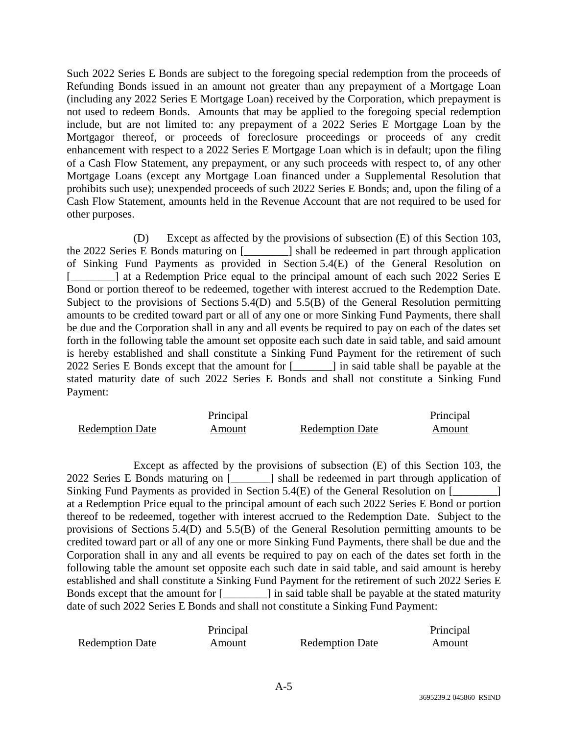Such 2022 Series E Bonds are subject to the foregoing special redemption from the proceeds of Refunding Bonds issued in an amount not greater than any prepayment of a Mortgage Loan (including any 2022 Series E Mortgage Loan) received by the Corporation, which prepayment is not used to redeem Bonds. Amounts that may be applied to the foregoing special redemption include, but are not limited to: any prepayment of a 2022 Series E Mortgage Loan by the Mortgagor thereof, or proceeds of foreclosure proceedings or proceeds of any credit enhancement with respect to a 2022 Series E Mortgage Loan which is in default; upon the filing of a Cash Flow Statement, any prepayment, or any such proceeds with respect to, of any other Mortgage Loans (except any Mortgage Loan financed under a Supplemental Resolution that prohibits such use); unexpended proceeds of such 2022 Series E Bonds; and, upon the filing of a Cash Flow Statement, amounts held in the Revenue Account that are not required to be used for other purposes.

(D) Except as affected by the provisions of subsection (E) of this Section 103, the 2022 Series E Bonds maturing on [\_\_\_\_\_\_\_\_] shall be redeemed in part through application of Sinking Fund Payments as provided in Section 5.4(E) of the General Resolution on [\_\_\_\_\_\_\_\_] at a Redemption Price equal to the principal amount of each such 2022 Series E Bond or portion thereof to be redeemed, together with interest accrued to the Redemption Date. Subject to the provisions of Sections 5.4(D) and 5.5(B) of the General Resolution permitting amounts to be credited toward part or all of any one or more Sinking Fund Payments, there shall be due and the Corporation shall in any and all events be required to pay on each of the dates set forth in the following table the amount set opposite each such date in said table, and said amount is hereby established and shall constitute a Sinking Fund Payment for the retirement of such 2022 Series E Bonds except that the amount for [\_\_\_\_\_\_\_] in said table shall be payable at the stated maturity date of such 2022 Series E Bonds and shall not constitute a Sinking Fund Payment:

|                        | Principal |                        | Principal |
|------------------------|-----------|------------------------|-----------|
| <b>Redemption Date</b> | Amount    | <b>Redemption Date</b> | Amount    |

Except as affected by the provisions of subsection (E) of this Section 103, the 2022 Series E Bonds maturing on [\_\_\_\_\_\_\_] shall be redeemed in part through application of Sinking Fund Payments as provided in Section 5.4(E) of the General Resolution on [ at a Redemption Price equal to the principal amount of each such 2022 Series E Bond or portion thereof to be redeemed, together with interest accrued to the Redemption Date. Subject to the provisions of Sections 5.4(D) and 5.5(B) of the General Resolution permitting amounts to be credited toward part or all of any one or more Sinking Fund Payments, there shall be due and the Corporation shall in any and all events be required to pay on each of the dates set forth in the following table the amount set opposite each such date in said table, and said amount is hereby established and shall constitute a Sinking Fund Payment for the retirement of such 2022 Series E Bonds except that the amount for [\_\_\_\_\_\_\_\_] in said table shall be payable at the stated maturity date of such 2022 Series E Bonds and shall not constitute a Sinking Fund Payment:

|                        | Principal |                        | Principal |
|------------------------|-----------|------------------------|-----------|
| <b>Redemption Date</b> | Amount    | <b>Redemption Date</b> | Amount    |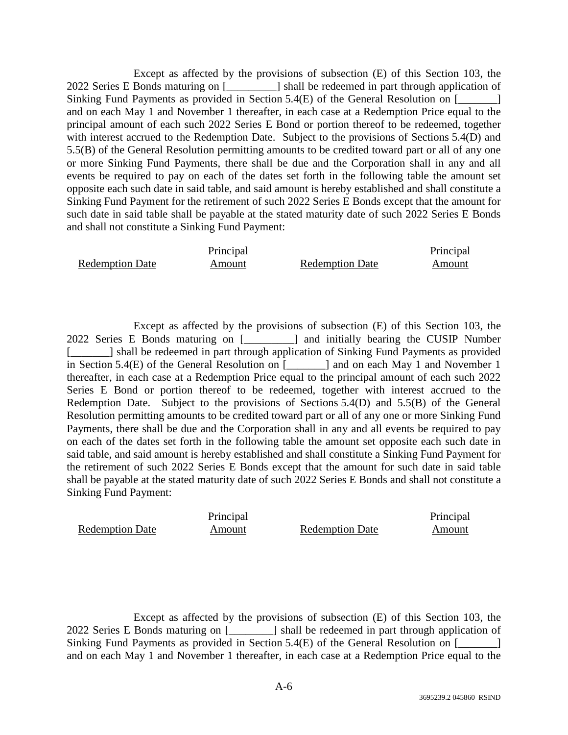Except as affected by the provisions of subsection (E) of this Section 103, the 2022 Series E Bonds maturing on [\_\_\_\_\_\_\_\_\_] shall be redeemed in part through application of Sinking Fund Payments as provided in Section 5.4(E) of the General Resolution on  $\lceil \frac{1}{2} \rceil$ and on each May 1 and November 1 thereafter, in each case at a Redemption Price equal to the principal amount of each such 2022 Series E Bond or portion thereof to be redeemed, together with interest accrued to the Redemption Date. Subject to the provisions of Sections 5.4(D) and 5.5(B) of the General Resolution permitting amounts to be credited toward part or all of any one or more Sinking Fund Payments, there shall be due and the Corporation shall in any and all events be required to pay on each of the dates set forth in the following table the amount set opposite each such date in said table, and said amount is hereby established and shall constitute a Sinking Fund Payment for the retirement of such 2022 Series E Bonds except that the amount for such date in said table shall be payable at the stated maturity date of such 2022 Series E Bonds and shall not constitute a Sinking Fund Payment:

|                        | Principal |                        | Principal |
|------------------------|-----------|------------------------|-----------|
| <b>Redemption Date</b> | Amount    | <b>Redemption Date</b> | Amount    |

Except as affected by the provisions of subsection (E) of this Section 103, the 2022 Series E Bonds maturing on [\_\_\_\_\_\_\_\_\_] and initially bearing the CUSIP Number [\_\_\_\_\_\_\_] shall be redeemed in part through application of Sinking Fund Payments as provided in Section 5.4(E) of the General Resolution on [\_\_\_\_\_\_\_] and on each May 1 and November 1 thereafter, in each case at a Redemption Price equal to the principal amount of each such 2022 Series E Bond or portion thereof to be redeemed, together with interest accrued to the Redemption Date. Subject to the provisions of Sections 5.4(D) and 5.5(B) of the General Resolution permitting amounts to be credited toward part or all of any one or more Sinking Fund Payments, there shall be due and the Corporation shall in any and all events be required to pay on each of the dates set forth in the following table the amount set opposite each such date in said table, and said amount is hereby established and shall constitute a Sinking Fund Payment for the retirement of such 2022 Series E Bonds except that the amount for such date in said table shall be payable at the stated maturity date of such 2022 Series E Bonds and shall not constitute a Sinking Fund Payment:

|                        | Principal |                        | Principal |
|------------------------|-----------|------------------------|-----------|
| <b>Redemption Date</b> | Amount    | <b>Redemption Date</b> | Amount    |

Except as affected by the provisions of subsection (E) of this Section 103, the 2022 Series E Bonds maturing on [\_\_\_\_\_\_\_\_] shall be redeemed in part through application of Sinking Fund Payments as provided in Section 5.4(E) of the General Resolution on [\_\_\_\_\_\_\_] and on each May 1 and November 1 thereafter, in each case at a Redemption Price equal to the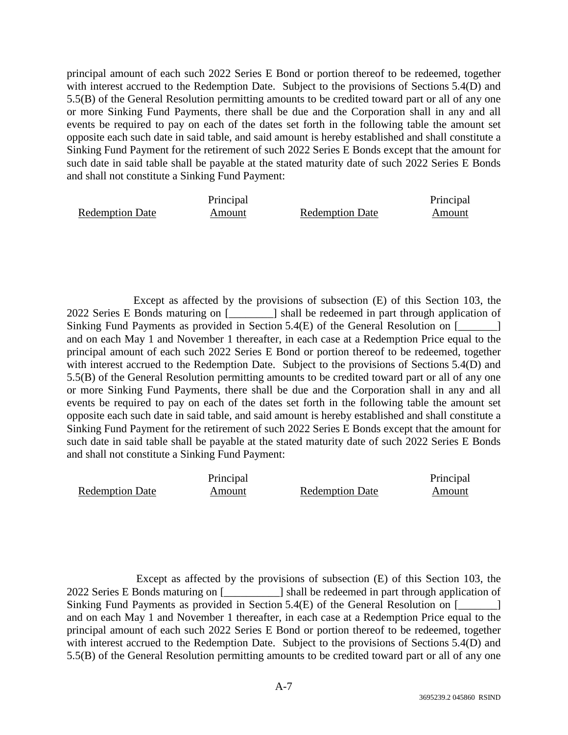principal amount of each such 2022 Series E Bond or portion thereof to be redeemed, together with interest accrued to the Redemption Date. Subject to the provisions of Sections 5.4(D) and 5.5(B) of the General Resolution permitting amounts to be credited toward part or all of any one or more Sinking Fund Payments, there shall be due and the Corporation shall in any and all events be required to pay on each of the dates set forth in the following table the amount set opposite each such date in said table, and said amount is hereby established and shall constitute a Sinking Fund Payment for the retirement of such 2022 Series E Bonds except that the amount for such date in said table shall be payable at the stated maturity date of such 2022 Series E Bonds and shall not constitute a Sinking Fund Payment:

|                        | Principal |                        | Principal |
|------------------------|-----------|------------------------|-----------|
| <b>Redemption Date</b> | Amount    | <b>Redemption Date</b> | Amount    |

Except as affected by the provisions of subsection (E) of this Section 103, the 2022 Series E Bonds maturing on [\_\_\_\_\_\_\_\_] shall be redeemed in part through application of Sinking Fund Payments as provided in Section 5.4(E) of the General Resolution on [\_\_\_\_\_\_] and on each May 1 and November 1 thereafter, in each case at a Redemption Price equal to the principal amount of each such 2022 Series E Bond or portion thereof to be redeemed, together with interest accrued to the Redemption Date. Subject to the provisions of Sections 5.4(D) and 5.5(B) of the General Resolution permitting amounts to be credited toward part or all of any one or more Sinking Fund Payments, there shall be due and the Corporation shall in any and all events be required to pay on each of the dates set forth in the following table the amount set opposite each such date in said table, and said amount is hereby established and shall constitute a Sinking Fund Payment for the retirement of such 2022 Series E Bonds except that the amount for such date in said table shall be payable at the stated maturity date of such 2022 Series E Bonds and shall not constitute a Sinking Fund Payment:

|                        | Principal |                        | Principal |
|------------------------|-----------|------------------------|-----------|
| <b>Redemption Date</b> | Amount    | <b>Redemption Date</b> | Amount    |

 Except as affected by the provisions of subsection (E) of this Section 103, the 2022 Series E Bonds maturing on [\_\_\_\_\_\_\_\_\_\_] shall be redeemed in part through application of Sinking Fund Payments as provided in Section 5.4(E) of the General Resolution on [\_\_\_\_\_\_\_] and on each May 1 and November 1 thereafter, in each case at a Redemption Price equal to the principal amount of each such 2022 Series E Bond or portion thereof to be redeemed, together with interest accrued to the Redemption Date. Subject to the provisions of Sections 5.4(D) and 5.5(B) of the General Resolution permitting amounts to be credited toward part or all of any one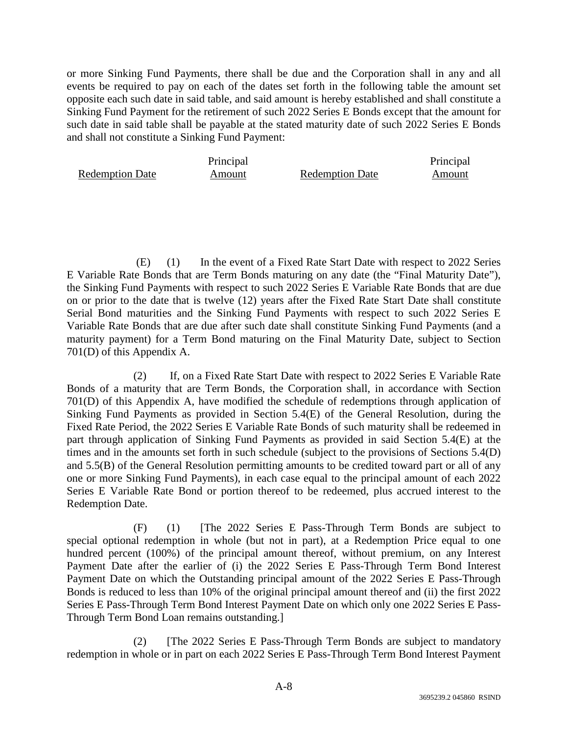or more Sinking Fund Payments, there shall be due and the Corporation shall in any and all events be required to pay on each of the dates set forth in the following table the amount set opposite each such date in said table, and said amount is hereby established and shall constitute a Sinking Fund Payment for the retirement of such 2022 Series E Bonds except that the amount for such date in said table shall be payable at the stated maturity date of such 2022 Series E Bonds and shall not constitute a Sinking Fund Payment:

Redemption Date

Principal

Amount Redemption Date

Principal Amount

 (E) (1) In the event of a Fixed Rate Start Date with respect to 2022 Series E Variable Rate Bonds that are Term Bonds maturing on any date (the "Final Maturity Date"), the Sinking Fund Payments with respect to such 2022 Series E Variable Rate Bonds that are due on or prior to the date that is twelve (12) years after the Fixed Rate Start Date shall constitute Serial Bond maturities and the Sinking Fund Payments with respect to such 2022 Series E Variable Rate Bonds that are due after such date shall constitute Sinking Fund Payments (and a maturity payment) for a Term Bond maturing on the Final Maturity Date, subject to Section 701(D) of this Appendix A.

(2) If, on a Fixed Rate Start Date with respect to 2022 Series E Variable Rate Bonds of a maturity that are Term Bonds, the Corporation shall, in accordance with Section 701(D) of this Appendix A, have modified the schedule of redemptions through application of Sinking Fund Payments as provided in Section 5.4(E) of the General Resolution, during the Fixed Rate Period, the 2022 Series E Variable Rate Bonds of such maturity shall be redeemed in part through application of Sinking Fund Payments as provided in said Section 5.4(E) at the times and in the amounts set forth in such schedule (subject to the provisions of Sections 5.4(D) and 5.5(B) of the General Resolution permitting amounts to be credited toward part or all of any one or more Sinking Fund Payments), in each case equal to the principal amount of each 2022 Series E Variable Rate Bond or portion thereof to be redeemed, plus accrued interest to the Redemption Date.

(F) (1) [The 2022 Series E Pass-Through Term Bonds are subject to special optional redemption in whole (but not in part), at a Redemption Price equal to one hundred percent (100%) of the principal amount thereof, without premium, on any Interest Payment Date after the earlier of (i) the 2022 Series E Pass-Through Term Bond Interest Payment Date on which the Outstanding principal amount of the 2022 Series E Pass-Through Bonds is reduced to less than 10% of the original principal amount thereof and (ii) the first 2022 Series E Pass-Through Term Bond Interest Payment Date on which only one 2022 Series E Pass-Through Term Bond Loan remains outstanding.]

(2) [The 2022 Series E Pass-Through Term Bonds are subject to mandatory redemption in whole or in part on each 2022 Series E Pass-Through Term Bond Interest Payment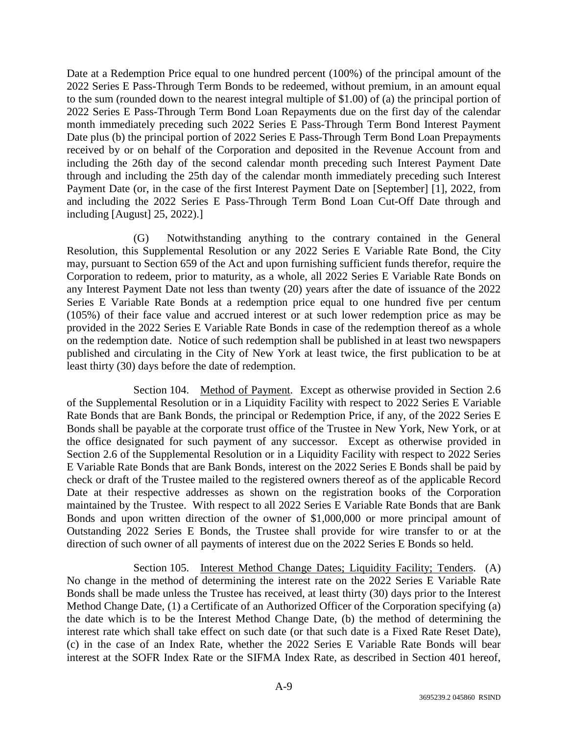Date at a Redemption Price equal to one hundred percent (100%) of the principal amount of the 2022 Series E Pass-Through Term Bonds to be redeemed, without premium, in an amount equal to the sum (rounded down to the nearest integral multiple of \$1.00) of (a) the principal portion of 2022 Series E Pass-Through Term Bond Loan Repayments due on the first day of the calendar month immediately preceding such 2022 Series E Pass-Through Term Bond Interest Payment Date plus (b) the principal portion of 2022 Series E Pass-Through Term Bond Loan Prepayments received by or on behalf of the Corporation and deposited in the Revenue Account from and including the 26th day of the second calendar month preceding such Interest Payment Date through and including the 25th day of the calendar month immediately preceding such Interest Payment Date (or, in the case of the first Interest Payment Date on [September] [1], 2022, from and including the 2022 Series E Pass-Through Term Bond Loan Cut-Off Date through and including [August] 25, 2022).]

(G) Notwithstanding anything to the contrary contained in the General Resolution, this Supplemental Resolution or any 2022 Series E Variable Rate Bond, the City may, pursuant to Section 659 of the Act and upon furnishing sufficient funds therefor, require the Corporation to redeem, prior to maturity, as a whole, all 2022 Series E Variable Rate Bonds on any Interest Payment Date not less than twenty (20) years after the date of issuance of the 2022 Series E Variable Rate Bonds at a redemption price equal to one hundred five per centum (105%) of their face value and accrued interest or at such lower redemption price as may be provided in the 2022 Series E Variable Rate Bonds in case of the redemption thereof as a whole on the redemption date. Notice of such redemption shall be published in at least two newspapers published and circulating in the City of New York at least twice, the first publication to be at least thirty (30) days before the date of redemption.

Section 104. Method of Payment. Except as otherwise provided in Section 2.6 of the Supplemental Resolution or in a Liquidity Facility with respect to 2022 Series E Variable Rate Bonds that are Bank Bonds, the principal or Redemption Price, if any, of the 2022 Series E Bonds shall be payable at the corporate trust office of the Trustee in New York, New York, or at the office designated for such payment of any successor. Except as otherwise provided in Section 2.6 of the Supplemental Resolution or in a Liquidity Facility with respect to 2022 Series E Variable Rate Bonds that are Bank Bonds, interest on the 2022 Series E Bonds shall be paid by check or draft of the Trustee mailed to the registered owners thereof as of the applicable Record Date at their respective addresses as shown on the registration books of the Corporation maintained by the Trustee. With respect to all 2022 Series E Variable Rate Bonds that are Bank Bonds and upon written direction of the owner of \$1,000,000 or more principal amount of Outstanding 2022 Series E Bonds, the Trustee shall provide for wire transfer to or at the direction of such owner of all payments of interest due on the 2022 Series E Bonds so held.

Section 105. Interest Method Change Dates; Liquidity Facility; Tenders. (A) No change in the method of determining the interest rate on the 2022 Series E Variable Rate Bonds shall be made unless the Trustee has received, at least thirty (30) days prior to the Interest Method Change Date, (1) a Certificate of an Authorized Officer of the Corporation specifying (a) the date which is to be the Interest Method Change Date, (b) the method of determining the interest rate which shall take effect on such date (or that such date is a Fixed Rate Reset Date), (c) in the case of an Index Rate, whether the 2022 Series E Variable Rate Bonds will bear interest at the SOFR Index Rate or the SIFMA Index Rate, as described in Section 401 hereof,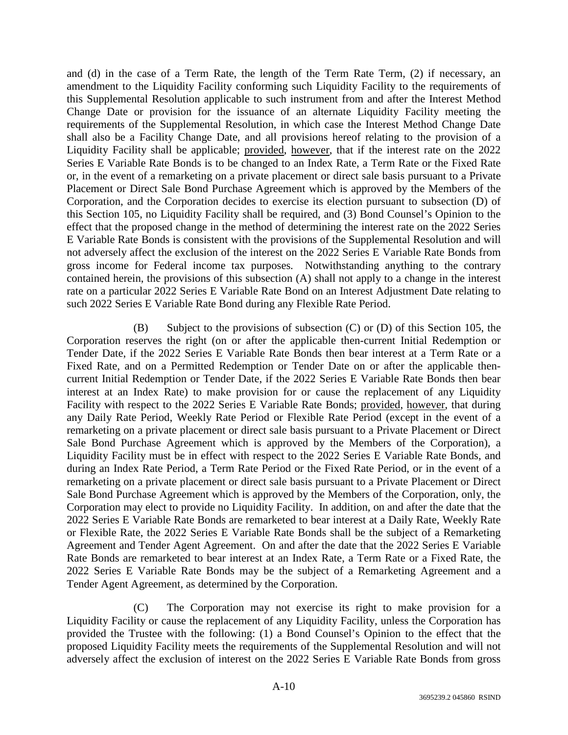and (d) in the case of a Term Rate, the length of the Term Rate Term, (2) if necessary, an amendment to the Liquidity Facility conforming such Liquidity Facility to the requirements of this Supplemental Resolution applicable to such instrument from and after the Interest Method Change Date or provision for the issuance of an alternate Liquidity Facility meeting the requirements of the Supplemental Resolution, in which case the Interest Method Change Date shall also be a Facility Change Date, and all provisions hereof relating to the provision of a Liquidity Facility shall be applicable; provided, however, that if the interest rate on the 2022 Series E Variable Rate Bonds is to be changed to an Index Rate, a Term Rate or the Fixed Rate or, in the event of a remarketing on a private placement or direct sale basis pursuant to a Private Placement or Direct Sale Bond Purchase Agreement which is approved by the Members of the Corporation, and the Corporation decides to exercise its election pursuant to subsection (D) of this Section 105, no Liquidity Facility shall be required, and (3) Bond Counsel's Opinion to the effect that the proposed change in the method of determining the interest rate on the 2022 Series E Variable Rate Bonds is consistent with the provisions of the Supplemental Resolution and will not adversely affect the exclusion of the interest on the 2022 Series E Variable Rate Bonds from gross income for Federal income tax purposes. Notwithstanding anything to the contrary contained herein, the provisions of this subsection (A) shall not apply to a change in the interest rate on a particular 2022 Series E Variable Rate Bond on an Interest Adjustment Date relating to such 2022 Series E Variable Rate Bond during any Flexible Rate Period.

(B) Subject to the provisions of subsection (C) or (D) of this Section 105, the Corporation reserves the right (on or after the applicable then-current Initial Redemption or Tender Date, if the 2022 Series E Variable Rate Bonds then bear interest at a Term Rate or a Fixed Rate, and on a Permitted Redemption or Tender Date on or after the applicable thencurrent Initial Redemption or Tender Date, if the 2022 Series E Variable Rate Bonds then bear interest at an Index Rate) to make provision for or cause the replacement of any Liquidity Facility with respect to the 2022 Series E Variable Rate Bonds; provided, however, that during any Daily Rate Period, Weekly Rate Period or Flexible Rate Period (except in the event of a remarketing on a private placement or direct sale basis pursuant to a Private Placement or Direct Sale Bond Purchase Agreement which is approved by the Members of the Corporation), a Liquidity Facility must be in effect with respect to the 2022 Series E Variable Rate Bonds, and during an Index Rate Period, a Term Rate Period or the Fixed Rate Period, or in the event of a remarketing on a private placement or direct sale basis pursuant to a Private Placement or Direct Sale Bond Purchase Agreement which is approved by the Members of the Corporation, only, the Corporation may elect to provide no Liquidity Facility. In addition, on and after the date that the 2022 Series E Variable Rate Bonds are remarketed to bear interest at a Daily Rate, Weekly Rate or Flexible Rate, the 2022 Series E Variable Rate Bonds shall be the subject of a Remarketing Agreement and Tender Agent Agreement. On and after the date that the 2022 Series E Variable Rate Bonds are remarketed to bear interest at an Index Rate, a Term Rate or a Fixed Rate, the 2022 Series E Variable Rate Bonds may be the subject of a Remarketing Agreement and a Tender Agent Agreement, as determined by the Corporation.

(C) The Corporation may not exercise its right to make provision for a Liquidity Facility or cause the replacement of any Liquidity Facility, unless the Corporation has provided the Trustee with the following: (1) a Bond Counsel's Opinion to the effect that the proposed Liquidity Facility meets the requirements of the Supplemental Resolution and will not adversely affect the exclusion of interest on the 2022 Series E Variable Rate Bonds from gross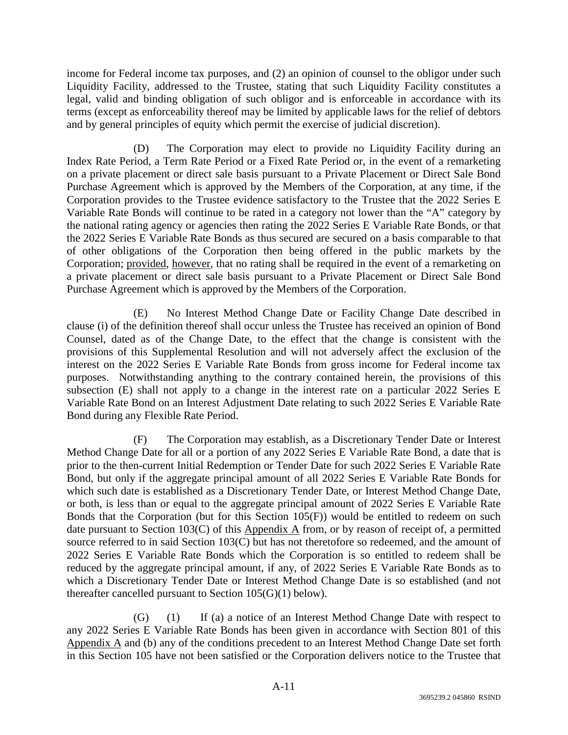income for Federal income tax purposes, and (2) an opinion of counsel to the obligor under such Liquidity Facility, addressed to the Trustee, stating that such Liquidity Facility constitutes a legal, valid and binding obligation of such obligor and is enforceable in accordance with its terms (except as enforceability thereof may be limited by applicable laws for the relief of debtors and by general principles of equity which permit the exercise of judicial discretion).

(D) The Corporation may elect to provide no Liquidity Facility during an Index Rate Period, a Term Rate Period or a Fixed Rate Period or, in the event of a remarketing on a private placement or direct sale basis pursuant to a Private Placement or Direct Sale Bond Purchase Agreement which is approved by the Members of the Corporation, at any time, if the Corporation provides to the Trustee evidence satisfactory to the Trustee that the 2022 Series E Variable Rate Bonds will continue to be rated in a category not lower than the "A" category by the national rating agency or agencies then rating the 2022 Series E Variable Rate Bonds, or that the 2022 Series E Variable Rate Bonds as thus secured are secured on a basis comparable to that of other obligations of the Corporation then being offered in the public markets by the Corporation; provided, however, that no rating shall be required in the event of a remarketing on a private placement or direct sale basis pursuant to a Private Placement or Direct Sale Bond Purchase Agreement which is approved by the Members of the Corporation.

(E) No Interest Method Change Date or Facility Change Date described in clause (i) of the definition thereof shall occur unless the Trustee has received an opinion of Bond Counsel, dated as of the Change Date, to the effect that the change is consistent with the provisions of this Supplemental Resolution and will not adversely affect the exclusion of the interest on the 2022 Series E Variable Rate Bonds from gross income for Federal income tax purposes. Notwithstanding anything to the contrary contained herein, the provisions of this subsection (E) shall not apply to a change in the interest rate on a particular 2022 Series E Variable Rate Bond on an Interest Adjustment Date relating to such 2022 Series E Variable Rate Bond during any Flexible Rate Period.

(F) The Corporation may establish, as a Discretionary Tender Date or Interest Method Change Date for all or a portion of any 2022 Series E Variable Rate Bond, a date that is prior to the then-current Initial Redemption or Tender Date for such 2022 Series E Variable Rate Bond, but only if the aggregate principal amount of all 2022 Series E Variable Rate Bonds for which such date is established as a Discretionary Tender Date, or Interest Method Change Date, or both, is less than or equal to the aggregate principal amount of 2022 Series E Variable Rate Bonds that the Corporation (but for this Section 105(F)) would be entitled to redeem on such date pursuant to Section 103(C) of this Appendix A from, or by reason of receipt of, a permitted source referred to in said Section 103(C) but has not theretofore so redeemed, and the amount of 2022 Series E Variable Rate Bonds which the Corporation is so entitled to redeem shall be reduced by the aggregate principal amount, if any, of 2022 Series E Variable Rate Bonds as to which a Discretionary Tender Date or Interest Method Change Date is so established (and not thereafter cancelled pursuant to Section 105(G)(1) below).

(G) (1) If (a) a notice of an Interest Method Change Date with respect to any 2022 Series E Variable Rate Bonds has been given in accordance with Section 801 of this Appendix  $\overline{A}$  and (b) any of the conditions precedent to an Interest Method Change Date set forth in this Section 105 have not been satisfied or the Corporation delivers notice to the Trustee that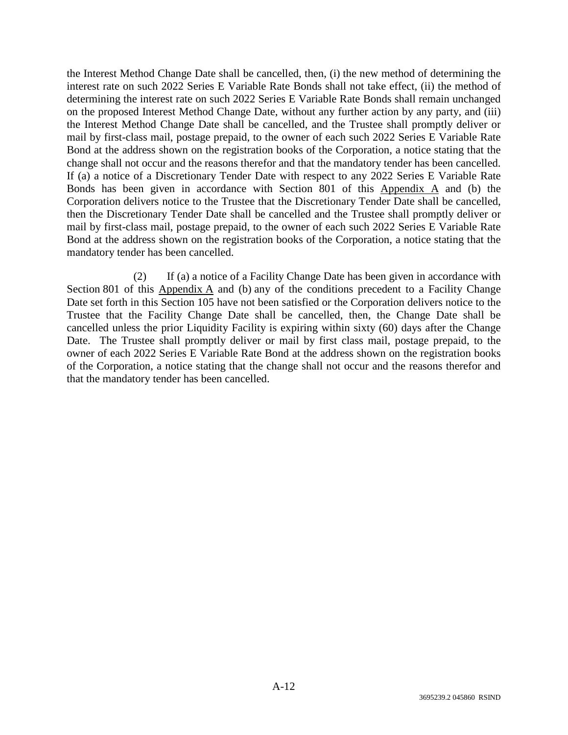the Interest Method Change Date shall be cancelled, then, (i) the new method of determining the interest rate on such 2022 Series E Variable Rate Bonds shall not take effect, (ii) the method of determining the interest rate on such 2022 Series E Variable Rate Bonds shall remain unchanged on the proposed Interest Method Change Date, without any further action by any party, and (iii) the Interest Method Change Date shall be cancelled, and the Trustee shall promptly deliver or mail by first-class mail, postage prepaid, to the owner of each such 2022 Series E Variable Rate Bond at the address shown on the registration books of the Corporation, a notice stating that the change shall not occur and the reasons therefor and that the mandatory tender has been cancelled. If (a) a notice of a Discretionary Tender Date with respect to any 2022 Series E Variable Rate Bonds has been given in accordance with Section 801 of this Appendix A and (b) the Corporation delivers notice to the Trustee that the Discretionary Tender Date shall be cancelled, then the Discretionary Tender Date shall be cancelled and the Trustee shall promptly deliver or mail by first-class mail, postage prepaid, to the owner of each such 2022 Series E Variable Rate Bond at the address shown on the registration books of the Corporation, a notice stating that the mandatory tender has been cancelled.

(2) If (a) a notice of a Facility Change Date has been given in accordance with Section 801 of this  $\Delta$  ppendix  $\Delta$  and (b) any of the conditions precedent to a Facility Change Date set forth in this Section 105 have not been satisfied or the Corporation delivers notice to the Trustee that the Facility Change Date shall be cancelled, then, the Change Date shall be cancelled unless the prior Liquidity Facility is expiring within sixty (60) days after the Change Date. The Trustee shall promptly deliver or mail by first class mail, postage prepaid, to the owner of each 2022 Series E Variable Rate Bond at the address shown on the registration books of the Corporation, a notice stating that the change shall not occur and the reasons therefor and that the mandatory tender has been cancelled.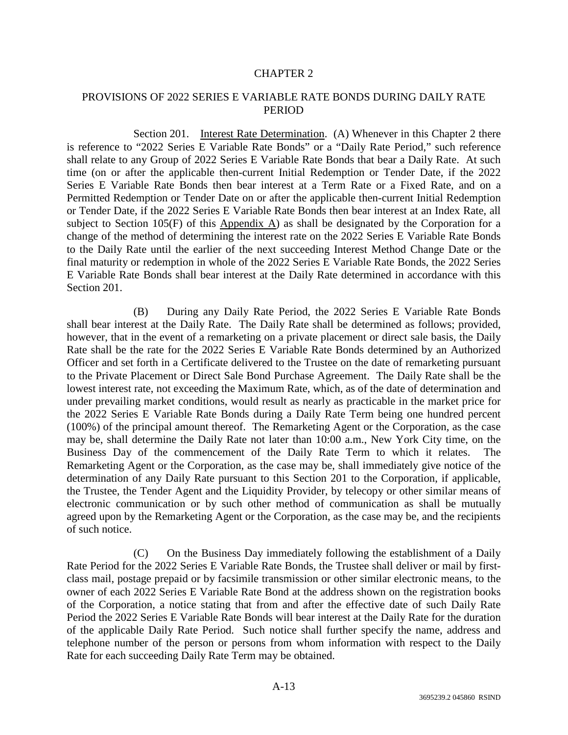## CHAPTER 2

# PROVISIONS OF 2022 SERIES E VARIABLE RATE BONDS DURING DAILY RATE PERIOD

Section 201. Interest Rate Determination. (A) Whenever in this Chapter 2 there is reference to "2022 Series E Variable Rate Bonds" or a "Daily Rate Period," such reference shall relate to any Group of 2022 Series E Variable Rate Bonds that bear a Daily Rate. At such time (on or after the applicable then-current Initial Redemption or Tender Date, if the 2022 Series E Variable Rate Bonds then bear interest at a Term Rate or a Fixed Rate, and on a Permitted Redemption or Tender Date on or after the applicable then-current Initial Redemption or Tender Date, if the 2022 Series E Variable Rate Bonds then bear interest at an Index Rate, all subject to Section 105(F) of this Appendix A) as shall be designated by the Corporation for a change of the method of determining the interest rate on the 2022 Series E Variable Rate Bonds to the Daily Rate until the earlier of the next succeeding Interest Method Change Date or the final maturity or redemption in whole of the 2022 Series E Variable Rate Bonds, the 2022 Series E Variable Rate Bonds shall bear interest at the Daily Rate determined in accordance with this Section 201.

(B) During any Daily Rate Period, the 2022 Series E Variable Rate Bonds shall bear interest at the Daily Rate. The Daily Rate shall be determined as follows; provided, however, that in the event of a remarketing on a private placement or direct sale basis, the Daily Rate shall be the rate for the 2022 Series E Variable Rate Bonds determined by an Authorized Officer and set forth in a Certificate delivered to the Trustee on the date of remarketing pursuant to the Private Placement or Direct Sale Bond Purchase Agreement. The Daily Rate shall be the lowest interest rate, not exceeding the Maximum Rate, which, as of the date of determination and under prevailing market conditions, would result as nearly as practicable in the market price for the 2022 Series E Variable Rate Bonds during a Daily Rate Term being one hundred percent (100%) of the principal amount thereof. The Remarketing Agent or the Corporation, as the case may be, shall determine the Daily Rate not later than 10:00 a.m., New York City time, on the Business Day of the commencement of the Daily Rate Term to which it relates. The Remarketing Agent or the Corporation, as the case may be, shall immediately give notice of the determination of any Daily Rate pursuant to this Section 201 to the Corporation, if applicable, the Trustee, the Tender Agent and the Liquidity Provider, by telecopy or other similar means of electronic communication or by such other method of communication as shall be mutually agreed upon by the Remarketing Agent or the Corporation, as the case may be, and the recipients of such notice.

(C) On the Business Day immediately following the establishment of a Daily Rate Period for the 2022 Series E Variable Rate Bonds, the Trustee shall deliver or mail by firstclass mail, postage prepaid or by facsimile transmission or other similar electronic means, to the owner of each 2022 Series E Variable Rate Bond at the address shown on the registration books of the Corporation, a notice stating that from and after the effective date of such Daily Rate Period the 2022 Series E Variable Rate Bonds will bear interest at the Daily Rate for the duration of the applicable Daily Rate Period. Such notice shall further specify the name, address and telephone number of the person or persons from whom information with respect to the Daily Rate for each succeeding Daily Rate Term may be obtained.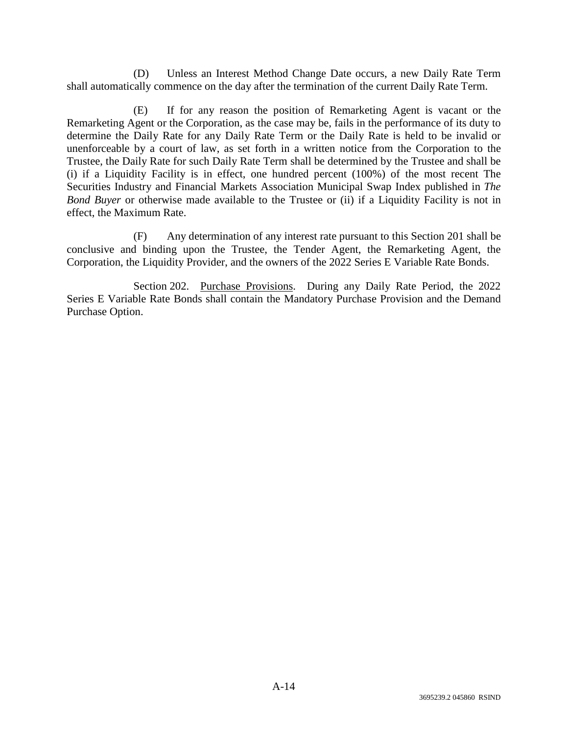(D) Unless an Interest Method Change Date occurs, a new Daily Rate Term shall automatically commence on the day after the termination of the current Daily Rate Term.

(E) If for any reason the position of Remarketing Agent is vacant or the Remarketing Agent or the Corporation, as the case may be, fails in the performance of its duty to determine the Daily Rate for any Daily Rate Term or the Daily Rate is held to be invalid or unenforceable by a court of law, as set forth in a written notice from the Corporation to the Trustee, the Daily Rate for such Daily Rate Term shall be determined by the Trustee and shall be (i) if a Liquidity Facility is in effect, one hundred percent (100%) of the most recent The Securities Industry and Financial Markets Association Municipal Swap Index published in *The Bond Buyer* or otherwise made available to the Trustee or (ii) if a Liquidity Facility is not in effect, the Maximum Rate.

(F) Any determination of any interest rate pursuant to this Section 201 shall be conclusive and binding upon the Trustee, the Tender Agent, the Remarketing Agent, the Corporation, the Liquidity Provider, and the owners of the 2022 Series E Variable Rate Bonds.

Section 202. Purchase Provisions. During any Daily Rate Period, the 2022 Series E Variable Rate Bonds shall contain the Mandatory Purchase Provision and the Demand Purchase Option.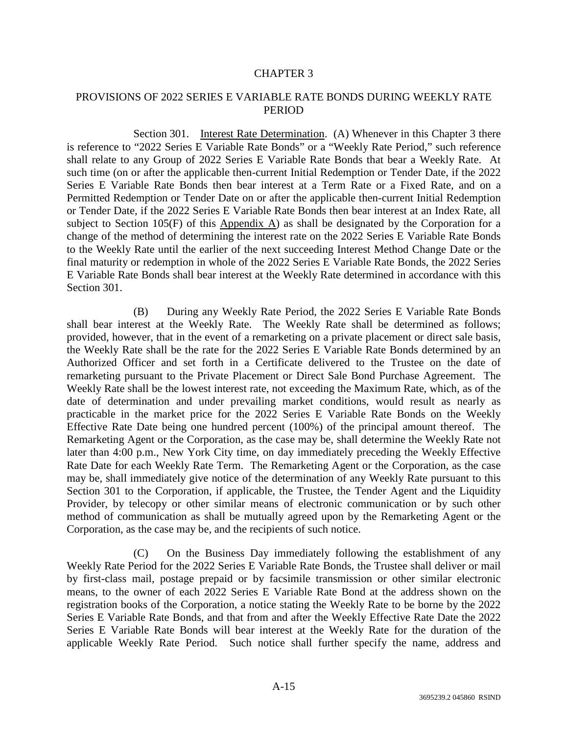## CHAPTER 3

# PROVISIONS OF 2022 SERIES E VARIABLE RATE BONDS DURING WEEKLY RATE PERIOD

Section 301. Interest Rate Determination. (A) Whenever in this Chapter 3 there is reference to "2022 Series E Variable Rate Bonds" or a "Weekly Rate Period," such reference shall relate to any Group of 2022 Series E Variable Rate Bonds that bear a Weekly Rate. At such time (on or after the applicable then-current Initial Redemption or Tender Date, if the 2022 Series E Variable Rate Bonds then bear interest at a Term Rate or a Fixed Rate, and on a Permitted Redemption or Tender Date on or after the applicable then-current Initial Redemption or Tender Date, if the 2022 Series E Variable Rate Bonds then bear interest at an Index Rate, all subject to Section 105(F) of this Appendix A) as shall be designated by the Corporation for a change of the method of determining the interest rate on the 2022 Series E Variable Rate Bonds to the Weekly Rate until the earlier of the next succeeding Interest Method Change Date or the final maturity or redemption in whole of the 2022 Series E Variable Rate Bonds, the 2022 Series E Variable Rate Bonds shall bear interest at the Weekly Rate determined in accordance with this Section 301.

(B) During any Weekly Rate Period, the 2022 Series E Variable Rate Bonds shall bear interest at the Weekly Rate. The Weekly Rate shall be determined as follows; provided, however, that in the event of a remarketing on a private placement or direct sale basis, the Weekly Rate shall be the rate for the 2022 Series E Variable Rate Bonds determined by an Authorized Officer and set forth in a Certificate delivered to the Trustee on the date of remarketing pursuant to the Private Placement or Direct Sale Bond Purchase Agreement. The Weekly Rate shall be the lowest interest rate, not exceeding the Maximum Rate, which, as of the date of determination and under prevailing market conditions, would result as nearly as practicable in the market price for the 2022 Series E Variable Rate Bonds on the Weekly Effective Rate Date being one hundred percent (100%) of the principal amount thereof. The Remarketing Agent or the Corporation, as the case may be, shall determine the Weekly Rate not later than 4:00 p.m., New York City time, on day immediately preceding the Weekly Effective Rate Date for each Weekly Rate Term. The Remarketing Agent or the Corporation, as the case may be, shall immediately give notice of the determination of any Weekly Rate pursuant to this Section 301 to the Corporation, if applicable, the Trustee, the Tender Agent and the Liquidity Provider, by telecopy or other similar means of electronic communication or by such other method of communication as shall be mutually agreed upon by the Remarketing Agent or the Corporation, as the case may be, and the recipients of such notice.

(C) On the Business Day immediately following the establishment of any Weekly Rate Period for the 2022 Series E Variable Rate Bonds, the Trustee shall deliver or mail by first-class mail, postage prepaid or by facsimile transmission or other similar electronic means, to the owner of each 2022 Series E Variable Rate Bond at the address shown on the registration books of the Corporation, a notice stating the Weekly Rate to be borne by the 2022 Series E Variable Rate Bonds, and that from and after the Weekly Effective Rate Date the 2022 Series E Variable Rate Bonds will bear interest at the Weekly Rate for the duration of the applicable Weekly Rate Period. Such notice shall further specify the name, address and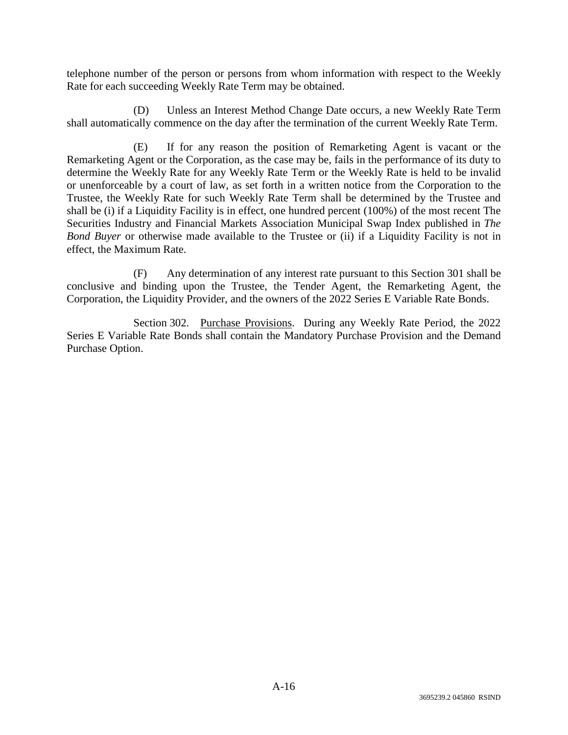telephone number of the person or persons from whom information with respect to the Weekly Rate for each succeeding Weekly Rate Term may be obtained.

(D) Unless an Interest Method Change Date occurs, a new Weekly Rate Term shall automatically commence on the day after the termination of the current Weekly Rate Term.

(E) If for any reason the position of Remarketing Agent is vacant or the Remarketing Agent or the Corporation, as the case may be, fails in the performance of its duty to determine the Weekly Rate for any Weekly Rate Term or the Weekly Rate is held to be invalid or unenforceable by a court of law, as set forth in a written notice from the Corporation to the Trustee, the Weekly Rate for such Weekly Rate Term shall be determined by the Trustee and shall be (i) if a Liquidity Facility is in effect, one hundred percent (100%) of the most recent The Securities Industry and Financial Markets Association Municipal Swap Index published in *The Bond Buyer* or otherwise made available to the Trustee or (ii) if a Liquidity Facility is not in effect, the Maximum Rate.

(F) Any determination of any interest rate pursuant to this Section 301 shall be conclusive and binding upon the Trustee, the Tender Agent, the Remarketing Agent, the Corporation, the Liquidity Provider, and the owners of the 2022 Series E Variable Rate Bonds.

Section 302. Purchase Provisions. During any Weekly Rate Period, the 2022 Series E Variable Rate Bonds shall contain the Mandatory Purchase Provision and the Demand Purchase Option.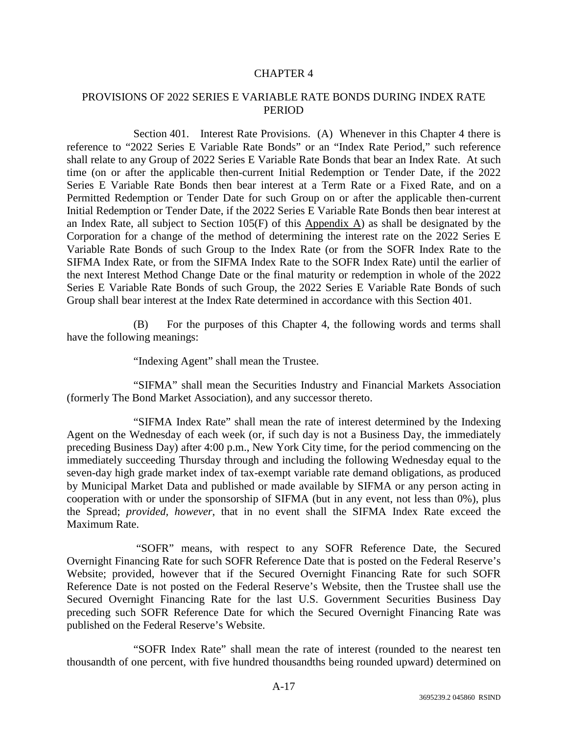# CHAPTER 4

# PROVISIONS OF 2022 SERIES E VARIABLE RATE BONDS DURING INDEX RATE PERIOD

Section 401. Interest Rate Provisions. (A) Whenever in this Chapter 4 there is reference to "2022 Series E Variable Rate Bonds" or an "Index Rate Period," such reference shall relate to any Group of 2022 Series E Variable Rate Bonds that bear an Index Rate. At such time (on or after the applicable then-current Initial Redemption or Tender Date, if the 2022 Series E Variable Rate Bonds then bear interest at a Term Rate or a Fixed Rate, and on a Permitted Redemption or Tender Date for such Group on or after the applicable then-current Initial Redemption or Tender Date, if the 2022 Series E Variable Rate Bonds then bear interest at an Index Rate, all subject to Section  $105(F)$  of this Appendix A) as shall be designated by the Corporation for a change of the method of determining the interest rate on the 2022 Series E Variable Rate Bonds of such Group to the Index Rate (or from the SOFR Index Rate to the SIFMA Index Rate, or from the SIFMA Index Rate to the SOFR Index Rate) until the earlier of the next Interest Method Change Date or the final maturity or redemption in whole of the 2022 Series E Variable Rate Bonds of such Group, the 2022 Series E Variable Rate Bonds of such Group shall bear interest at the Index Rate determined in accordance with this Section 401.

(B) For the purposes of this Chapter 4, the following words and terms shall have the following meanings:

"Indexing Agent" shall mean the Trustee.

"SIFMA" shall mean the Securities Industry and Financial Markets Association (formerly The Bond Market Association), and any successor thereto.

"SIFMA Index Rate" shall mean the rate of interest determined by the Indexing Agent on the Wednesday of each week (or, if such day is not a Business Day, the immediately preceding Business Day) after 4:00 p.m., New York City time, for the period commencing on the immediately succeeding Thursday through and including the following Wednesday equal to the seven-day high grade market index of tax-exempt variable rate demand obligations, as produced by Municipal Market Data and published or made available by SIFMA or any person acting in cooperation with or under the sponsorship of SIFMA (but in any event, not less than 0%), plus the Spread; *provided, however*, that in no event shall the SIFMA Index Rate exceed the Maximum Rate.

 "SOFR" means, with respect to any SOFR Reference Date, the Secured Overnight Financing Rate for such SOFR Reference Date that is posted on the Federal Reserve's Website; provided, however that if the Secured Overnight Financing Rate for such SOFR Reference Date is not posted on the Federal Reserve's Website, then the Trustee shall use the Secured Overnight Financing Rate for the last U.S. Government Securities Business Day preceding such SOFR Reference Date for which the Secured Overnight Financing Rate was published on the Federal Reserve's Website.

"SOFR Index Rate" shall mean the rate of interest (rounded to the nearest ten thousandth of one percent, with five hundred thousandths being rounded upward) determined on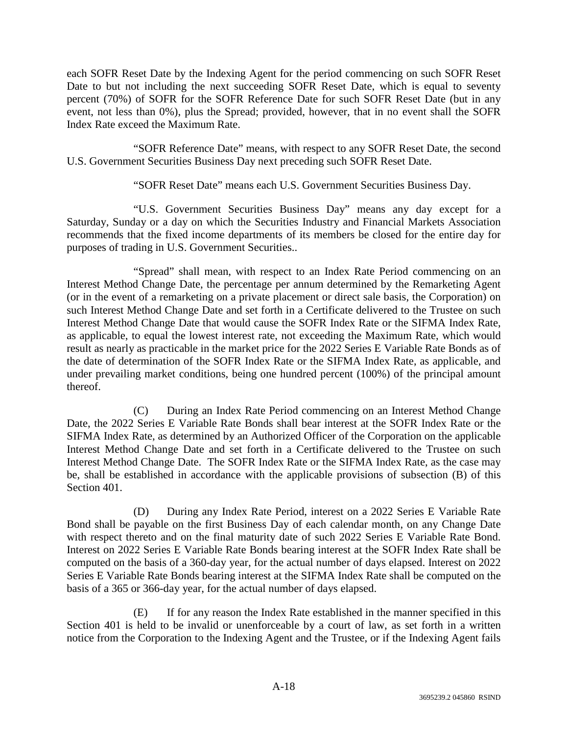each SOFR Reset Date by the Indexing Agent for the period commencing on such SOFR Reset Date to but not including the next succeeding SOFR Reset Date, which is equal to seventy percent (70%) of SOFR for the SOFR Reference Date for such SOFR Reset Date (but in any event, not less than 0%), plus the Spread; provided, however, that in no event shall the SOFR Index Rate exceed the Maximum Rate.

"SOFR Reference Date" means, with respect to any SOFR Reset Date, the second U.S. Government Securities Business Day next preceding such SOFR Reset Date.

"SOFR Reset Date" means each U.S. Government Securities Business Day.

"U.S. Government Securities Business Day" means any day except for a Saturday, Sunday or a day on which the Securities Industry and Financial Markets Association recommends that the fixed income departments of its members be closed for the entire day for purposes of trading in U.S. Government Securities..

"Spread" shall mean, with respect to an Index Rate Period commencing on an Interest Method Change Date, the percentage per annum determined by the Remarketing Agent (or in the event of a remarketing on a private placement or direct sale basis, the Corporation) on such Interest Method Change Date and set forth in a Certificate delivered to the Trustee on such Interest Method Change Date that would cause the SOFR Index Rate or the SIFMA Index Rate, as applicable, to equal the lowest interest rate, not exceeding the Maximum Rate, which would result as nearly as practicable in the market price for the 2022 Series E Variable Rate Bonds as of the date of determination of the SOFR Index Rate or the SIFMA Index Rate, as applicable, and under prevailing market conditions, being one hundred percent (100%) of the principal amount thereof.

(C) During an Index Rate Period commencing on an Interest Method Change Date, the 2022 Series E Variable Rate Bonds shall bear interest at the SOFR Index Rate or the SIFMA Index Rate, as determined by an Authorized Officer of the Corporation on the applicable Interest Method Change Date and set forth in a Certificate delivered to the Trustee on such Interest Method Change Date. The SOFR Index Rate or the SIFMA Index Rate, as the case may be, shall be established in accordance with the applicable provisions of subsection (B) of this Section 401.

(D) During any Index Rate Period, interest on a 2022 Series E Variable Rate Bond shall be payable on the first Business Day of each calendar month, on any Change Date with respect thereto and on the final maturity date of such 2022 Series E Variable Rate Bond. Interest on 2022 Series E Variable Rate Bonds bearing interest at the SOFR Index Rate shall be computed on the basis of a 360-day year, for the actual number of days elapsed. Interest on 2022 Series E Variable Rate Bonds bearing interest at the SIFMA Index Rate shall be computed on the basis of a 365 or 366-day year, for the actual number of days elapsed.

(E) If for any reason the Index Rate established in the manner specified in this Section 401 is held to be invalid or unenforceable by a court of law, as set forth in a written notice from the Corporation to the Indexing Agent and the Trustee, or if the Indexing Agent fails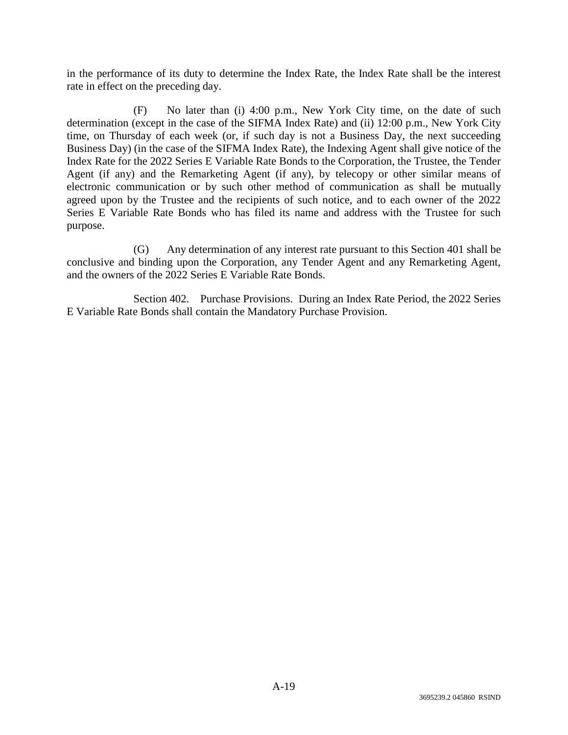in the performance of its duty to determine the Index Rate, the Index Rate shall be the interest rate in effect on the preceding day.

(F) No later than (i) 4:00 p.m., New York City time, on the date of such determination (except in the case of the SIFMA Index Rate) and (ii) 12:00 p.m., New York City time, on Thursday of each week (or, if such day is not a Business Day, the next succeeding Business Day) (in the case of the SIFMA Index Rate), the Indexing Agent shall give notice of the Index Rate for the 2022 Series E Variable Rate Bonds to the Corporation, the Trustee, the Tender Agent (if any) and the Remarketing Agent (if any), by telecopy or other similar means of electronic communication or by such other method of communication as shall be mutually agreed upon by the Trustee and the recipients of such notice, and to each owner of the 2022 Series E Variable Rate Bonds who has filed its name and address with the Trustee for such purpose.

(G) Any determination of any interest rate pursuant to this Section 401 shall be conclusive and binding upon the Corporation, any Tender Agent and any Remarketing Agent, and the owners of the 2022 Series E Variable Rate Bonds.

Section 402. Purchase Provisions. During an Index Rate Period, the 2022 Series E Variable Rate Bonds shall contain the Mandatory Purchase Provision.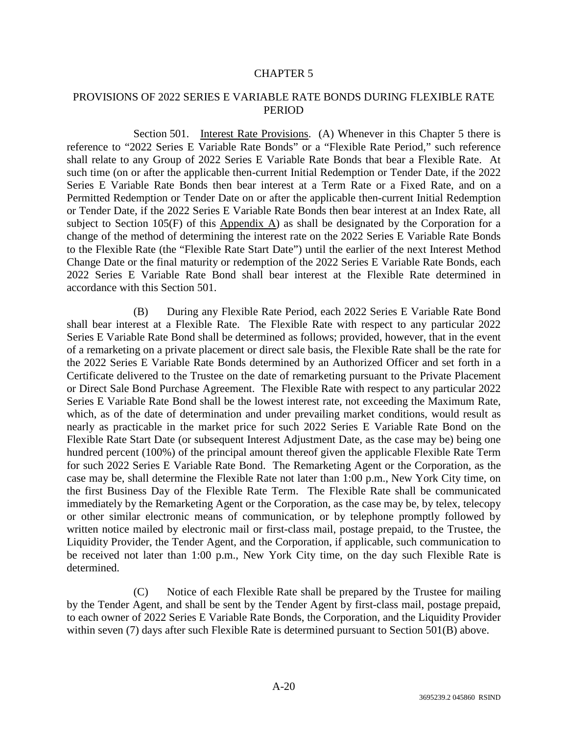# PROVISIONS OF 2022 SERIES E VARIABLE RATE BONDS DURING FLEXIBLE RATE **PERIOD**

Section 501. Interest Rate Provisions. (A) Whenever in this Chapter 5 there is reference to "2022 Series E Variable Rate Bonds" or a "Flexible Rate Period," such reference shall relate to any Group of 2022 Series E Variable Rate Bonds that bear a Flexible Rate. At such time (on or after the applicable then-current Initial Redemption or Tender Date, if the 2022 Series E Variable Rate Bonds then bear interest at a Term Rate or a Fixed Rate, and on a Permitted Redemption or Tender Date on or after the applicable then-current Initial Redemption or Tender Date, if the 2022 Series E Variable Rate Bonds then bear interest at an Index Rate, all subject to Section 105(F) of this Appendix A) as shall be designated by the Corporation for a change of the method of determining the interest rate on the 2022 Series E Variable Rate Bonds to the Flexible Rate (the "Flexible Rate Start Date") until the earlier of the next Interest Method Change Date or the final maturity or redemption of the 2022 Series E Variable Rate Bonds, each 2022 Series E Variable Rate Bond shall bear interest at the Flexible Rate determined in accordance with this Section 501.

(B) During any Flexible Rate Period, each 2022 Series E Variable Rate Bond shall bear interest at a Flexible Rate. The Flexible Rate with respect to any particular 2022 Series E Variable Rate Bond shall be determined as follows; provided, however, that in the event of a remarketing on a private placement or direct sale basis, the Flexible Rate shall be the rate for the 2022 Series E Variable Rate Bonds determined by an Authorized Officer and set forth in a Certificate delivered to the Trustee on the date of remarketing pursuant to the Private Placement or Direct Sale Bond Purchase Agreement. The Flexible Rate with respect to any particular 2022 Series E Variable Rate Bond shall be the lowest interest rate, not exceeding the Maximum Rate, which, as of the date of determination and under prevailing market conditions, would result as nearly as practicable in the market price for such 2022 Series E Variable Rate Bond on the Flexible Rate Start Date (or subsequent Interest Adjustment Date, as the case may be) being one hundred percent (100%) of the principal amount thereof given the applicable Flexible Rate Term for such 2022 Series E Variable Rate Bond. The Remarketing Agent or the Corporation, as the case may be, shall determine the Flexible Rate not later than 1:00 p.m., New York City time, on the first Business Day of the Flexible Rate Term. The Flexible Rate shall be communicated immediately by the Remarketing Agent or the Corporation, as the case may be, by telex, telecopy or other similar electronic means of communication, or by telephone promptly followed by written notice mailed by electronic mail or first-class mail, postage prepaid, to the Trustee, the Liquidity Provider, the Tender Agent, and the Corporation, if applicable, such communication to be received not later than 1:00 p.m., New York City time, on the day such Flexible Rate is determined.

(C) Notice of each Flexible Rate shall be prepared by the Trustee for mailing by the Tender Agent, and shall be sent by the Tender Agent by first-class mail, postage prepaid, to each owner of 2022 Series E Variable Rate Bonds, the Corporation, and the Liquidity Provider within seven (7) days after such Flexible Rate is determined pursuant to Section 501(B) above.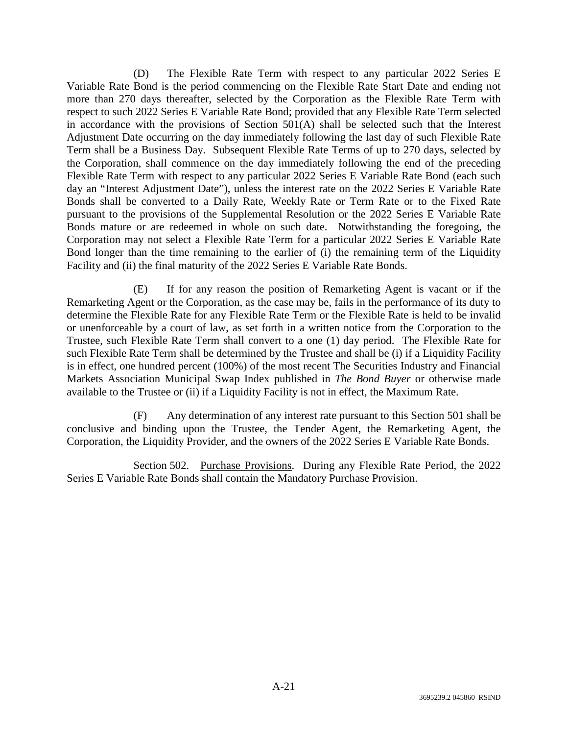(D) The Flexible Rate Term with respect to any particular 2022 Series E Variable Rate Bond is the period commencing on the Flexible Rate Start Date and ending not more than 270 days thereafter, selected by the Corporation as the Flexible Rate Term with respect to such 2022 Series E Variable Rate Bond; provided that any Flexible Rate Term selected in accordance with the provisions of Section 501(A) shall be selected such that the Interest Adjustment Date occurring on the day immediately following the last day of such Flexible Rate Term shall be a Business Day. Subsequent Flexible Rate Terms of up to 270 days, selected by the Corporation, shall commence on the day immediately following the end of the preceding Flexible Rate Term with respect to any particular 2022 Series E Variable Rate Bond (each such day an "Interest Adjustment Date"), unless the interest rate on the 2022 Series E Variable Rate Bonds shall be converted to a Daily Rate, Weekly Rate or Term Rate or to the Fixed Rate pursuant to the provisions of the Supplemental Resolution or the 2022 Series E Variable Rate Bonds mature or are redeemed in whole on such date. Notwithstanding the foregoing, the Corporation may not select a Flexible Rate Term for a particular 2022 Series E Variable Rate Bond longer than the time remaining to the earlier of (i) the remaining term of the Liquidity Facility and (ii) the final maturity of the 2022 Series E Variable Rate Bonds.

(E) If for any reason the position of Remarketing Agent is vacant or if the Remarketing Agent or the Corporation, as the case may be, fails in the performance of its duty to determine the Flexible Rate for any Flexible Rate Term or the Flexible Rate is held to be invalid or unenforceable by a court of law, as set forth in a written notice from the Corporation to the Trustee, such Flexible Rate Term shall convert to a one (1) day period. The Flexible Rate for such Flexible Rate Term shall be determined by the Trustee and shall be (i) if a Liquidity Facility is in effect, one hundred percent (100%) of the most recent The Securities Industry and Financial Markets Association Municipal Swap Index published in *The Bond Buyer* or otherwise made available to the Trustee or (ii) if a Liquidity Facility is not in effect, the Maximum Rate.

(F) Any determination of any interest rate pursuant to this Section 501 shall be conclusive and binding upon the Trustee, the Tender Agent, the Remarketing Agent, the Corporation, the Liquidity Provider, and the owners of the 2022 Series E Variable Rate Bonds.

Section 502. Purchase Provisions. During any Flexible Rate Period, the 2022 Series E Variable Rate Bonds shall contain the Mandatory Purchase Provision.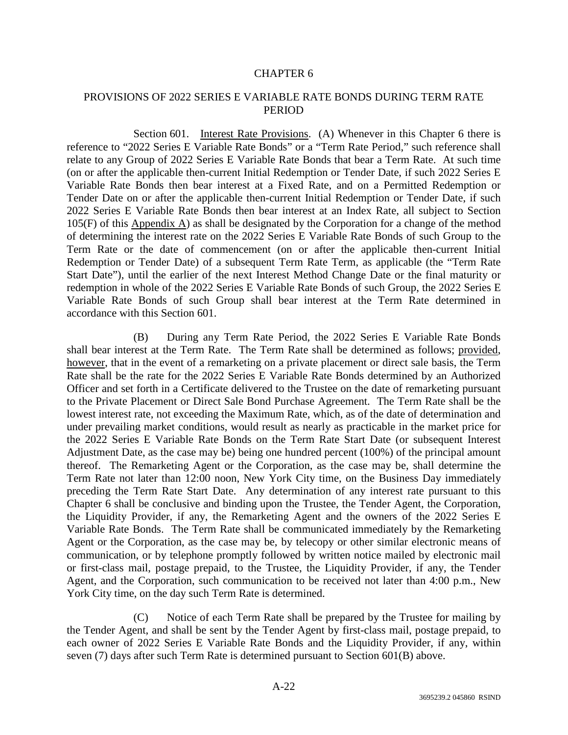# PROVISIONS OF 2022 SERIES E VARIABLE RATE BONDS DURING TERM RATE PERIOD

Section 601. Interest Rate Provisions. (A) Whenever in this Chapter 6 there is reference to "2022 Series E Variable Rate Bonds" or a "Term Rate Period," such reference shall relate to any Group of 2022 Series E Variable Rate Bonds that bear a Term Rate. At such time (on or after the applicable then-current Initial Redemption or Tender Date, if such 2022 Series E Variable Rate Bonds then bear interest at a Fixed Rate, and on a Permitted Redemption or Tender Date on or after the applicable then-current Initial Redemption or Tender Date, if such 2022 Series E Variable Rate Bonds then bear interest at an Index Rate, all subject to Section 105(F) of this Appendix A) as shall be designated by the Corporation for a change of the method of determining the interest rate on the 2022 Series E Variable Rate Bonds of such Group to the Term Rate or the date of commencement (on or after the applicable then-current Initial Redemption or Tender Date) of a subsequent Term Rate Term, as applicable (the "Term Rate Start Date"), until the earlier of the next Interest Method Change Date or the final maturity or redemption in whole of the 2022 Series E Variable Rate Bonds of such Group, the 2022 Series E Variable Rate Bonds of such Group shall bear interest at the Term Rate determined in accordance with this Section 601.

(B) During any Term Rate Period, the 2022 Series E Variable Rate Bonds shall bear interest at the Term Rate. The Term Rate shall be determined as follows; provided, however, that in the event of a remarketing on a private placement or direct sale basis, the Term Rate shall be the rate for the 2022 Series E Variable Rate Bonds determined by an Authorized Officer and set forth in a Certificate delivered to the Trustee on the date of remarketing pursuant to the Private Placement or Direct Sale Bond Purchase Agreement. The Term Rate shall be the lowest interest rate, not exceeding the Maximum Rate, which, as of the date of determination and under prevailing market conditions, would result as nearly as practicable in the market price for the 2022 Series E Variable Rate Bonds on the Term Rate Start Date (or subsequent Interest Adjustment Date, as the case may be) being one hundred percent (100%) of the principal amount thereof. The Remarketing Agent or the Corporation, as the case may be, shall determine the Term Rate not later than 12:00 noon, New York City time, on the Business Day immediately preceding the Term Rate Start Date. Any determination of any interest rate pursuant to this Chapter 6 shall be conclusive and binding upon the Trustee, the Tender Agent, the Corporation, the Liquidity Provider, if any, the Remarketing Agent and the owners of the 2022 Series E Variable Rate Bonds. The Term Rate shall be communicated immediately by the Remarketing Agent or the Corporation, as the case may be, by telecopy or other similar electronic means of communication, or by telephone promptly followed by written notice mailed by electronic mail or first-class mail, postage prepaid, to the Trustee, the Liquidity Provider, if any, the Tender Agent, and the Corporation, such communication to be received not later than 4:00 p.m., New York City time, on the day such Term Rate is determined.

(C) Notice of each Term Rate shall be prepared by the Trustee for mailing by the Tender Agent, and shall be sent by the Tender Agent by first-class mail, postage prepaid, to each owner of 2022 Series E Variable Rate Bonds and the Liquidity Provider, if any, within seven (7) days after such Term Rate is determined pursuant to Section 601(B) above.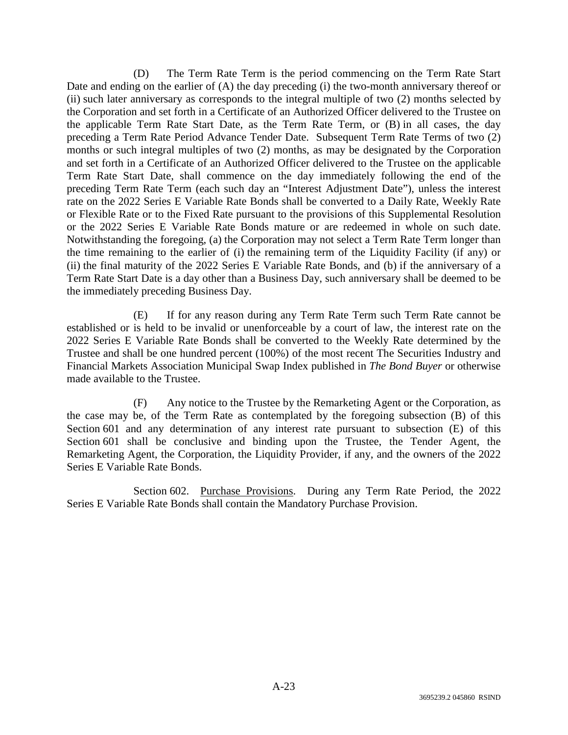(D) The Term Rate Term is the period commencing on the Term Rate Start Date and ending on the earlier of (A) the day preceding (i) the two-month anniversary thereof or (ii) such later anniversary as corresponds to the integral multiple of two (2) months selected by the Corporation and set forth in a Certificate of an Authorized Officer delivered to the Trustee on the applicable Term Rate Start Date, as the Term Rate Term, or (B) in all cases, the day preceding a Term Rate Period Advance Tender Date. Subsequent Term Rate Terms of two (2) months or such integral multiples of two (2) months, as may be designated by the Corporation and set forth in a Certificate of an Authorized Officer delivered to the Trustee on the applicable Term Rate Start Date, shall commence on the day immediately following the end of the preceding Term Rate Term (each such day an "Interest Adjustment Date"), unless the interest rate on the 2022 Series E Variable Rate Bonds shall be converted to a Daily Rate, Weekly Rate or Flexible Rate or to the Fixed Rate pursuant to the provisions of this Supplemental Resolution or the 2022 Series E Variable Rate Bonds mature or are redeemed in whole on such date. Notwithstanding the foregoing, (a) the Corporation may not select a Term Rate Term longer than the time remaining to the earlier of (i) the remaining term of the Liquidity Facility (if any) or (ii) the final maturity of the 2022 Series E Variable Rate Bonds, and (b) if the anniversary of a Term Rate Start Date is a day other than a Business Day, such anniversary shall be deemed to be the immediately preceding Business Day.

(E) If for any reason during any Term Rate Term such Term Rate cannot be established or is held to be invalid or unenforceable by a court of law, the interest rate on the 2022 Series E Variable Rate Bonds shall be converted to the Weekly Rate determined by the Trustee and shall be one hundred percent (100%) of the most recent The Securities Industry and Financial Markets Association Municipal Swap Index published in *The Bond Buyer* or otherwise made available to the Trustee.

(F) Any notice to the Trustee by the Remarketing Agent or the Corporation, as the case may be, of the Term Rate as contemplated by the foregoing subsection (B) of this Section 601 and any determination of any interest rate pursuant to subsection (E) of this Section 601 shall be conclusive and binding upon the Trustee, the Tender Agent, the Remarketing Agent, the Corporation, the Liquidity Provider, if any, and the owners of the 2022 Series E Variable Rate Bonds.

Section 602. Purchase Provisions. During any Term Rate Period, the 2022 Series E Variable Rate Bonds shall contain the Mandatory Purchase Provision.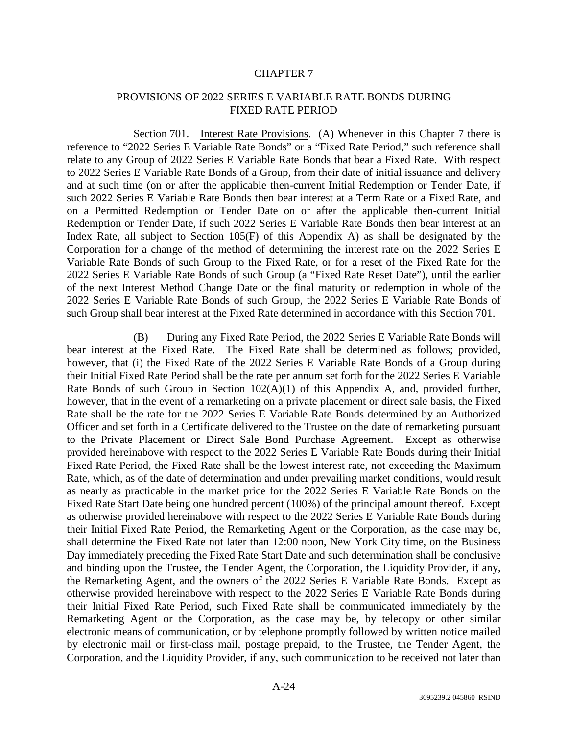# PROVISIONS OF 2022 SERIES E VARIABLE RATE BONDS DURING FIXED RATE PERIOD

Section 701. Interest Rate Provisions. (A) Whenever in this Chapter 7 there is reference to "2022 Series E Variable Rate Bonds" or a "Fixed Rate Period," such reference shall relate to any Group of 2022 Series E Variable Rate Bonds that bear a Fixed Rate. With respect to 2022 Series E Variable Rate Bonds of a Group, from their date of initial issuance and delivery and at such time (on or after the applicable then-current Initial Redemption or Tender Date, if such 2022 Series E Variable Rate Bonds then bear interest at a Term Rate or a Fixed Rate, and on a Permitted Redemption or Tender Date on or after the applicable then-current Initial Redemption or Tender Date, if such 2022 Series E Variable Rate Bonds then bear interest at an Index Rate, all subject to Section 105(F) of this Appendix A) as shall be designated by the Corporation for a change of the method of determining the interest rate on the 2022 Series E Variable Rate Bonds of such Group to the Fixed Rate, or for a reset of the Fixed Rate for the 2022 Series E Variable Rate Bonds of such Group (a "Fixed Rate Reset Date"), until the earlier of the next Interest Method Change Date or the final maturity or redemption in whole of the 2022 Series E Variable Rate Bonds of such Group, the 2022 Series E Variable Rate Bonds of such Group shall bear interest at the Fixed Rate determined in accordance with this Section 701.

(B) During any Fixed Rate Period, the 2022 Series E Variable Rate Bonds will bear interest at the Fixed Rate. The Fixed Rate shall be determined as follows; provided, however, that (i) the Fixed Rate of the 2022 Series E Variable Rate Bonds of a Group during their Initial Fixed Rate Period shall be the rate per annum set forth for the 2022 Series E Variable Rate Bonds of such Group in Section  $102(A)(1)$  of this Appendix A, and, provided further, however, that in the event of a remarketing on a private placement or direct sale basis, the Fixed Rate shall be the rate for the 2022 Series E Variable Rate Bonds determined by an Authorized Officer and set forth in a Certificate delivered to the Trustee on the date of remarketing pursuant to the Private Placement or Direct Sale Bond Purchase Agreement. Except as otherwise provided hereinabove with respect to the 2022 Series E Variable Rate Bonds during their Initial Fixed Rate Period, the Fixed Rate shall be the lowest interest rate, not exceeding the Maximum Rate, which, as of the date of determination and under prevailing market conditions, would result as nearly as practicable in the market price for the 2022 Series E Variable Rate Bonds on the Fixed Rate Start Date being one hundred percent (100%) of the principal amount thereof. Except as otherwise provided hereinabove with respect to the 2022 Series E Variable Rate Bonds during their Initial Fixed Rate Period, the Remarketing Agent or the Corporation, as the case may be, shall determine the Fixed Rate not later than 12:00 noon, New York City time, on the Business Day immediately preceding the Fixed Rate Start Date and such determination shall be conclusive and binding upon the Trustee, the Tender Agent, the Corporation, the Liquidity Provider, if any, the Remarketing Agent, and the owners of the 2022 Series E Variable Rate Bonds. Except as otherwise provided hereinabove with respect to the 2022 Series E Variable Rate Bonds during their Initial Fixed Rate Period, such Fixed Rate shall be communicated immediately by the Remarketing Agent or the Corporation, as the case may be, by telecopy or other similar electronic means of communication, or by telephone promptly followed by written notice mailed by electronic mail or first-class mail, postage prepaid, to the Trustee, the Tender Agent, the Corporation, and the Liquidity Provider, if any, such communication to be received not later than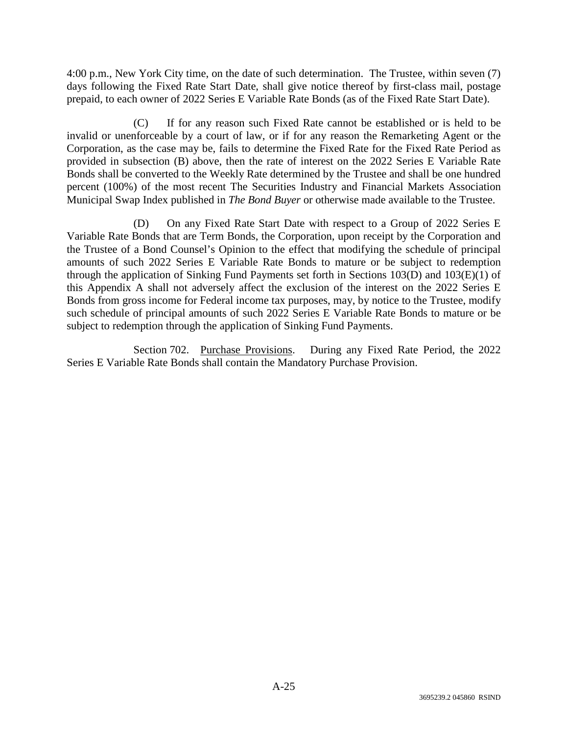4:00 p.m., New York City time, on the date of such determination. The Trustee, within seven (7) days following the Fixed Rate Start Date, shall give notice thereof by first-class mail, postage prepaid, to each owner of 2022 Series E Variable Rate Bonds (as of the Fixed Rate Start Date).

(C) If for any reason such Fixed Rate cannot be established or is held to be invalid or unenforceable by a court of law, or if for any reason the Remarketing Agent or the Corporation, as the case may be, fails to determine the Fixed Rate for the Fixed Rate Period as provided in subsection (B) above, then the rate of interest on the 2022 Series E Variable Rate Bonds shall be converted to the Weekly Rate determined by the Trustee and shall be one hundred percent (100%) of the most recent The Securities Industry and Financial Markets Association Municipal Swap Index published in *The Bond Buyer* or otherwise made available to the Trustee.

(D) On any Fixed Rate Start Date with respect to a Group of 2022 Series E Variable Rate Bonds that are Term Bonds, the Corporation, upon receipt by the Corporation and the Trustee of a Bond Counsel's Opinion to the effect that modifying the schedule of principal amounts of such 2022 Series E Variable Rate Bonds to mature or be subject to redemption through the application of Sinking Fund Payments set forth in Sections 103(D) and 103(E)(1) of this Appendix A shall not adversely affect the exclusion of the interest on the 2022 Series E Bonds from gross income for Federal income tax purposes, may, by notice to the Trustee, modify such schedule of principal amounts of such 2022 Series E Variable Rate Bonds to mature or be subject to redemption through the application of Sinking Fund Payments.

Section 702. Purchase Provisions. During any Fixed Rate Period, the 2022 Series E Variable Rate Bonds shall contain the Mandatory Purchase Provision.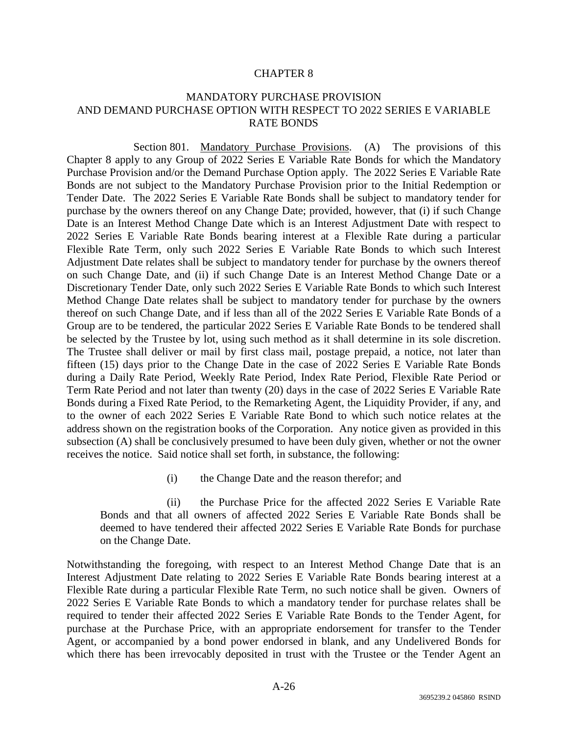# MANDATORY PURCHASE PROVISION AND DEMAND PURCHASE OPTION WITH RESPECT TO 2022 SERIES E VARIABLE RATE BONDS

Section 801. Mandatory Purchase Provisions. (A) The provisions of this Chapter 8 apply to any Group of 2022 Series E Variable Rate Bonds for which the Mandatory Purchase Provision and/or the Demand Purchase Option apply. The 2022 Series E Variable Rate Bonds are not subject to the Mandatory Purchase Provision prior to the Initial Redemption or Tender Date. The 2022 Series E Variable Rate Bonds shall be subject to mandatory tender for purchase by the owners thereof on any Change Date; provided, however, that (i) if such Change Date is an Interest Method Change Date which is an Interest Adjustment Date with respect to 2022 Series E Variable Rate Bonds bearing interest at a Flexible Rate during a particular Flexible Rate Term, only such 2022 Series E Variable Rate Bonds to which such Interest Adjustment Date relates shall be subject to mandatory tender for purchase by the owners thereof on such Change Date, and (ii) if such Change Date is an Interest Method Change Date or a Discretionary Tender Date, only such 2022 Series E Variable Rate Bonds to which such Interest Method Change Date relates shall be subject to mandatory tender for purchase by the owners thereof on such Change Date, and if less than all of the 2022 Series E Variable Rate Bonds of a Group are to be tendered, the particular 2022 Series E Variable Rate Bonds to be tendered shall be selected by the Trustee by lot, using such method as it shall determine in its sole discretion. The Trustee shall deliver or mail by first class mail, postage prepaid, a notice, not later than fifteen (15) days prior to the Change Date in the case of 2022 Series E Variable Rate Bonds during a Daily Rate Period, Weekly Rate Period, Index Rate Period, Flexible Rate Period or Term Rate Period and not later than twenty (20) days in the case of 2022 Series E Variable Rate Bonds during a Fixed Rate Period, to the Remarketing Agent, the Liquidity Provider, if any, and to the owner of each 2022 Series E Variable Rate Bond to which such notice relates at the address shown on the registration books of the Corporation. Any notice given as provided in this subsection (A) shall be conclusively presumed to have been duly given, whether or not the owner receives the notice. Said notice shall set forth, in substance, the following:

(i) the Change Date and the reason therefor; and

(ii) the Purchase Price for the affected 2022 Series E Variable Rate Bonds and that all owners of affected 2022 Series E Variable Rate Bonds shall be deemed to have tendered their affected 2022 Series E Variable Rate Bonds for purchase on the Change Date.

Notwithstanding the foregoing, with respect to an Interest Method Change Date that is an Interest Adjustment Date relating to 2022 Series E Variable Rate Bonds bearing interest at a Flexible Rate during a particular Flexible Rate Term, no such notice shall be given. Owners of 2022 Series E Variable Rate Bonds to which a mandatory tender for purchase relates shall be required to tender their affected 2022 Series E Variable Rate Bonds to the Tender Agent, for purchase at the Purchase Price, with an appropriate endorsement for transfer to the Tender Agent, or accompanied by a bond power endorsed in blank, and any Undelivered Bonds for which there has been irrevocably deposited in trust with the Trustee or the Tender Agent an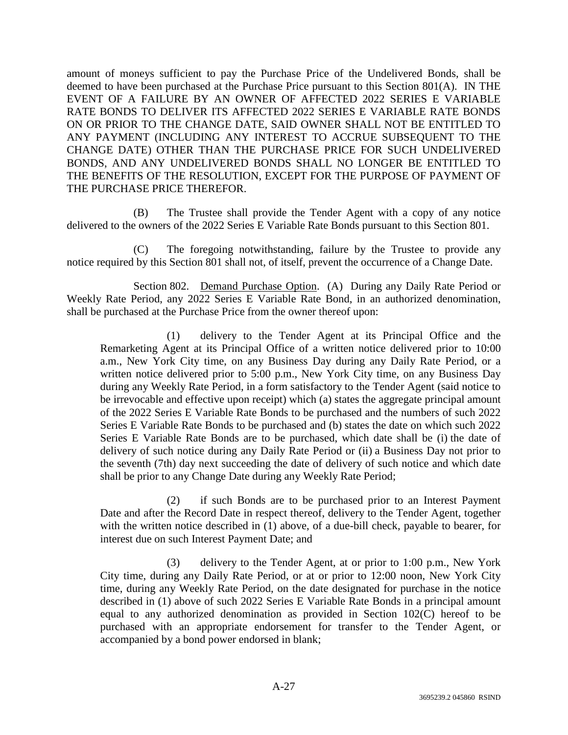amount of moneys sufficient to pay the Purchase Price of the Undelivered Bonds, shall be deemed to have been purchased at the Purchase Price pursuant to this Section 801(A). IN THE EVENT OF A FAILURE BY AN OWNER OF AFFECTED 2022 SERIES E VARIABLE RATE BONDS TO DELIVER ITS AFFECTED 2022 SERIES E VARIABLE RATE BONDS ON OR PRIOR TO THE CHANGE DATE, SAID OWNER SHALL NOT BE ENTITLED TO ANY PAYMENT (INCLUDING ANY INTEREST TO ACCRUE SUBSEQUENT TO THE CHANGE DATE) OTHER THAN THE PURCHASE PRICE FOR SUCH UNDELIVERED BONDS, AND ANY UNDELIVERED BONDS SHALL NO LONGER BE ENTITLED TO THE BENEFITS OF THE RESOLUTION, EXCEPT FOR THE PURPOSE OF PAYMENT OF THE PURCHASE PRICE THEREFOR.

(B) The Trustee shall provide the Tender Agent with a copy of any notice delivered to the owners of the 2022 Series E Variable Rate Bonds pursuant to this Section 801.

(C) The foregoing notwithstanding, failure by the Trustee to provide any notice required by this Section 801 shall not, of itself, prevent the occurrence of a Change Date.

Section 802. Demand Purchase Option. (A) During any Daily Rate Period or Weekly Rate Period, any 2022 Series E Variable Rate Bond, in an authorized denomination, shall be purchased at the Purchase Price from the owner thereof upon:

(1) delivery to the Tender Agent at its Principal Office and the Remarketing Agent at its Principal Office of a written notice delivered prior to 10:00 a.m., New York City time, on any Business Day during any Daily Rate Period, or a written notice delivered prior to 5:00 p.m., New York City time, on any Business Day during any Weekly Rate Period, in a form satisfactory to the Tender Agent (said notice to be irrevocable and effective upon receipt) which (a) states the aggregate principal amount of the 2022 Series E Variable Rate Bonds to be purchased and the numbers of such 2022 Series E Variable Rate Bonds to be purchased and (b) states the date on which such 2022 Series E Variable Rate Bonds are to be purchased, which date shall be (i) the date of delivery of such notice during any Daily Rate Period or (ii) a Business Day not prior to the seventh (7th) day next succeeding the date of delivery of such notice and which date shall be prior to any Change Date during any Weekly Rate Period;

(2) if such Bonds are to be purchased prior to an Interest Payment Date and after the Record Date in respect thereof, delivery to the Tender Agent, together with the written notice described in (1) above, of a due-bill check, payable to bearer, for interest due on such Interest Payment Date; and

(3) delivery to the Tender Agent, at or prior to 1:00 p.m., New York City time, during any Daily Rate Period, or at or prior to 12:00 noon, New York City time, during any Weekly Rate Period, on the date designated for purchase in the notice described in (1) above of such 2022 Series E Variable Rate Bonds in a principal amount equal to any authorized denomination as provided in Section 102(C) hereof to be purchased with an appropriate endorsement for transfer to the Tender Agent, or accompanied by a bond power endorsed in blank;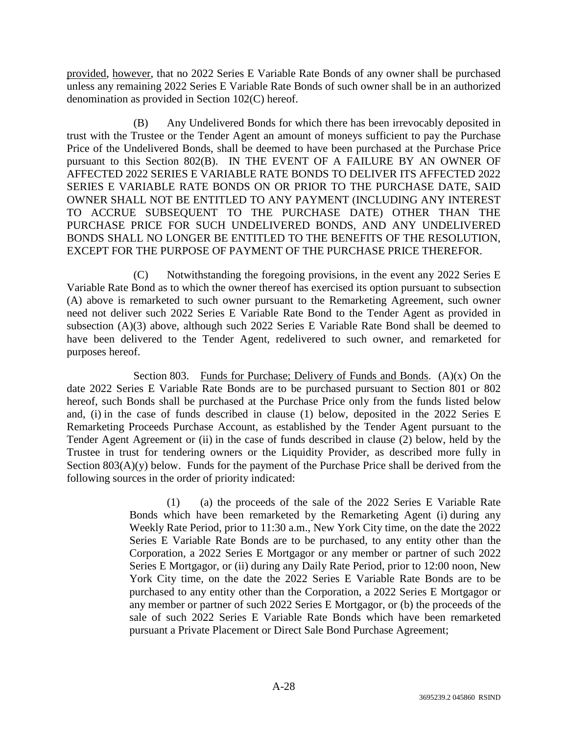provided, however, that no 2022 Series E Variable Rate Bonds of any owner shall be purchased unless any remaining 2022 Series E Variable Rate Bonds of such owner shall be in an authorized denomination as provided in Section 102(C) hereof.

(B) Any Undelivered Bonds for which there has been irrevocably deposited in trust with the Trustee or the Tender Agent an amount of moneys sufficient to pay the Purchase Price of the Undelivered Bonds, shall be deemed to have been purchased at the Purchase Price pursuant to this Section 802(B). IN THE EVENT OF A FAILURE BY AN OWNER OF AFFECTED 2022 SERIES E VARIABLE RATE BONDS TO DELIVER ITS AFFECTED 2022 SERIES E VARIABLE RATE BONDS ON OR PRIOR TO THE PURCHASE DATE, SAID OWNER SHALL NOT BE ENTITLED TO ANY PAYMENT (INCLUDING ANY INTEREST TO ACCRUE SUBSEQUENT TO THE PURCHASE DATE) OTHER THAN THE PURCHASE PRICE FOR SUCH UNDELIVERED BONDS, AND ANY UNDELIVERED BONDS SHALL NO LONGER BE ENTITLED TO THE BENEFITS OF THE RESOLUTION, EXCEPT FOR THE PURPOSE OF PAYMENT OF THE PURCHASE PRICE THEREFOR.

(C) Notwithstanding the foregoing provisions, in the event any 2022 Series E Variable Rate Bond as to which the owner thereof has exercised its option pursuant to subsection (A) above is remarketed to such owner pursuant to the Remarketing Agreement, such owner need not deliver such 2022 Series E Variable Rate Bond to the Tender Agent as provided in subsection (A)(3) above, although such 2022 Series E Variable Rate Bond shall be deemed to have been delivered to the Tender Agent, redelivered to such owner, and remarketed for purposes hereof.

Section 803. Funds for Purchase; Delivery of Funds and Bonds.  $(A)(x)$  On the date 2022 Series E Variable Rate Bonds are to be purchased pursuant to Section 801 or 802 hereof, such Bonds shall be purchased at the Purchase Price only from the funds listed below and, (i) in the case of funds described in clause (1) below, deposited in the 2022 Series E Remarketing Proceeds Purchase Account, as established by the Tender Agent pursuant to the Tender Agent Agreement or (ii) in the case of funds described in clause (2) below, held by the Trustee in trust for tendering owners or the Liquidity Provider, as described more fully in Section  $803(A)(y)$  below. Funds for the payment of the Purchase Price shall be derived from the following sources in the order of priority indicated:

> (1) (a) the proceeds of the sale of the 2022 Series E Variable Rate Bonds which have been remarketed by the Remarketing Agent (i) during any Weekly Rate Period, prior to 11:30 a.m., New York City time, on the date the 2022 Series E Variable Rate Bonds are to be purchased, to any entity other than the Corporation, a 2022 Series E Mortgagor or any member or partner of such 2022 Series E Mortgagor, or (ii) during any Daily Rate Period, prior to 12:00 noon, New York City time, on the date the 2022 Series E Variable Rate Bonds are to be purchased to any entity other than the Corporation, a 2022 Series E Mortgagor or any member or partner of such 2022 Series E Mortgagor, or (b) the proceeds of the sale of such 2022 Series E Variable Rate Bonds which have been remarketed pursuant a Private Placement or Direct Sale Bond Purchase Agreement;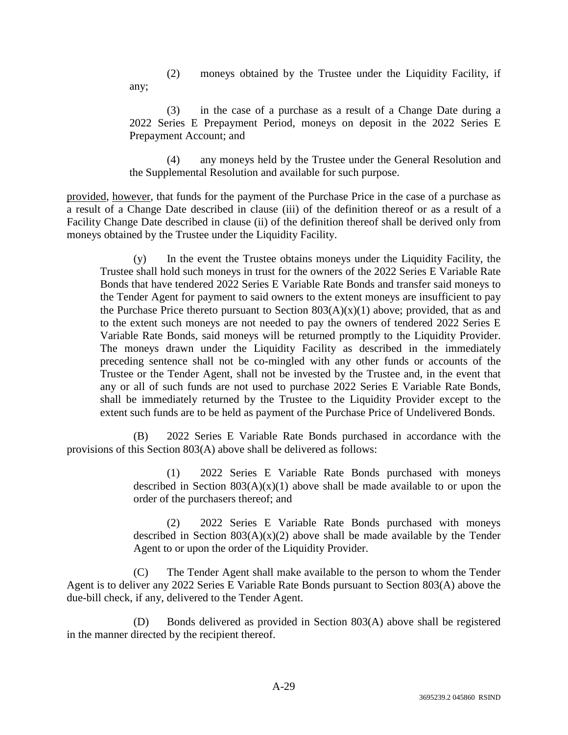(2) moneys obtained by the Trustee under the Liquidity Facility, if

(3) in the case of a purchase as a result of a Change Date during a 2022 Series E Prepayment Period, moneys on deposit in the 2022 Series E Prepayment Account; and

(4) any moneys held by the Trustee under the General Resolution and the Supplemental Resolution and available for such purpose.

provided, however, that funds for the payment of the Purchase Price in the case of a purchase as a result of a Change Date described in clause (iii) of the definition thereof or as a result of a Facility Change Date described in clause (ii) of the definition thereof shall be derived only from moneys obtained by the Trustee under the Liquidity Facility.

any;

(y) In the event the Trustee obtains moneys under the Liquidity Facility, the Trustee shall hold such moneys in trust for the owners of the 2022 Series E Variable Rate Bonds that have tendered 2022 Series E Variable Rate Bonds and transfer said moneys to the Tender Agent for payment to said owners to the extent moneys are insufficient to pay the Purchase Price thereto pursuant to Section  $803(A)(x)(1)$  above; provided, that as and to the extent such moneys are not needed to pay the owners of tendered 2022 Series E Variable Rate Bonds, said moneys will be returned promptly to the Liquidity Provider. The moneys drawn under the Liquidity Facility as described in the immediately preceding sentence shall not be co-mingled with any other funds or accounts of the Trustee or the Tender Agent, shall not be invested by the Trustee and, in the event that any or all of such funds are not used to purchase 2022 Series E Variable Rate Bonds, shall be immediately returned by the Trustee to the Liquidity Provider except to the extent such funds are to be held as payment of the Purchase Price of Undelivered Bonds.

(B) 2022 Series E Variable Rate Bonds purchased in accordance with the provisions of this Section 803(A) above shall be delivered as follows:

> (1) 2022 Series E Variable Rate Bonds purchased with moneys described in Section  $803(A)(x)(1)$  above shall be made available to or upon the order of the purchasers thereof; and

> (2) 2022 Series E Variable Rate Bonds purchased with moneys described in Section  $803(A)(x)(2)$  above shall be made available by the Tender Agent to or upon the order of the Liquidity Provider.

(C) The Tender Agent shall make available to the person to whom the Tender Agent is to deliver any 2022 Series E Variable Rate Bonds pursuant to Section 803(A) above the due-bill check, if any, delivered to the Tender Agent.

(D) Bonds delivered as provided in Section 803(A) above shall be registered in the manner directed by the recipient thereof.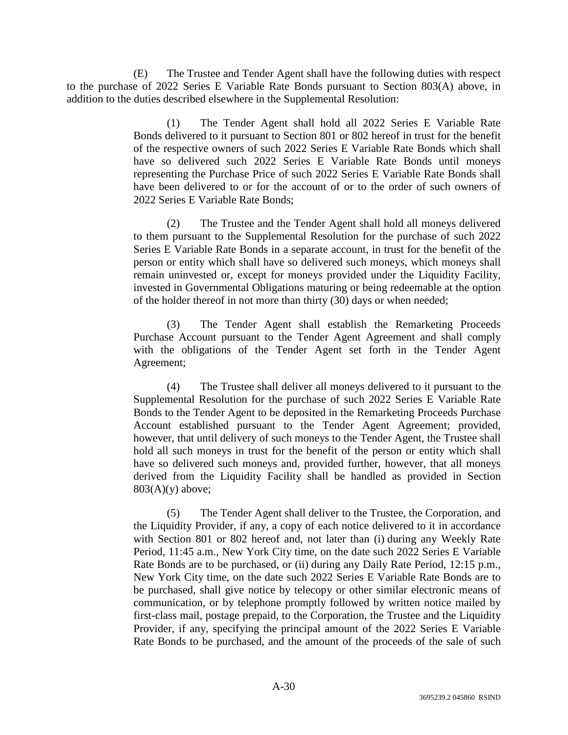(E) The Trustee and Tender Agent shall have the following duties with respect to the purchase of 2022 Series E Variable Rate Bonds pursuant to Section 803(A) above, in addition to the duties described elsewhere in the Supplemental Resolution:

> (1) The Tender Agent shall hold all 2022 Series E Variable Rate Bonds delivered to it pursuant to Section 801 or 802 hereof in trust for the benefit of the respective owners of such 2022 Series E Variable Rate Bonds which shall have so delivered such 2022 Series E Variable Rate Bonds until moneys representing the Purchase Price of such 2022 Series E Variable Rate Bonds shall have been delivered to or for the account of or to the order of such owners of 2022 Series E Variable Rate Bonds;

> (2) The Trustee and the Tender Agent shall hold all moneys delivered to them pursuant to the Supplemental Resolution for the purchase of such 2022 Series E Variable Rate Bonds in a separate account, in trust for the benefit of the person or entity which shall have so delivered such moneys, which moneys shall remain uninvested or, except for moneys provided under the Liquidity Facility, invested in Governmental Obligations maturing or being redeemable at the option of the holder thereof in not more than thirty (30) days or when needed;

> (3) The Tender Agent shall establish the Remarketing Proceeds Purchase Account pursuant to the Tender Agent Agreement and shall comply with the obligations of the Tender Agent set forth in the Tender Agent Agreement;

> (4) The Trustee shall deliver all moneys delivered to it pursuant to the Supplemental Resolution for the purchase of such 2022 Series E Variable Rate Bonds to the Tender Agent to be deposited in the Remarketing Proceeds Purchase Account established pursuant to the Tender Agent Agreement; provided, however, that until delivery of such moneys to the Tender Agent, the Trustee shall hold all such moneys in trust for the benefit of the person or entity which shall have so delivered such moneys and, provided further, however, that all moneys derived from the Liquidity Facility shall be handled as provided in Section  $803(A)(y)$  above;

> (5) The Tender Agent shall deliver to the Trustee, the Corporation, and the Liquidity Provider, if any, a copy of each notice delivered to it in accordance with Section 801 or 802 hereof and, not later than (i) during any Weekly Rate Period, 11:45 a.m., New York City time, on the date such 2022 Series E Variable Rate Bonds are to be purchased, or (ii) during any Daily Rate Period, 12:15 p.m., New York City time, on the date such 2022 Series E Variable Rate Bonds are to be purchased, shall give notice by telecopy or other similar electronic means of communication, or by telephone promptly followed by written notice mailed by first-class mail, postage prepaid, to the Corporation, the Trustee and the Liquidity Provider, if any, specifying the principal amount of the 2022 Series E Variable Rate Bonds to be purchased, and the amount of the proceeds of the sale of such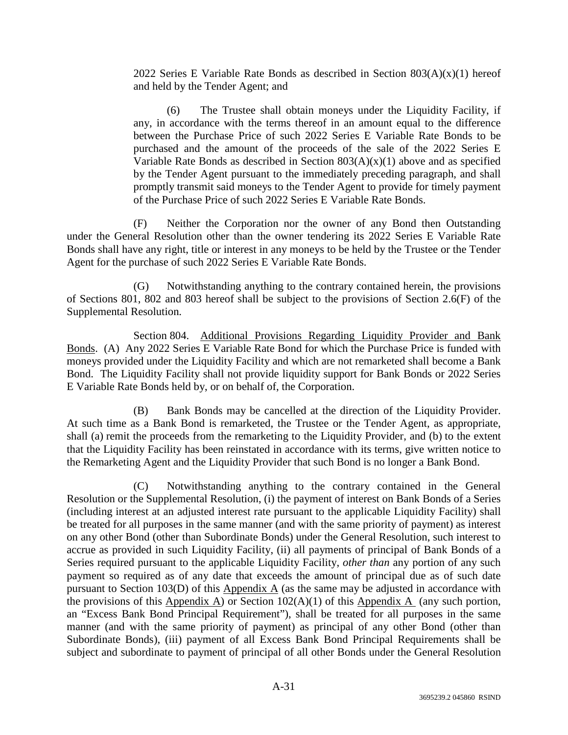2022 Series E Variable Rate Bonds as described in Section  $803(A)(x)(1)$  hereof and held by the Tender Agent; and

(6) The Trustee shall obtain moneys under the Liquidity Facility, if any, in accordance with the terms thereof in an amount equal to the difference between the Purchase Price of such 2022 Series E Variable Rate Bonds to be purchased and the amount of the proceeds of the sale of the 2022 Series E Variable Rate Bonds as described in Section  $803(A)(x)(1)$  above and as specified by the Tender Agent pursuant to the immediately preceding paragraph, and shall promptly transmit said moneys to the Tender Agent to provide for timely payment of the Purchase Price of such 2022 Series E Variable Rate Bonds.

(F) Neither the Corporation nor the owner of any Bond then Outstanding under the General Resolution other than the owner tendering its 2022 Series E Variable Rate Bonds shall have any right, title or interest in any moneys to be held by the Trustee or the Tender Agent for the purchase of such 2022 Series E Variable Rate Bonds.

(G) Notwithstanding anything to the contrary contained herein, the provisions of Sections 801, 802 and 803 hereof shall be subject to the provisions of Section 2.6(F) of the Supplemental Resolution.

Section 804. Additional Provisions Regarding Liquidity Provider and Bank Bonds. (A) Any 2022 Series E Variable Rate Bond for which the Purchase Price is funded with moneys provided under the Liquidity Facility and which are not remarketed shall become a Bank Bond. The Liquidity Facility shall not provide liquidity support for Bank Bonds or 2022 Series E Variable Rate Bonds held by, or on behalf of, the Corporation.

(B) Bank Bonds may be cancelled at the direction of the Liquidity Provider. At such time as a Bank Bond is remarketed, the Trustee or the Tender Agent, as appropriate, shall (a) remit the proceeds from the remarketing to the Liquidity Provider, and (b) to the extent that the Liquidity Facility has been reinstated in accordance with its terms, give written notice to the Remarketing Agent and the Liquidity Provider that such Bond is no longer a Bank Bond.

(C) Notwithstanding anything to the contrary contained in the General Resolution or the Supplemental Resolution, (i) the payment of interest on Bank Bonds of a Series (including interest at an adjusted interest rate pursuant to the applicable Liquidity Facility) shall be treated for all purposes in the same manner (and with the same priority of payment) as interest on any other Bond (other than Subordinate Bonds) under the General Resolution, such interest to accrue as provided in such Liquidity Facility, (ii) all payments of principal of Bank Bonds of a Series required pursuant to the applicable Liquidity Facility, *other than* any portion of any such payment so required as of any date that exceeds the amount of principal due as of such date pursuant to Section 103(D) of this Appendix A (as the same may be adjusted in accordance with the provisions of this Appendix A) or Section  $102(A)(1)$  of this Appendix A (any such portion, an "Excess Bank Bond Principal Requirement"), shall be treated for all purposes in the same manner (and with the same priority of payment) as principal of any other Bond (other than Subordinate Bonds), (iii) payment of all Excess Bank Bond Principal Requirements shall be subject and subordinate to payment of principal of all other Bonds under the General Resolution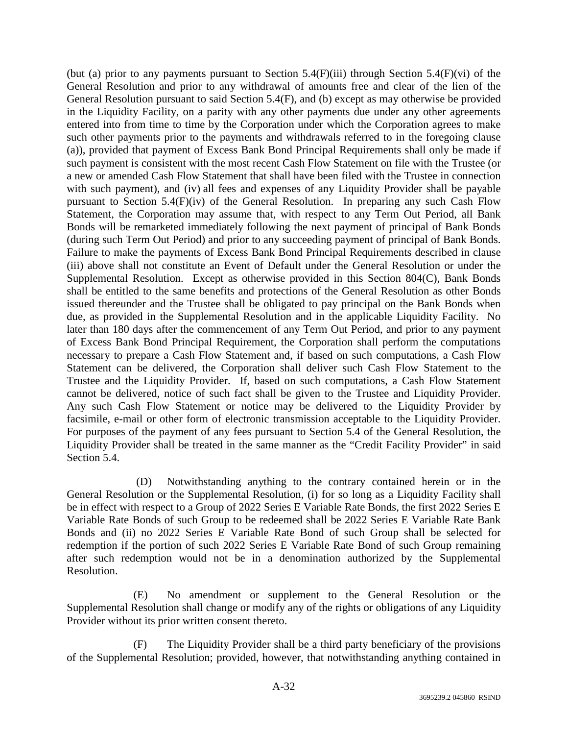(but (a) prior to any payments pursuant to Section 5.4(F)(iii) through Section 5.4(F)(vi) of the General Resolution and prior to any withdrawal of amounts free and clear of the lien of the General Resolution pursuant to said Section 5.4(F), and (b) except as may otherwise be provided in the Liquidity Facility, on a parity with any other payments due under any other agreements entered into from time to time by the Corporation under which the Corporation agrees to make such other payments prior to the payments and withdrawals referred to in the foregoing clause (a)), provided that payment of Excess Bank Bond Principal Requirements shall only be made if such payment is consistent with the most recent Cash Flow Statement on file with the Trustee (or a new or amended Cash Flow Statement that shall have been filed with the Trustee in connection with such payment), and (iv) all fees and expenses of any Liquidity Provider shall be payable pursuant to Section 5.4(F)(iv) of the General Resolution. In preparing any such Cash Flow Statement, the Corporation may assume that, with respect to any Term Out Period, all Bank Bonds will be remarketed immediately following the next payment of principal of Bank Bonds (during such Term Out Period) and prior to any succeeding payment of principal of Bank Bonds. Failure to make the payments of Excess Bank Bond Principal Requirements described in clause (iii) above shall not constitute an Event of Default under the General Resolution or under the Supplemental Resolution. Except as otherwise provided in this Section 804(C), Bank Bonds shall be entitled to the same benefits and protections of the General Resolution as other Bonds issued thereunder and the Trustee shall be obligated to pay principal on the Bank Bonds when due, as provided in the Supplemental Resolution and in the applicable Liquidity Facility. No later than 180 days after the commencement of any Term Out Period, and prior to any payment of Excess Bank Bond Principal Requirement, the Corporation shall perform the computations necessary to prepare a Cash Flow Statement and, if based on such computations, a Cash Flow Statement can be delivered, the Corporation shall deliver such Cash Flow Statement to the Trustee and the Liquidity Provider. If, based on such computations, a Cash Flow Statement cannot be delivered, notice of such fact shall be given to the Trustee and Liquidity Provider. Any such Cash Flow Statement or notice may be delivered to the Liquidity Provider by facsimile, e-mail or other form of electronic transmission acceptable to the Liquidity Provider. For purposes of the payment of any fees pursuant to Section 5.4 of the General Resolution, the Liquidity Provider shall be treated in the same manner as the "Credit Facility Provider" in said Section 5.4.

 (D) Notwithstanding anything to the contrary contained herein or in the General Resolution or the Supplemental Resolution, (i) for so long as a Liquidity Facility shall be in effect with respect to a Group of 2022 Series E Variable Rate Bonds, the first 2022 Series E Variable Rate Bonds of such Group to be redeemed shall be 2022 Series E Variable Rate Bank Bonds and (ii) no 2022 Series E Variable Rate Bond of such Group shall be selected for redemption if the portion of such 2022 Series E Variable Rate Bond of such Group remaining after such redemption would not be in a denomination authorized by the Supplemental Resolution.

(E) No amendment or supplement to the General Resolution or the Supplemental Resolution shall change or modify any of the rights or obligations of any Liquidity Provider without its prior written consent thereto.

(F) The Liquidity Provider shall be a third party beneficiary of the provisions of the Supplemental Resolution; provided, however, that notwithstanding anything contained in